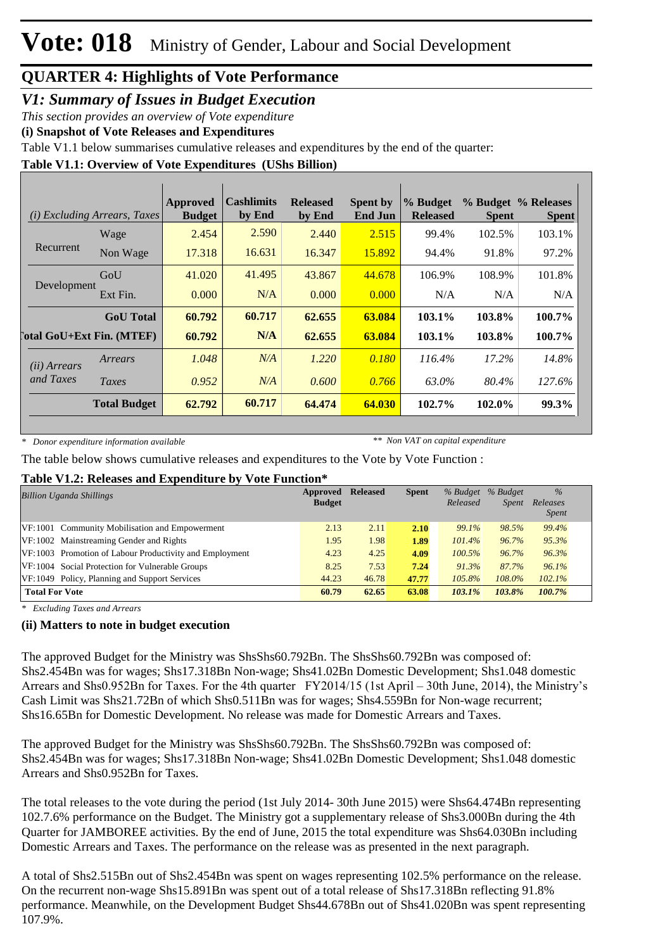#### *V1: Summary of Issues in Budget Execution*

*This section provides an overview of Vote expenditure*

**(i) Snapshot of Vote Releases and Expenditures**

Table V1.1 below summarises cumulative releases and expenditures by the end of the quarter:

**Table V1.1: Overview of Vote Expenditures (UShs Billion)**

| (i)                                | <b>Excluding Arrears, Taxes</b>  | <b>Approved</b><br><b>Budget</b> | <b>Cashlimits</b><br>by End | <b>Released</b><br>by End | <b>Spent by</b><br><b>End Jun</b> | % Budget<br><b>Released</b> | <b>Spent</b> | % Budget % Releases<br><b>Spent</b> |
|------------------------------------|----------------------------------|----------------------------------|-----------------------------|---------------------------|-----------------------------------|-----------------------------|--------------|-------------------------------------|
|                                    | Wage                             | 2.454                            | 2.590                       | 2.440                     | 2.515                             | 99.4%                       | 102.5%       | 103.1%                              |
| Recurrent                          | Non Wage                         | 17.318                           | 16.631                      | 16.347                    | 15.892                            | 94.4%                       | 91.8%        | 97.2%                               |
| Development                        | GoU                              | 41.020                           | 41.495                      | 43.867                    | 44.678                            | 106.9%                      | 108.9%       | 101.8%                              |
|                                    | Ext Fin.                         | 0.000                            | N/A                         | 0.000                     | 0.000                             | N/A                         | N/A          | N/A                                 |
|                                    | <b>GoU</b> Total                 | 60.792                           | 60.717                      | 62.655                    | 63.084                            | 103.1%                      | 103.8%       | 100.7%                              |
|                                    | <b>Total GoU+Ext Fin. (MTEF)</b> | 60.792                           | N/A                         | 62.655                    | 63.084                            | 103.1%                      | 103.8%       | 100.7%                              |
| ( <i>ii</i> ) Arrears<br>and Taxes | Arrears                          | 1.048                            | N/A                         | 1.220                     | 0.180                             | $116.4\%$                   | 17.2%        | 14.8%                               |
|                                    | Taxes                            | 0.952                            | N/A                         | 0.600                     | 0.766                             | 63.0%                       | 80.4%        | 127.6%                              |
|                                    | <b>Total Budget</b>              | 62.792                           | 60.717                      | 64.474                    | 64.030                            | 102.7%                      | 102.0%       | 99.3%                               |

*\* Donor expenditure information available*

*\*\* Non VAT on capital expenditure*

The table below shows cumulative releases and expenditures to the Vote by Vote Function :

#### **Table V1.2: Releases and Expenditure by Vote Function\***

| <b>Billion Uganda Shillings</b>                         | Approved      | <b>Released</b> | <b>Spent</b> | % Budget  | % Budget     | $\%$                     |
|---------------------------------------------------------|---------------|-----------------|--------------|-----------|--------------|--------------------------|
|                                                         | <b>Budget</b> |                 |              | Released  | <i>Spent</i> | Releases<br><i>Spent</i> |
| VF:1001 Community Mobilisation and Empowerment          | 2.13          | 2.11            | 2.10         | 99.1%     | 98.5%        | 99.4%                    |
| VF:1002 Mainstreaming Gender and Rights                 | 1.95          | 1.98            | 1.89         | 101.4%    | 96.7%        | 95.3%                    |
| VF:1003 Promotion of Labour Productivity and Employment | 4.23          | 4.25            | 4.09         | $100.5\%$ | 96.7%        | 96.3%                    |
| VF:1004 Social Protection for Vulnerable Groups         | 8.25          | 7.53            | 7.24         | 91.3%     | 87.7%        | 96.1%                    |
| VF: 1049 Policy, Planning and Support Services          | 44.23         | 46.78           | 47.77        | 105.8%    | 108.0%       | 102.1%                   |
| <b>Total For Vote</b>                                   | 60.79         | 62.65           | 63.08        | 103.1%    | 103.8%       | 100.7%                   |

*\* Excluding Taxes and Arrears*

#### **(ii) Matters to note in budget execution**

The approved Budget for the Ministry was ShsShs60.792Bn. The ShsShs60.792Bn was composed of: Shs2.454Bn was for wages; Shs17.318Bn Non-wage; Shs41.02Bn Domestic Development; Shs1.048 domestic Arrears and Shs0.952Bn for Taxes. For the 4th quarter FY2014/15 (1st April – 30th June, 2014), the Ministry's Cash Limit was Shs21.72Bn of which Shs0.511Bn was for wages; Shs4.559Bn for Non-wage recurrent; Shs16.65Bn for Domestic Development. No release was made for Domestic Arrears and Taxes.

The approved Budget for the Ministry was ShsShs60.792Bn. The ShsShs60.792Bn was composed of: Shs2.454Bn was for wages; Shs17.318Bn Non-wage; Shs41.02Bn Domestic Development; Shs1.048 domestic Arrears and Shs0.952Bn for Taxes.

The total releases to the vote during the period (1st July 2014- 30th June 2015) were Shs64.474Bn representing 102.7.6% performance on the Budget. The Ministry got a supplementary release of Shs3.000Bn during the 4th Quarter for JAMBOREE activities. By the end of June, 2015 the total expenditure was Shs64.030Bn including Domestic Arrears and Taxes. The performance on the release was as presented in the next paragraph.

A total of Shs2.515Bn out of Shs2.454Bn was spent on wages representing 102.5% performance on the release. On the recurrent non-wage Shs15.891Bn was spent out of a total release of Shs17.318Bn reflecting 91.8% performance. Meanwhile, on the Development Budget Shs44.678Bn out of Shs41.020Bn was spent representing 107.9%.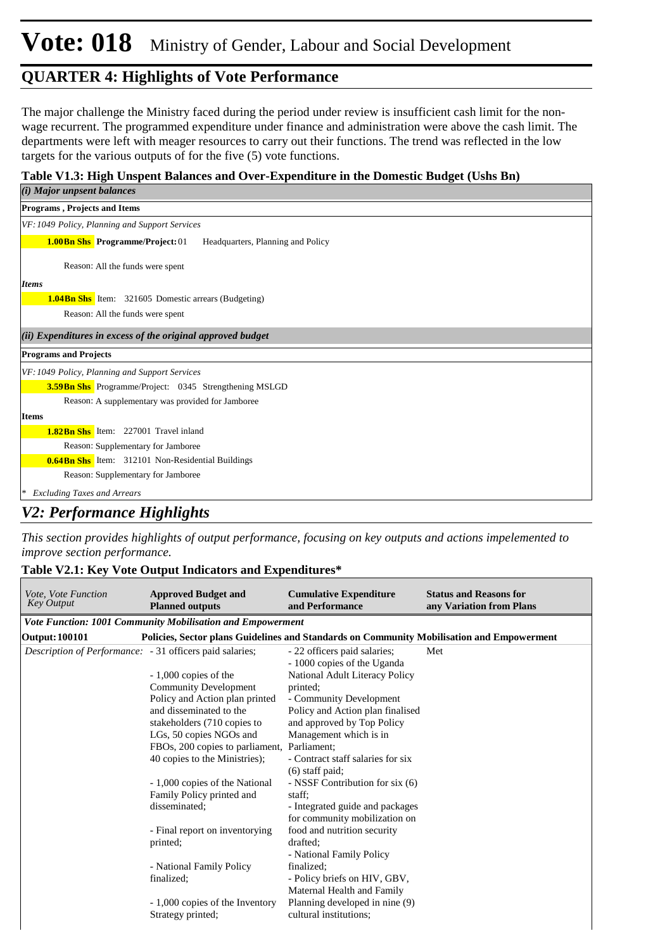# **Vote: 018** Ministry of Gender, Labour and Social Development

#### **QUARTER 4: Highlights of Vote Performance**

The major challenge the Ministry faced during the period under review is insufficient cash limit for the nonwage recurrent. The programmed expenditure under finance and administration were above the cash limit. The departments were left with meager resources to carry out their functions. The trend was reflected in the low targets for the various outputs of for the five (5) vote functions.

#### **Table V1.3: High Unspent Balances and Over-Expenditure in the Domestic Budget (Ushs Bn)**

| ( <i>i</i> ) Major unpsent balances                                          |
|------------------------------------------------------------------------------|
| <b>Programs, Projects and Items</b>                                          |
| VF: 1049 Policy, Planning and Support Services                               |
| <b>1.00Bn Shs</b> Programme/Project: 01<br>Headquarters, Planning and Policy |
| Reason: All the funds were spent                                             |
| <b>Items</b>                                                                 |
| <b>1.04Bn Shs</b> Item: 321605 Domestic arrears (Budgeting)                  |
| Reason: All the funds were spent                                             |
| (ii) Expenditures in excess of the original approved budget                  |
| <b>Programs and Projects</b>                                                 |
| VF: 1049 Policy, Planning and Support Services                               |
| <b>3.59 Bn Shs</b> Programme/Project: 0345 Strengthening MSLGD               |
| Reason: A supplementary was provided for Jamboree                            |
| <b>Items</b>                                                                 |
| <b>1.82Bn Shs</b> Item: 227001 Travel inland                                 |
| Reason: Supplementary for Jamboree                                           |
| <b>0.64Bn Shs</b> Item: 312101 Non-Residential Buildings                     |
| Reason: Supplementary for Jamboree                                           |
| <b>Excluding Taxes and Arrears</b><br>∗                                      |

#### *V2: Performance Highlights*

*This section provides highlights of output performance, focusing on key outputs and actions impelemented to improve section performance.*

#### **Table V2.1: Key Vote Output Indicators and Expenditures\***

| Vote, Vote Function<br><b>Key Output</b>                 | <b>Approved Budget and</b><br><b>Planned outputs</b>                                                                                                               | <b>Cumulative Expenditure</b><br>and Performance                                                                                                                        | <b>Status and Reasons for</b><br>any Variation from Plans |  |  |  |  |
|----------------------------------------------------------|--------------------------------------------------------------------------------------------------------------------------------------------------------------------|-------------------------------------------------------------------------------------------------------------------------------------------------------------------------|-----------------------------------------------------------|--|--|--|--|
|                                                          | <b>Vote Function: 1001 Community Mobilisation and Empowerment</b>                                                                                                  |                                                                                                                                                                         |                                                           |  |  |  |  |
| <b>Output: 100101</b>                                    | Policies, Sector plans Guidelines and Standards on Community Mobilisation and Empowerment                                                                          |                                                                                                                                                                         |                                                           |  |  |  |  |
| Description of Performance: - 31 officers paid salaries; |                                                                                                                                                                    | - 22 officers paid salaries;<br>- 1000 copies of the Uganda                                                                                                             | Met                                                       |  |  |  |  |
|                                                          | $-1,000$ copies of the<br><b>Community Development</b>                                                                                                             | National Adult Literacy Policy<br>printed:                                                                                                                              |                                                           |  |  |  |  |
|                                                          | Policy and Action plan printed<br>and disseminated to the<br>stakeholders (710 copies to<br>LGs, 50 copies NGOs and<br>FBOs, 200 copies to parliament, Parliament; | - Community Development<br>Policy and Action plan finalised<br>and approved by Top Policy<br>Management which is in                                                     |                                                           |  |  |  |  |
|                                                          | 40 copies to the Ministries);<br>- 1,000 copies of the National<br>Family Policy printed and<br>disseminated;                                                      | - Contract staff salaries for six<br>$(6)$ staff paid;<br>- NSSF Contribution for six (6)<br>staff:<br>- Integrated guide and packages<br>for community mobilization on |                                                           |  |  |  |  |
|                                                          | - Final report on inventorying<br>printed;                                                                                                                         | food and nutrition security<br>drafted:<br>- National Family Policy                                                                                                     |                                                           |  |  |  |  |
|                                                          | - National Family Policy<br>finalized;                                                                                                                             | finalized:<br>- Policy briefs on HIV, GBV,<br>Maternal Health and Family                                                                                                |                                                           |  |  |  |  |
|                                                          | - 1,000 copies of the Inventory<br>Strategy printed;                                                                                                               | Planning developed in nine (9)<br>cultural institutions;                                                                                                                |                                                           |  |  |  |  |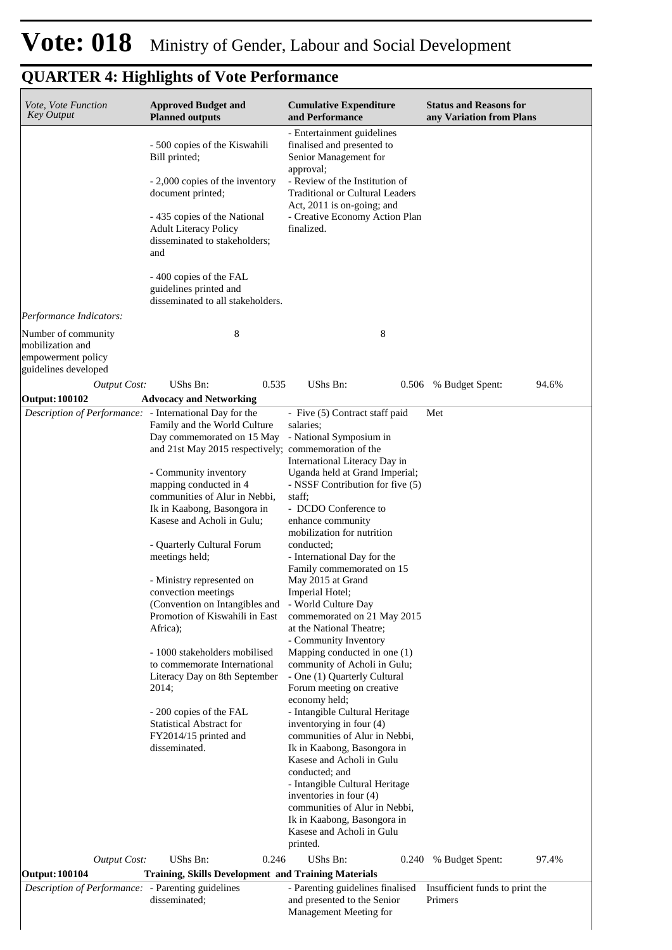| Vote, Vote Function<br><b>Key Output</b>                                              | <b>Approved Budget and</b><br><b>Planned outputs</b>                                                                                                                                                                                                                                                                                                                                                                                                                                                                                                                                                                                                                                           | <b>Cumulative Expenditure</b><br>and Performance                                                                                                                                                                                                                                                                                                                                                                                                                                                                                                                                                                                                                                                                                                                                                                                                                                                                                                              | <b>Status and Reasons for</b><br>any Variation from Plans |
|---------------------------------------------------------------------------------------|------------------------------------------------------------------------------------------------------------------------------------------------------------------------------------------------------------------------------------------------------------------------------------------------------------------------------------------------------------------------------------------------------------------------------------------------------------------------------------------------------------------------------------------------------------------------------------------------------------------------------------------------------------------------------------------------|---------------------------------------------------------------------------------------------------------------------------------------------------------------------------------------------------------------------------------------------------------------------------------------------------------------------------------------------------------------------------------------------------------------------------------------------------------------------------------------------------------------------------------------------------------------------------------------------------------------------------------------------------------------------------------------------------------------------------------------------------------------------------------------------------------------------------------------------------------------------------------------------------------------------------------------------------------------|-----------------------------------------------------------|
|                                                                                       | - 500 copies of the Kiswahili<br>Bill printed;<br>- 2,000 copies of the inventory<br>document printed;<br>- 435 copies of the National<br><b>Adult Literacy Policy</b><br>disseminated to stakeholders;<br>and                                                                                                                                                                                                                                                                                                                                                                                                                                                                                 | - Entertainment guidelines<br>finalised and presented to<br>Senior Management for<br>approval;<br>- Review of the Institution of<br><b>Traditional or Cultural Leaders</b><br>Act, 2011 is on-going; and<br>- Creative Economy Action Plan<br>finalized.                                                                                                                                                                                                                                                                                                                                                                                                                                                                                                                                                                                                                                                                                                      |                                                           |
|                                                                                       | -400 copies of the FAL<br>guidelines printed and<br>disseminated to all stakeholders.                                                                                                                                                                                                                                                                                                                                                                                                                                                                                                                                                                                                          |                                                                                                                                                                                                                                                                                                                                                                                                                                                                                                                                                                                                                                                                                                                                                                                                                                                                                                                                                               |                                                           |
| Performance Indicators:                                                               |                                                                                                                                                                                                                                                                                                                                                                                                                                                                                                                                                                                                                                                                                                |                                                                                                                                                                                                                                                                                                                                                                                                                                                                                                                                                                                                                                                                                                                                                                                                                                                                                                                                                               |                                                           |
| Number of community<br>mobilization and<br>empowerment policy<br>guidelines developed | 8                                                                                                                                                                                                                                                                                                                                                                                                                                                                                                                                                                                                                                                                                              | 8                                                                                                                                                                                                                                                                                                                                                                                                                                                                                                                                                                                                                                                                                                                                                                                                                                                                                                                                                             |                                                           |
| Output Cost:<br>Output: 100102                                                        | UShs Bn:<br>0.535<br><b>Advocacy and Networking</b>                                                                                                                                                                                                                                                                                                                                                                                                                                                                                                                                                                                                                                            | UShs Bn:                                                                                                                                                                                                                                                                                                                                                                                                                                                                                                                                                                                                                                                                                                                                                                                                                                                                                                                                                      | 0.506 % Budget Spent:<br>94.6%                            |
| Description of Performance: - International Day for the                               | Family and the World Culture<br>Day commemorated on 15 May<br>and 21st May 2015 respectively; commemoration of the<br>- Community inventory<br>mapping conducted in 4<br>communities of Alur in Nebbi,<br>Ik in Kaabong, Basongora in<br>Kasese and Acholi in Gulu;<br>- Quarterly Cultural Forum<br>meetings held;<br>- Ministry represented on<br>convection meetings<br>(Convention on Intangibles and - World Culture Day<br>Promotion of Kiswahili in East<br>Africa);<br>- 1000 stakeholders mobilised<br>to commemorate International<br>Literacy Day on 8th September<br>2014;<br>- 200 copies of the FAL<br><b>Statistical Abstract for</b><br>FY2014/15 printed and<br>disseminated. | - Five (5) Contract staff paid<br>salaries;<br>- National Symposium in<br>International Literacy Day in<br>Uganda held at Grand Imperial;<br>- NSSF Contribution for five (5)<br>staff;<br>- DCDO Conference to<br>enhance community<br>mobilization for nutrition<br>conducted;<br>- International Day for the<br>Family commemorated on 15<br>May 2015 at Grand<br>Imperial Hotel;<br>commemorated on 21 May 2015<br>at the National Theatre;<br>- Community Inventory<br>Mapping conducted in one (1)<br>community of Acholi in Gulu;<br>- One (1) Quarterly Cultural<br>Forum meeting on creative<br>economy held;<br>- Intangible Cultural Heritage<br>inventorying in four (4)<br>communities of Alur in Nebbi,<br>Ik in Kaabong, Basongora in<br>Kasese and Acholi in Gulu<br>conducted; and<br>- Intangible Cultural Heritage<br>inventories in four (4)<br>communities of Alur in Nebbi,<br>Ik in Kaabong, Basongora in<br>Kasese and Acholi in Gulu | Met                                                       |
| <b>Output Cost:</b>                                                                   | UShs Bn:<br>0.246                                                                                                                                                                                                                                                                                                                                                                                                                                                                                                                                                                                                                                                                              | printed.<br>UShs Bn:<br>0.240                                                                                                                                                                                                                                                                                                                                                                                                                                                                                                                                                                                                                                                                                                                                                                                                                                                                                                                                 | 97.4%<br>% Budget Spent:                                  |
| <b>Output: 100104</b>                                                                 | <b>Training, Skills Development and Training Materials</b>                                                                                                                                                                                                                                                                                                                                                                                                                                                                                                                                                                                                                                     |                                                                                                                                                                                                                                                                                                                                                                                                                                                                                                                                                                                                                                                                                                                                                                                                                                                                                                                                                               |                                                           |
| Description of Performance: - Parenting guidelines                                    | disseminated;                                                                                                                                                                                                                                                                                                                                                                                                                                                                                                                                                                                                                                                                                  | - Parenting guidelines finalised<br>and presented to the Senior<br>Management Meeting for                                                                                                                                                                                                                                                                                                                                                                                                                                                                                                                                                                                                                                                                                                                                                                                                                                                                     | Insufficient funds to print the<br>Primers                |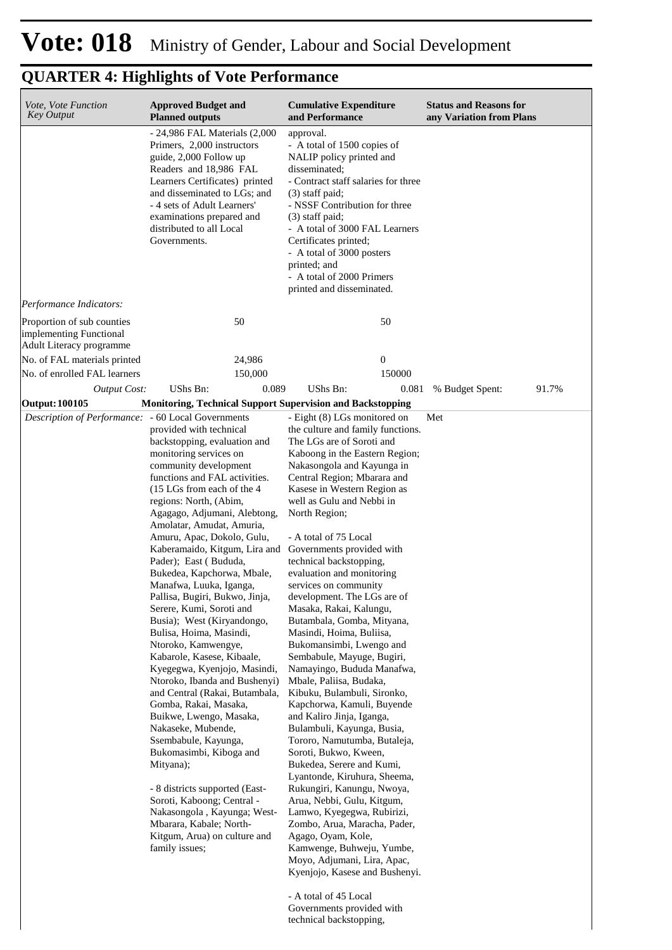| Vote, Vote Function<br><b>Key Output</b>              | <b>Approved Budget and</b><br><b>Planned outputs</b>                                                                                                                                                                                                                                                                                                                                                                                                                                                                                                                                                                                                                                                                                                                                                                                                                                                                                                                                                                    | <b>Cumulative Expenditure</b><br>and Performance                                                                                                                                                                                                                                                                                                                                                                                                                                                                                                                                                                                                                                                                                                                                                                                                                                                                                                                                                                                                                                                                                                                                                                                      | <b>Status and Reasons for</b><br>any Variation from Plans |
|-------------------------------------------------------|-------------------------------------------------------------------------------------------------------------------------------------------------------------------------------------------------------------------------------------------------------------------------------------------------------------------------------------------------------------------------------------------------------------------------------------------------------------------------------------------------------------------------------------------------------------------------------------------------------------------------------------------------------------------------------------------------------------------------------------------------------------------------------------------------------------------------------------------------------------------------------------------------------------------------------------------------------------------------------------------------------------------------|---------------------------------------------------------------------------------------------------------------------------------------------------------------------------------------------------------------------------------------------------------------------------------------------------------------------------------------------------------------------------------------------------------------------------------------------------------------------------------------------------------------------------------------------------------------------------------------------------------------------------------------------------------------------------------------------------------------------------------------------------------------------------------------------------------------------------------------------------------------------------------------------------------------------------------------------------------------------------------------------------------------------------------------------------------------------------------------------------------------------------------------------------------------------------------------------------------------------------------------|-----------------------------------------------------------|
| Performance Indicators:                               | - 24,986 FAL Materials (2,000)<br>Primers, 2,000 instructors<br>guide, 2,000 Follow up<br>Readers and 18,986 FAL<br>Learners Certificates) printed<br>and disseminated to LGs; and<br>- 4 sets of Adult Learners'<br>examinations prepared and<br>distributed to all Local<br>Governments.                                                                                                                                                                                                                                                                                                                                                                                                                                                                                                                                                                                                                                                                                                                              | approval.<br>- A total of 1500 copies of<br>NALIP policy printed and<br>disseminated;<br>- Contract staff salaries for three<br>$(3)$ staff paid;<br>- NSSF Contribution for three<br>$(3)$ staff paid;<br>- A total of 3000 FAL Learners<br>Certificates printed;<br>- A total of 3000 posters<br>printed; and<br>- A total of 2000 Primers<br>printed and disseminated.                                                                                                                                                                                                                                                                                                                                                                                                                                                                                                                                                                                                                                                                                                                                                                                                                                                             |                                                           |
| Proportion of sub counties<br>implementing Functional | 50                                                                                                                                                                                                                                                                                                                                                                                                                                                                                                                                                                                                                                                                                                                                                                                                                                                                                                                                                                                                                      | 50                                                                                                                                                                                                                                                                                                                                                                                                                                                                                                                                                                                                                                                                                                                                                                                                                                                                                                                                                                                                                                                                                                                                                                                                                                    |                                                           |
| Adult Literacy programme                              |                                                                                                                                                                                                                                                                                                                                                                                                                                                                                                                                                                                                                                                                                                                                                                                                                                                                                                                                                                                                                         |                                                                                                                                                                                                                                                                                                                                                                                                                                                                                                                                                                                                                                                                                                                                                                                                                                                                                                                                                                                                                                                                                                                                                                                                                                       |                                                           |
| No. of FAL materials printed                          | 24,986                                                                                                                                                                                                                                                                                                                                                                                                                                                                                                                                                                                                                                                                                                                                                                                                                                                                                                                                                                                                                  | $\boldsymbol{0}$                                                                                                                                                                                                                                                                                                                                                                                                                                                                                                                                                                                                                                                                                                                                                                                                                                                                                                                                                                                                                                                                                                                                                                                                                      |                                                           |
| No. of enrolled FAL learners                          | 150,000                                                                                                                                                                                                                                                                                                                                                                                                                                                                                                                                                                                                                                                                                                                                                                                                                                                                                                                                                                                                                 | 150000                                                                                                                                                                                                                                                                                                                                                                                                                                                                                                                                                                                                                                                                                                                                                                                                                                                                                                                                                                                                                                                                                                                                                                                                                                |                                                           |
| <b>Output Cost:</b>                                   | UShs Bn:<br>0.089                                                                                                                                                                                                                                                                                                                                                                                                                                                                                                                                                                                                                                                                                                                                                                                                                                                                                                                                                                                                       | <b>UShs Bn:</b><br>0.081                                                                                                                                                                                                                                                                                                                                                                                                                                                                                                                                                                                                                                                                                                                                                                                                                                                                                                                                                                                                                                                                                                                                                                                                              | 91.7%<br>% Budget Spent:                                  |
| <b>Output: 100105</b>                                 | Monitoring, Technical Support Supervision and Backstopping                                                                                                                                                                                                                                                                                                                                                                                                                                                                                                                                                                                                                                                                                                                                                                                                                                                                                                                                                              |                                                                                                                                                                                                                                                                                                                                                                                                                                                                                                                                                                                                                                                                                                                                                                                                                                                                                                                                                                                                                                                                                                                                                                                                                                       |                                                           |
| Description of Performance: - 60 Local Governments    | provided with technical<br>backstopping, evaluation and<br>monitoring services on<br>community development<br>functions and FAL activities.<br>(15 LGs from each of the 4)<br>regions: North, (Abim,<br>Agagago, Adjumani, Alebtong,<br>Amolatar, Amudat, Amuria,<br>Amuru, Apac, Dokolo, Gulu,<br>Kaberamaido, Kitgum, Lira and<br>Pader); East (Bududa,<br>Bukedea, Kapchorwa, Mbale,<br>Manafwa, Luuka, Iganga,<br>Pallisa, Bugiri, Bukwo, Jinja,<br>Serere, Kumi, Soroti and<br>Busia); West (Kiryandongo,<br>Bulisa, Hoima, Masindi,<br>Ntoroko, Kamwengye,<br>Kabarole, Kasese, Kibaale,<br>Kyegegwa, Kyenjojo, Masindi,<br>Ntoroko, Ibanda and Bushenyi)<br>and Central (Rakai, Butambala,<br>Gomba, Rakai, Masaka,<br>Buikwe, Lwengo, Masaka,<br>Nakaseke, Mubende,<br>Ssembabule, Kayunga,<br>Bukomasimbi, Kiboga and<br>Mityana);<br>- 8 districts supported (East-<br>Soroti, Kaboong; Central -<br>Nakasongola, Kayunga; West-<br>Mbarara, Kabale; North-<br>Kitgum, Arua) on culture and<br>family issues; | - Eight (8) LGs monitored on<br>the culture and family functions.<br>The LGs are of Soroti and<br>Kaboong in the Eastern Region;<br>Nakasongola and Kayunga in<br>Central Region; Mbarara and<br>Kasese in Western Region as<br>well as Gulu and Nebbi in<br>North Region;<br>- A total of 75 Local<br>Governments provided with<br>technical backstopping,<br>evaluation and monitoring<br>services on community<br>development. The LGs are of<br>Masaka, Rakai, Kalungu,<br>Butambala, Gomba, Mityana,<br>Masindi, Hoima, Buliisa,<br>Bukomansimbi, Lwengo and<br>Sembabule, Mayuge, Bugiri,<br>Namayingo, Bududa Manafwa,<br>Mbale, Paliisa, Budaka,<br>Kibuku, Bulambuli, Sironko,<br>Kapchorwa, Kamuli, Buyende<br>and Kaliro Jinja, Iganga,<br>Bulambuli, Kayunga, Busia,<br>Tororo, Namutumba, Butaleja,<br>Soroti, Bukwo, Kween,<br>Bukedea, Serere and Kumi,<br>Lyantonde, Kiruhura, Sheema,<br>Rukungiri, Kanungu, Nwoya,<br>Arua, Nebbi, Gulu, Kitgum,<br>Lamwo, Kyegegwa, Rubirizi,<br>Zombo, Arua, Maracha, Pader,<br>Agago, Oyam, Kole,<br>Kamwenge, Buhweju, Yumbe,<br>Moyo, Adjumani, Lira, Apac,<br>Kyenjojo, Kasese and Bushenyi.<br>- A total of 45 Local<br>Governments provided with<br>technical backstopping, | Met                                                       |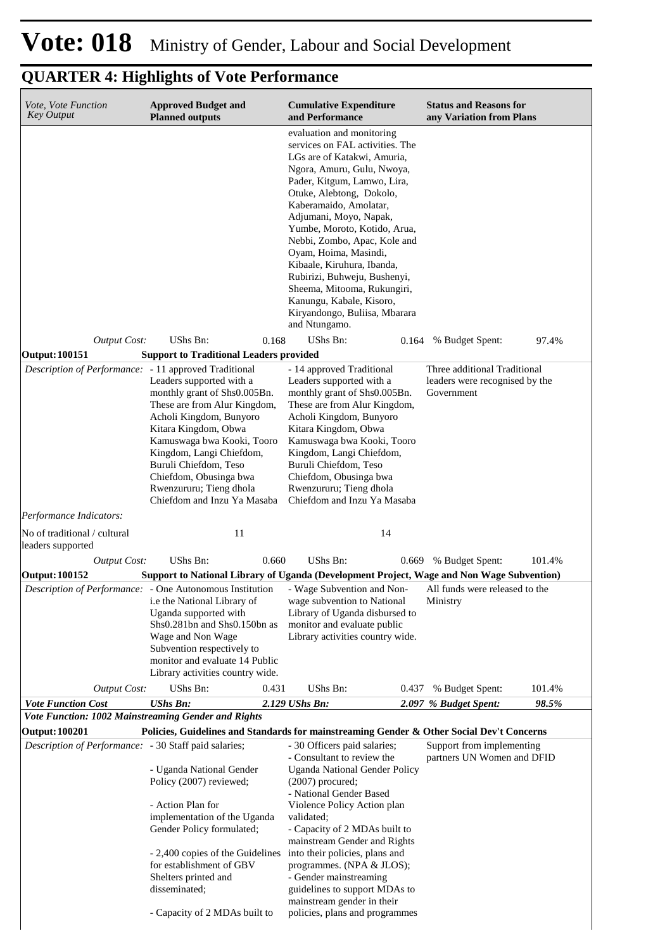| Vote, Vote Function<br><b>Key Output</b>                                         | <b>Approved Budget and</b><br><b>Planned outputs</b>                                                                                                                                                                                                                                                               | <b>Cumulative Expenditure</b><br>and Performance                                                                                                                                                                                                                                                                                                                                                                                                                                                             | <b>Status and Reasons for</b><br>any Variation from Plans                    |  |
|----------------------------------------------------------------------------------|--------------------------------------------------------------------------------------------------------------------------------------------------------------------------------------------------------------------------------------------------------------------------------------------------------------------|--------------------------------------------------------------------------------------------------------------------------------------------------------------------------------------------------------------------------------------------------------------------------------------------------------------------------------------------------------------------------------------------------------------------------------------------------------------------------------------------------------------|------------------------------------------------------------------------------|--|
|                                                                                  |                                                                                                                                                                                                                                                                                                                    | evaluation and monitoring<br>services on FAL activities. The<br>LGs are of Katakwi, Amuria,<br>Ngora, Amuru, Gulu, Nwoya,<br>Pader, Kitgum, Lamwo, Lira,<br>Otuke, Alebtong, Dokolo,<br>Kaberamaido, Amolatar,<br>Adjumani, Moyo, Napak,<br>Yumbe, Moroto, Kotido, Arua,<br>Nebbi, Zombo, Apac, Kole and<br>Oyam, Hoima, Masindi,<br>Kibaale, Kiruhura, Ibanda,<br>Rubirizi, Buhweju, Bushenyi,<br>Sheema, Mitooma, Rukungiri,<br>Kanungu, Kabale, Kisoro,<br>Kiryandongo, Buliisa, Mbarara<br>and Ntungamo. |                                                                              |  |
| <b>Output Cost:</b>                                                              | UShs Bn:<br>0.168                                                                                                                                                                                                                                                                                                  | UShs Bn:<br>0.164                                                                                                                                                                                                                                                                                                                                                                                                                                                                                            | 97.4%<br>% Budget Spent:                                                     |  |
| <b>Output: 100151</b>                                                            | <b>Support to Traditional Leaders provided</b>                                                                                                                                                                                                                                                                     |                                                                                                                                                                                                                                                                                                                                                                                                                                                                                                              |                                                                              |  |
| Description of Performance: - 11 approved Traditional<br>Performance Indicators: | Leaders supported with a<br>monthly grant of Shs0.005Bn.<br>These are from Alur Kingdom,<br>Acholi Kingdom, Bunyoro<br>Kitara Kingdom, Obwa<br>Kamuswaga bwa Kooki, Tooro<br>Kingdom, Langi Chiefdom,<br>Buruli Chiefdom, Teso<br>Chiefdom, Obusinga bwa<br>Rwenzururu; Tieng dhola<br>Chiefdom and Inzu Ya Masaba | - 14 approved Traditional<br>Leaders supported with a<br>monthly grant of Shs0.005Bn.<br>These are from Alur Kingdom,<br>Acholi Kingdom, Bunyoro<br>Kitara Kingdom, Obwa<br>Kamuswaga bwa Kooki, Tooro<br>Kingdom, Langi Chiefdom,<br>Buruli Chiefdom, Teso<br>Chiefdom, Obusinga bwa<br>Rwenzururu; Tieng dhola<br>Chiefdom and Inzu Ya Masaba                                                                                                                                                              | Three additional Traditional<br>leaders were recognised by the<br>Government |  |
|                                                                                  |                                                                                                                                                                                                                                                                                                                    |                                                                                                                                                                                                                                                                                                                                                                                                                                                                                                              |                                                                              |  |
| No of traditional / cultural<br>leaders supported                                | 11                                                                                                                                                                                                                                                                                                                 | 14                                                                                                                                                                                                                                                                                                                                                                                                                                                                                                           |                                                                              |  |
| <b>Output Cost:</b>                                                              | <b>UShs Bn:</b><br>0.660                                                                                                                                                                                                                                                                                           | UShs Bn:<br>0.669                                                                                                                                                                                                                                                                                                                                                                                                                                                                                            | % Budget Spent:<br>101.4%                                                    |  |
| <b>Output: 100152</b>                                                            | Support to National Library of Uganda (Development Project, Wage and Non Wage Subvention)                                                                                                                                                                                                                          |                                                                                                                                                                                                                                                                                                                                                                                                                                                                                                              |                                                                              |  |
|                                                                                  | Description of Performance: - One Autonomous Institution<br><i>i.e</i> the National Library of<br>Uganda supported with<br>Shs0.281bn and Shs0.150bn as<br>Wage and Non Wage<br>Subvention respectively to<br>monitor and evaluate 14 Public<br>Library activities country wide.                                   | - Wage Subvention and Non-<br>wage subvention to National<br>Library of Uganda disbursed to<br>monitor and evaluate public<br>Library activities country wide.                                                                                                                                                                                                                                                                                                                                               | All funds were released to the<br>Ministry                                   |  |
| <b>Output Cost:</b>                                                              | UShs Bn:<br>0.431                                                                                                                                                                                                                                                                                                  | UShs Bn:<br>0.437                                                                                                                                                                                                                                                                                                                                                                                                                                                                                            | 101.4%<br>% Budget Spent:                                                    |  |
| <b>Vote Function Cost</b>                                                        | <b>UShs Bn:</b>                                                                                                                                                                                                                                                                                                    | 2.129 UShs Bn:                                                                                                                                                                                                                                                                                                                                                                                                                                                                                               | 98.5%<br>2.097 % Budget Spent:                                               |  |
| Vote Function: 1002 Mainstreaming Gender and Rights                              |                                                                                                                                                                                                                                                                                                                    |                                                                                                                                                                                                                                                                                                                                                                                                                                                                                                              |                                                                              |  |
| <b>Output: 100201</b><br>Description of Performance: - 30 Staff paid salaries;   | Policies, Guidelines and Standards for mainstreaming Gender & Other Social Dev't Concerns                                                                                                                                                                                                                          | - 30 Officers paid salaries;                                                                                                                                                                                                                                                                                                                                                                                                                                                                                 | Support from implementing                                                    |  |
|                                                                                  | - Uganda National Gender<br>Policy (2007) reviewed;<br>- Action Plan for<br>implementation of the Uganda<br>Gender Policy formulated;                                                                                                                                                                              | - Consultant to review the<br><b>Uganda National Gender Policy</b><br>$(2007)$ procured;<br>- National Gender Based<br>Violence Policy Action plan<br>validated;<br>- Capacity of 2 MDAs built to<br>mainstream Gender and Rights                                                                                                                                                                                                                                                                            | partners UN Women and DFID                                                   |  |
|                                                                                  | - 2,400 copies of the Guidelines<br>for establishment of GBV<br>Shelters printed and<br>disseminated;                                                                                                                                                                                                              | into their policies, plans and<br>programmes. (NPA & JLOS);<br>- Gender mainstreaming<br>guidelines to support MDAs to                                                                                                                                                                                                                                                                                                                                                                                       |                                                                              |  |
|                                                                                  | - Capacity of 2 MDAs built to                                                                                                                                                                                                                                                                                      | mainstream gender in their<br>policies, plans and programmes                                                                                                                                                                                                                                                                                                                                                                                                                                                 |                                                                              |  |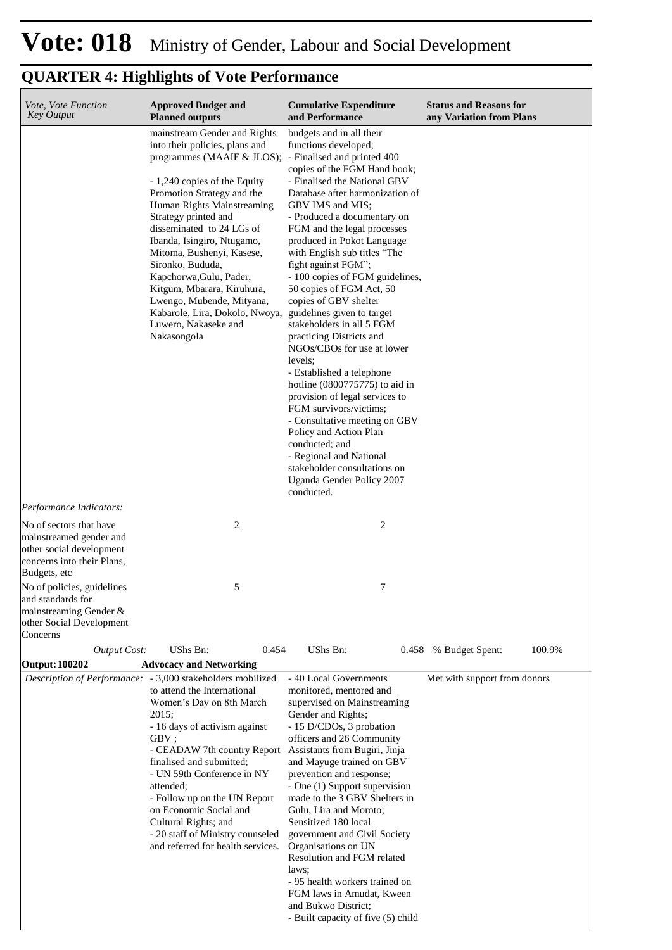| Vote, Vote Function<br>Key Output                                                                                            | <b>Approved Budget and</b><br><b>Planned outputs</b>                                                                                                                                                                                                                                                                                                                                                                                                                                                                    | <b>Cumulative Expenditure</b><br>and Performance                                                                                                                                                                                                                                                                                                                                                                                                                                                                                                                                                                                                                                                                                                                                                                                                                   | <b>Status and Reasons for</b><br>any Variation from Plans |
|------------------------------------------------------------------------------------------------------------------------------|-------------------------------------------------------------------------------------------------------------------------------------------------------------------------------------------------------------------------------------------------------------------------------------------------------------------------------------------------------------------------------------------------------------------------------------------------------------------------------------------------------------------------|--------------------------------------------------------------------------------------------------------------------------------------------------------------------------------------------------------------------------------------------------------------------------------------------------------------------------------------------------------------------------------------------------------------------------------------------------------------------------------------------------------------------------------------------------------------------------------------------------------------------------------------------------------------------------------------------------------------------------------------------------------------------------------------------------------------------------------------------------------------------|-----------------------------------------------------------|
| Performance Indicators:                                                                                                      | mainstream Gender and Rights<br>into their policies, plans and<br>programmes (MAAIF & JLOS); - Finalised and printed 400<br>- 1,240 copies of the Equity<br>Promotion Strategy and the<br>Human Rights Mainstreaming<br>Strategy printed and<br>disseminated to 24 LGs of<br>Ibanda, Isingiro, Ntugamo,<br>Mitoma, Bushenyi, Kasese,<br>Sironko, Bududa,<br>Kapchorwa, Gulu, Pader,<br>Kitgum, Mbarara, Kiruhura,<br>Lwengo, Mubende, Mityana,<br>Kabarole, Lira, Dokolo, Nwoya,<br>Luwero, Nakaseke and<br>Nakasongola | budgets and in all their<br>functions developed;<br>copies of the FGM Hand book;<br>- Finalised the National GBV<br>Database after harmonization of<br>GBV IMS and MIS;<br>- Produced a documentary on<br>FGM and the legal processes<br>produced in Pokot Language<br>with English sub titles "The<br>fight against FGM";<br>- 100 copies of FGM guidelines,<br>50 copies of FGM Act, 50<br>copies of GBV shelter<br>guidelines given to target<br>stakeholders in all 5 FGM<br>practicing Districts and<br>NGOs/CBOs for use at lower<br>levels;<br>- Established a telephone<br>hotline $(0800775775)$ to aid in<br>provision of legal services to<br>FGM survivors/victims;<br>- Consultative meeting on GBV<br>Policy and Action Plan<br>conducted; and<br>- Regional and National<br>stakeholder consultations on<br>Uganda Gender Policy 2007<br>conducted. |                                                           |
| No of sectors that have<br>mainstreamed gender and<br>other social development<br>concerns into their Plans,<br>Budgets, etc | $\overline{c}$                                                                                                                                                                                                                                                                                                                                                                                                                                                                                                          | 2                                                                                                                                                                                                                                                                                                                                                                                                                                                                                                                                                                                                                                                                                                                                                                                                                                                                  |                                                           |
| No of policies, guidelines<br>and standards for<br>mainstreaming Gender $\&$<br>other Social Development<br>Concerns         | 5                                                                                                                                                                                                                                                                                                                                                                                                                                                                                                                       | 7                                                                                                                                                                                                                                                                                                                                                                                                                                                                                                                                                                                                                                                                                                                                                                                                                                                                  |                                                           |
| <b>Output Cost:</b>                                                                                                          | UShs Bn:<br>0.454                                                                                                                                                                                                                                                                                                                                                                                                                                                                                                       | UShs Bn:                                                                                                                                                                                                                                                                                                                                                                                                                                                                                                                                                                                                                                                                                                                                                                                                                                                           | 100.9%<br>0.458 % Budget Spent:                           |
| Output: 100202                                                                                                               | <b>Advocacy and Networking</b>                                                                                                                                                                                                                                                                                                                                                                                                                                                                                          |                                                                                                                                                                                                                                                                                                                                                                                                                                                                                                                                                                                                                                                                                                                                                                                                                                                                    |                                                           |
| Description of Performance:                                                                                                  | - 3,000 stakeholders mobilized<br>to attend the International<br>Women's Day on 8th March<br>2015;<br>- 16 days of activism against<br>GBV;<br>- CEADAW 7th country Report<br>finalised and submitted;<br>- UN 59th Conference in NY<br>attended;<br>- Follow up on the UN Report<br>on Economic Social and<br>Cultural Rights; and<br>- 20 staff of Ministry counseled<br>and referred for health services.                                                                                                            | - 40 Local Governments<br>monitored, mentored and<br>supervised on Mainstreaming<br>Gender and Rights;<br>- 15 D/CDOs, 3 probation<br>officers and 26 Community<br>Assistants from Bugiri, Jinja<br>and Mayuge trained on GBV<br>prevention and response;<br>- One (1) Support supervision<br>made to the 3 GBV Shelters in<br>Gulu, Lira and Moroto;<br>Sensitized 180 local<br>government and Civil Society<br>Organisations on UN<br>Resolution and FGM related<br>laws;<br>- 95 health workers trained on<br>FGM laws in Amudat, Kween<br>and Bukwo District;<br>- Built capacity of five (5) child                                                                                                                                                                                                                                                            | Met with support from donors                              |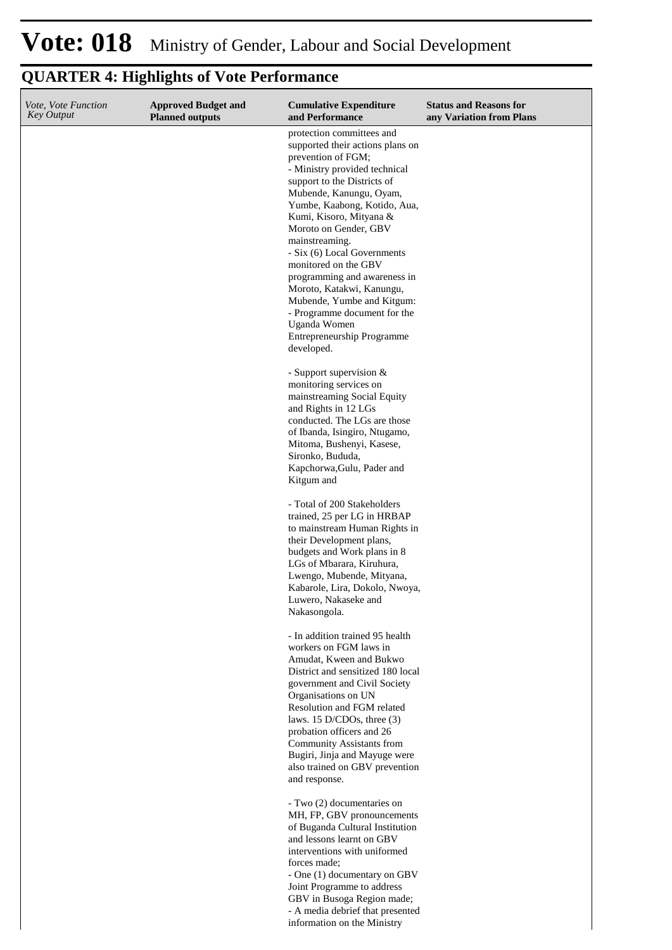| Vote, Vote Function<br><b>Key Output</b> | <b>Approved Budget and</b><br><b>Planned outputs</b> | <b>Cumulative Expenditure</b><br>and Performance                                                                                                                                                                                                                                                                                                                                                    | <b>Status and Reasons for</b><br>any Variation from Plans |
|------------------------------------------|------------------------------------------------------|-----------------------------------------------------------------------------------------------------------------------------------------------------------------------------------------------------------------------------------------------------------------------------------------------------------------------------------------------------------------------------------------------------|-----------------------------------------------------------|
|                                          |                                                      | protection committees and<br>supported their actions plans on<br>prevention of FGM;<br>- Ministry provided technical<br>support to the Districts of<br>Mubende, Kanungu, Oyam,<br>Yumbe, Kaabong, Kotido, Aua,<br>Kumi, Kisoro, Mityana &<br>Moroto on Gender, GBV                                                                                                                                  |                                                           |
|                                          |                                                      | mainstreaming.<br>- Six (6) Local Governments<br>monitored on the GBV                                                                                                                                                                                                                                                                                                                               |                                                           |
|                                          |                                                      | programming and awareness in<br>Moroto, Katakwi, Kanungu,<br>Mubende, Yumbe and Kitgum:<br>- Programme document for the<br>Uganda Women<br>Entrepreneurship Programme<br>developed.                                                                                                                                                                                                                 |                                                           |
|                                          |                                                      | - Support supervision &<br>monitoring services on<br>mainstreaming Social Equity<br>and Rights in 12 LGs<br>conducted. The LGs are those<br>of Ibanda, Isingiro, Ntugamo,<br>Mitoma, Bushenyi, Kasese,<br>Sironko, Bududa,<br>Kapchorwa, Gulu, Pader and<br>Kitgum and                                                                                                                              |                                                           |
|                                          |                                                      | - Total of 200 Stakeholders<br>trained, 25 per LG in HRBAP<br>to mainstream Human Rights in<br>their Development plans,<br>budgets and Work plans in 8<br>LGs of Mbarara, Kiruhura,<br>Lwengo, Mubende, Mityana,<br>Kabarole, Lira, Dokolo, Nwoya,<br>Luwero, Nakaseke and<br>Nakasongola.                                                                                                          |                                                           |
|                                          |                                                      | - In addition trained 95 health<br>workers on FGM laws in<br>Amudat, Kween and Bukwo<br>District and sensitized 180 local<br>government and Civil Society<br>Organisations on UN<br>Resolution and FGM related<br>laws. 15 D/CDOs, three $(3)$<br>probation officers and 26<br><b>Community Assistants from</b><br>Bugiri, Jinja and Mayuge were<br>also trained on GBV prevention<br>and response. |                                                           |
|                                          |                                                      | - Two (2) documentaries on<br>MH, FP, GBV pronouncements<br>of Buganda Cultural Institution<br>and lessons learnt on GBV<br>interventions with uniformed<br>forces made;<br>- One (1) documentary on GBV<br>Joint Programme to address<br>GBV in Busoga Region made;<br>- A media debrief that presented<br>information on the Ministry                                                             |                                                           |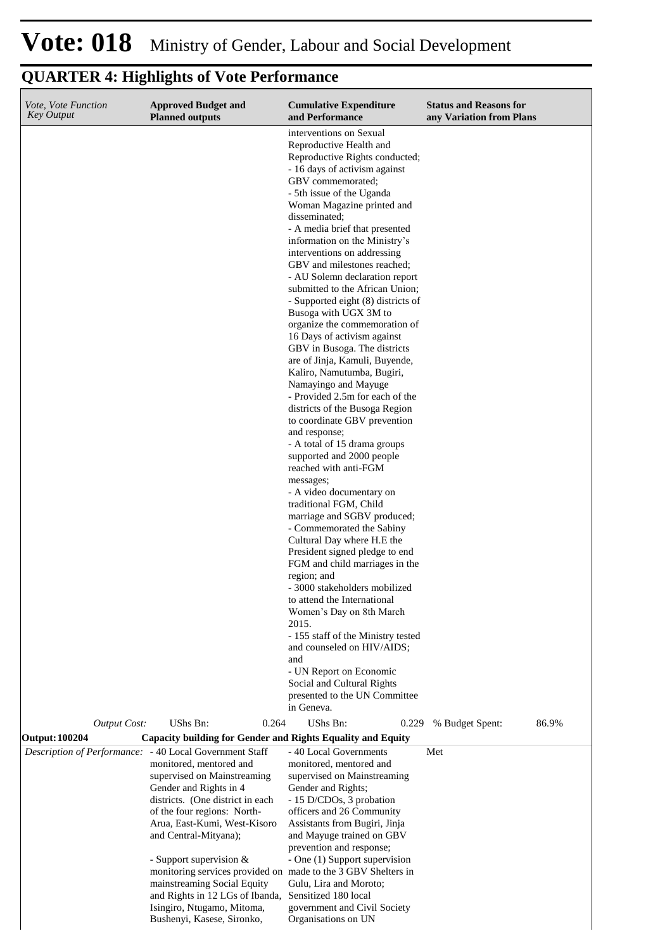| Vote, Vote Function<br><b>Key Output</b> | <b>Approved Budget and</b><br><b>Planned outputs</b>                                                                                                                                                                                                                                                                                                                                                                                                                                              | <b>Cumulative Expenditure</b><br>and Performance                                                                                                                                                                                                                                                                                                                                                                                                                                                                                                                                                                                                                                                                                                                                                                                                                                                                                                                                                                                                                                                                                                                                                                                                                                                                                | <b>Status and Reasons for</b><br>any Variation from Plans |
|------------------------------------------|---------------------------------------------------------------------------------------------------------------------------------------------------------------------------------------------------------------------------------------------------------------------------------------------------------------------------------------------------------------------------------------------------------------------------------------------------------------------------------------------------|---------------------------------------------------------------------------------------------------------------------------------------------------------------------------------------------------------------------------------------------------------------------------------------------------------------------------------------------------------------------------------------------------------------------------------------------------------------------------------------------------------------------------------------------------------------------------------------------------------------------------------------------------------------------------------------------------------------------------------------------------------------------------------------------------------------------------------------------------------------------------------------------------------------------------------------------------------------------------------------------------------------------------------------------------------------------------------------------------------------------------------------------------------------------------------------------------------------------------------------------------------------------------------------------------------------------------------|-----------------------------------------------------------|
|                                          |                                                                                                                                                                                                                                                                                                                                                                                                                                                                                                   | interventions on Sexual<br>Reproductive Health and<br>Reproductive Rights conducted;<br>- 16 days of activism against<br>GBV commemorated;<br>- 5th issue of the Uganda<br>Woman Magazine printed and<br>disseminated;<br>- A media brief that presented<br>information on the Ministry's<br>interventions on addressing<br>GBV and milestones reached;<br>- AU Solemn declaration report<br>submitted to the African Union;<br>- Supported eight (8) districts of<br>Busoga with UGX 3M to<br>organize the commemoration of<br>16 Days of activism against<br>GBV in Busoga. The districts<br>are of Jinja, Kamuli, Buyende,<br>Kaliro, Namutumba, Bugiri,<br>Namayingo and Mayuge<br>- Provided 2.5m for each of the<br>districts of the Busoga Region<br>to coordinate GBV prevention<br>and response;<br>- A total of 15 drama groups<br>supported and 2000 people<br>reached with anti-FGM<br>messages;<br>- A video documentary on<br>traditional FGM, Child<br>marriage and SGBV produced;<br>- Commemorated the Sabiny<br>Cultural Day where H.E the<br>President signed pledge to end<br>FGM and child marriages in the<br>region; and<br>- 3000 stakeholders mobilized<br>to attend the International<br>Women's Day on 8th March<br>2015.<br>- 155 staff of the Ministry tested<br>and counseled on HIV/AIDS;<br>and |                                                           |
|                                          |                                                                                                                                                                                                                                                                                                                                                                                                                                                                                                   | - UN Report on Economic<br>Social and Cultural Rights<br>presented to the UN Committee                                                                                                                                                                                                                                                                                                                                                                                                                                                                                                                                                                                                                                                                                                                                                                                                                                                                                                                                                                                                                                                                                                                                                                                                                                          |                                                           |
| <b>Output Cost:</b>                      | UShs Bn:<br>0.264                                                                                                                                                                                                                                                                                                                                                                                                                                                                                 | in Geneva.<br>UShs Bn:<br>0.229                                                                                                                                                                                                                                                                                                                                                                                                                                                                                                                                                                                                                                                                                                                                                                                                                                                                                                                                                                                                                                                                                                                                                                                                                                                                                                 | % Budget Spent:<br>86.9%                                  |
| <b>Output: 100204</b>                    | <b>Capacity building for Gender and Rights Equality and Equity</b>                                                                                                                                                                                                                                                                                                                                                                                                                                |                                                                                                                                                                                                                                                                                                                                                                                                                                                                                                                                                                                                                                                                                                                                                                                                                                                                                                                                                                                                                                                                                                                                                                                                                                                                                                                                 |                                                           |
|                                          | Description of Performance: - 40 Local Government Staff<br>monitored, mentored and<br>supervised on Mainstreaming<br>Gender and Rights in 4<br>districts. (One district in each<br>of the four regions: North-<br>Arua, East-Kumi, West-Kisoro<br>and Central-Mityana);<br>- Support supervision &<br>monitoring services provided on made to the 3 GBV Shelters in<br>mainstreaming Social Equity<br>and Rights in 12 LGs of Ibanda,<br>Isingiro, Ntugamo, Mitoma,<br>Bushenyi, Kasese, Sironko, | - 40 Local Governments<br>monitored, mentored and<br>supervised on Mainstreaming<br>Gender and Rights;<br>- 15 D/CDOs, 3 probation<br>officers and 26 Community<br>Assistants from Bugiri, Jinja<br>and Mayuge trained on GBV<br>prevention and response;<br>- One (1) Support supervision<br>Gulu, Lira and Moroto;<br>Sensitized 180 local<br>government and Civil Society<br>Organisations on UN                                                                                                                                                                                                                                                                                                                                                                                                                                                                                                                                                                                                                                                                                                                                                                                                                                                                                                                             | Met                                                       |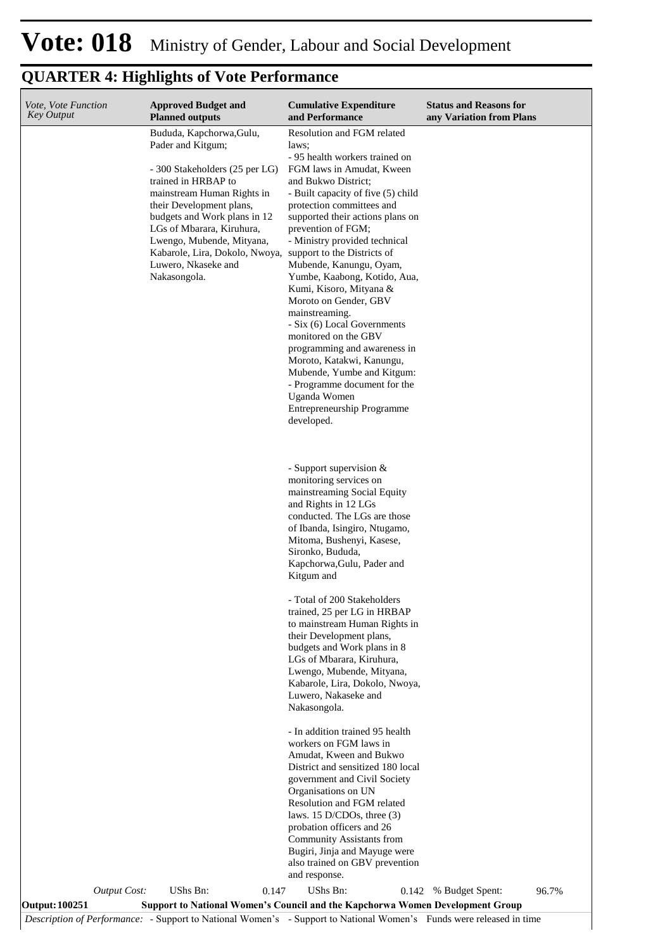| Vote, Vote Function<br><b>Key Output</b> |                     | <b>Approved Budget and</b><br><b>Planned outputs</b>                                                                                             |       | <b>Cumulative Expenditure</b><br>and Performance                                                                                                           | <b>Status and Reasons for</b><br>any Variation from Plans |       |
|------------------------------------------|---------------------|--------------------------------------------------------------------------------------------------------------------------------------------------|-------|------------------------------------------------------------------------------------------------------------------------------------------------------------|-----------------------------------------------------------|-------|
|                                          |                     | Bududa, Kapchorwa, Gulu,<br>Pader and Kitgum;<br>- 300 Stakeholders (25 per LG)<br>trained in HRBAP to                                           |       | Resolution and FGM related<br>laws:<br>- 95 health workers trained on<br>FGM laws in Amudat, Kween<br>and Bukwo District;                                  |                                                           |       |
|                                          |                     | mainstream Human Rights in<br>their Development plans,<br>budgets and Work plans in 12<br>LGs of Mbarara, Kiruhura,<br>Lwengo, Mubende, Mityana, |       | - Built capacity of five (5) child<br>protection committees and<br>supported their actions plans on<br>prevention of FGM;<br>- Ministry provided technical |                                                           |       |
|                                          |                     | Kabarole, Lira, Dokolo, Nwoya, support to the Districts of<br>Luwero, Nkaseke and<br>Nakasongola.                                                |       | Mubende, Kanungu, Oyam,<br>Yumbe, Kaabong, Kotido, Aua,<br>Kumi, Kisoro, Mityana &<br>Moroto on Gender, GBV<br>mainstreaming.                              |                                                           |       |
|                                          |                     |                                                                                                                                                  |       | - Six (6) Local Governments<br>monitored on the GBV<br>programming and awareness in<br>Moroto, Katakwi, Kanungu,<br>Mubende, Yumbe and Kitgum:             |                                                           |       |
|                                          |                     |                                                                                                                                                  |       | - Programme document for the<br>Uganda Women<br>Entrepreneurship Programme<br>developed.                                                                   |                                                           |       |
|                                          |                     |                                                                                                                                                  |       | - Support supervision &<br>monitoring services on<br>mainstreaming Social Equity                                                                           |                                                           |       |
|                                          |                     |                                                                                                                                                  |       | and Rights in 12 LGs<br>conducted. The LGs are those<br>of Ibanda, Isingiro, Ntugamo,<br>Mitoma, Bushenyi, Kasese,<br>Sironko, Bududa,                     |                                                           |       |
|                                          |                     |                                                                                                                                                  |       | Kapchorwa, Gulu, Pader and<br>Kitgum and                                                                                                                   |                                                           |       |
|                                          |                     |                                                                                                                                                  |       | - Total of 200 Stakeholders<br>trained, 25 per LG in HRBAP<br>to mainstream Human Rights in<br>their Development plans,                                    |                                                           |       |
|                                          |                     |                                                                                                                                                  |       | budgets and Work plans in 8<br>LGs of Mbarara, Kiruhura,<br>Lwengo, Mubende, Mityana,<br>Kabarole, Lira, Dokolo, Nwoya,                                    |                                                           |       |
|                                          |                     |                                                                                                                                                  |       | Luwero, Nakaseke and<br>Nakasongola.                                                                                                                       |                                                           |       |
|                                          |                     |                                                                                                                                                  |       | - In addition trained 95 health<br>workers on FGM laws in<br>Amudat, Kween and Bukwo                                                                       |                                                           |       |
|                                          |                     |                                                                                                                                                  |       | District and sensitized 180 local<br>government and Civil Society<br>Organisations on UN                                                                   |                                                           |       |
|                                          |                     |                                                                                                                                                  |       | Resolution and FGM related<br>laws. 15 D/CDOs, three $(3)$<br>probation officers and 26<br><b>Community Assistants from</b>                                |                                                           |       |
|                                          |                     |                                                                                                                                                  |       | Bugiri, Jinja and Mayuge were<br>also trained on GBV prevention<br>and response.                                                                           |                                                           |       |
| <b>Output: 100251</b>                    | <b>Output Cost:</b> | UShs Bn:                                                                                                                                         | 0.147 | UShs Bn:<br>0.142<br><b>Support to National Women's Council and the Kapchorwa Women Development Group</b>                                                  | % Budget Spent:                                           | 96.7% |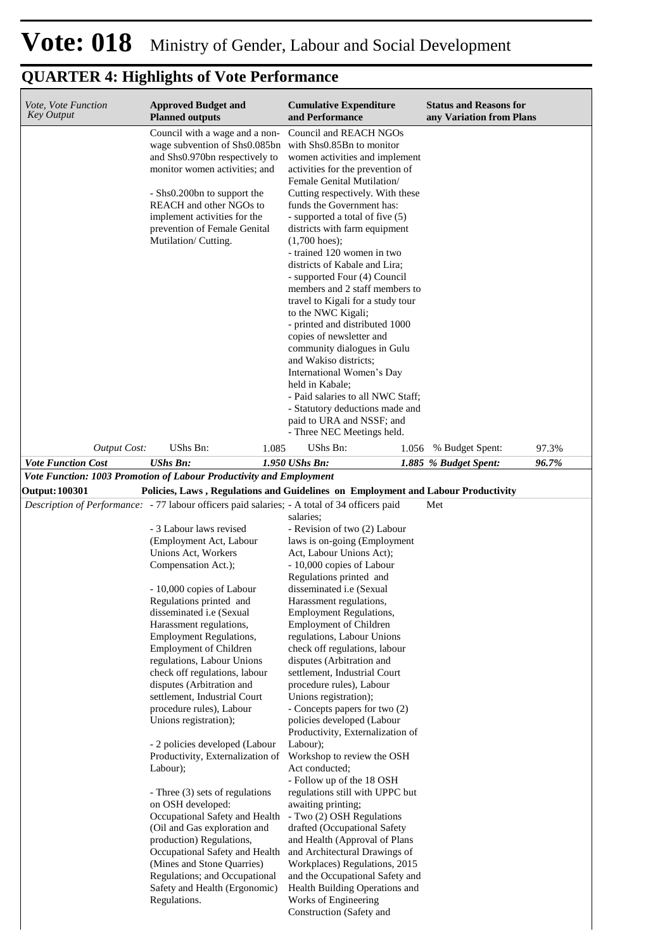| Vote, Vote Function<br><b>Key Output</b>                                                      | <b>Approved Budget and</b><br><b>Planned outputs</b>                                                                                                                                                                                                                                                                                                                                                                                                                                                                                                                                                                                                                                                                                                                                                                                                                 |       | <b>Cumulative Expenditure</b><br>and Performance                                                                                                                                                                                                                                                                                                                                                                                                                                                                                                                                                                                                                                                                                                                                                                                                                                                                                                                                                                       |       | <b>Status and Reasons for</b><br>any Variation from Plans |       |
|-----------------------------------------------------------------------------------------------|----------------------------------------------------------------------------------------------------------------------------------------------------------------------------------------------------------------------------------------------------------------------------------------------------------------------------------------------------------------------------------------------------------------------------------------------------------------------------------------------------------------------------------------------------------------------------------------------------------------------------------------------------------------------------------------------------------------------------------------------------------------------------------------------------------------------------------------------------------------------|-------|------------------------------------------------------------------------------------------------------------------------------------------------------------------------------------------------------------------------------------------------------------------------------------------------------------------------------------------------------------------------------------------------------------------------------------------------------------------------------------------------------------------------------------------------------------------------------------------------------------------------------------------------------------------------------------------------------------------------------------------------------------------------------------------------------------------------------------------------------------------------------------------------------------------------------------------------------------------------------------------------------------------------|-------|-----------------------------------------------------------|-------|
|                                                                                               | Council with a wage and a non-<br>wage subvention of Shs0.085bn<br>and Shs0.970bn respectively to<br>monitor women activities; and<br>- Shs0.200bn to support the<br><b>REACH</b> and other NGOs to<br>implement activities for the<br>prevention of Female Genital<br>Mutilation/Cutting.                                                                                                                                                                                                                                                                                                                                                                                                                                                                                                                                                                           |       | Council and REACH NGOs<br>with Shs0.85Bn to monitor<br>women activities and implement<br>activities for the prevention of<br>Female Genital Mutilation/<br>Cutting respectively. With these<br>funds the Government has:<br>- supported a total of five (5)<br>districts with farm equipment<br>$(1,700$ hoes);<br>- trained 120 women in two<br>districts of Kabale and Lira;<br>- supported Four (4) Council<br>members and 2 staff members to<br>travel to Kigali for a study tour<br>to the NWC Kigali;<br>- printed and distributed 1000<br>copies of newsletter and<br>community dialogues in Gulu<br>and Wakiso districts;<br>International Women's Day<br>held in Kabale;<br>- Paid salaries to all NWC Staff;<br>- Statutory deductions made and<br>paid to URA and NSSF; and<br>- Three NEC Meetings held.                                                                                                                                                                                                   |       |                                                           |       |
| <b>Output Cost:</b>                                                                           | UShs Bn:                                                                                                                                                                                                                                                                                                                                                                                                                                                                                                                                                                                                                                                                                                                                                                                                                                                             | 1.085 | UShs Bn:                                                                                                                                                                                                                                                                                                                                                                                                                                                                                                                                                                                                                                                                                                                                                                                                                                                                                                                                                                                                               | 1.056 | % Budget Spent:                                           | 97.3% |
| <b>Vote Function Cost</b>                                                                     | <b>UShs Bn:</b>                                                                                                                                                                                                                                                                                                                                                                                                                                                                                                                                                                                                                                                                                                                                                                                                                                                      |       | 1.950 UShs Bn:                                                                                                                                                                                                                                                                                                                                                                                                                                                                                                                                                                                                                                                                                                                                                                                                                                                                                                                                                                                                         |       | 1.885 % Budget Spent:                                     | 96.7% |
| Vote Function: 1003 Promotion of Labour Productivity and Employment                           |                                                                                                                                                                                                                                                                                                                                                                                                                                                                                                                                                                                                                                                                                                                                                                                                                                                                      |       |                                                                                                                                                                                                                                                                                                                                                                                                                                                                                                                                                                                                                                                                                                                                                                                                                                                                                                                                                                                                                        |       |                                                           |       |
| <b>Output: 100301</b>                                                                         | Policies, Laws, Regulations and Guidelines on Employment and Labour Productivity                                                                                                                                                                                                                                                                                                                                                                                                                                                                                                                                                                                                                                                                                                                                                                                     |       |                                                                                                                                                                                                                                                                                                                                                                                                                                                                                                                                                                                                                                                                                                                                                                                                                                                                                                                                                                                                                        |       |                                                           |       |
| Description of Performance: - 77 labour officers paid salaries; - A total of 34 officers paid | - 3 Labour laws revised<br>(Employment Act, Labour<br>Unions Act, Workers<br>Compensation Act.);<br>- 10,000 copies of Labour<br>Regulations printed and<br>disseminated <i>i.e</i> (Sexual<br>Harassment regulations,<br><b>Employment Regulations,</b><br><b>Employment of Children</b><br>regulations, Labour Unions<br>check off regulations, labour<br>disputes (Arbitration and<br>settlement, Industrial Court<br>procedure rules), Labour<br>Unions registration);<br>- 2 policies developed (Labour<br>Productivity, Externalization of<br>Labour);<br>- Three (3) sets of regulations<br>on OSH developed:<br>Occupational Safety and Health<br>(Oil and Gas exploration and<br>production) Regulations,<br>Occupational Safety and Health<br>(Mines and Stone Quarries)<br>Regulations; and Occupational<br>Safety and Health (Ergonomic)<br>Regulations. |       | salaries:<br>- Revision of two (2) Labour<br>laws is on-going (Employment<br>Act, Labour Unions Act);<br>- 10,000 copies of Labour<br>Regulations printed and<br>disseminated <i>i.e</i> (Sexual<br>Harassment regulations,<br><b>Employment Regulations,</b><br>Employment of Children<br>regulations, Labour Unions<br>check off regulations, labour<br>disputes (Arbitration and<br>settlement, Industrial Court<br>procedure rules), Labour<br>Unions registration);<br>- Concepts papers for two (2)<br>policies developed (Labour<br>Productivity, Externalization of<br>Labour);<br>Workshop to review the OSH<br>Act conducted;<br>- Follow up of the 18 OSH<br>regulations still with UPPC but<br>awaiting printing;<br>- Two (2) OSH Regulations<br>drafted (Occupational Safety<br>and Health (Approval of Plans<br>and Architectural Drawings of<br>Workplaces) Regulations, 2015<br>and the Occupational Safety and<br>Health Building Operations and<br>Works of Engineering<br>Construction (Safety and |       | Met                                                       |       |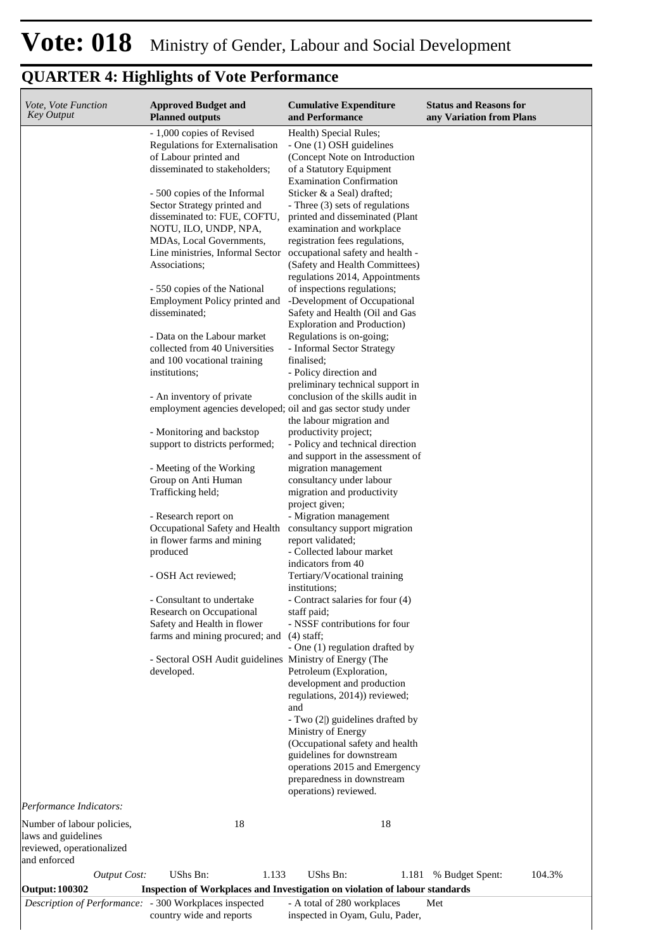| Vote, Vote Function<br>Key Output                                                                         | <b>Approved Budget and</b><br><b>Planned outputs</b>                                                                    | <b>Cumulative Expenditure</b><br>and Performance                                                                                                                 | <b>Status and Reasons for</b><br>any Variation from Plans |
|-----------------------------------------------------------------------------------------------------------|-------------------------------------------------------------------------------------------------------------------------|------------------------------------------------------------------------------------------------------------------------------------------------------------------|-----------------------------------------------------------|
|                                                                                                           | - 1,000 copies of Revised<br>Regulations for Externalisation<br>of Labour printed and<br>disseminated to stakeholders;  | Health) Special Rules;<br>- One (1) OSH guidelines<br>(Concept Note on Introduction<br>of a Statutory Equipment                                                  |                                                           |
|                                                                                                           | - 500 copies of the Informal<br>Sector Strategy printed and<br>disseminated to: FUE, COFTU,<br>NOTU, ILO, UNDP, NPA,    | <b>Examination Confirmation</b><br>Sticker & a Seal) drafted;<br>- Three (3) sets of regulations<br>printed and disseminated (Plant<br>examination and workplace |                                                           |
|                                                                                                           | MDAs, Local Governments,<br>Line ministries, Informal Sector<br>Associations;                                           | registration fees regulations,<br>occupational safety and health -<br>(Safety and Health Committees)<br>regulations 2014, Appointments                           |                                                           |
|                                                                                                           | - 550 copies of the National<br>Employment Policy printed and<br>disseminated;                                          | of inspections regulations;<br>-Development of Occupational<br>Safety and Health (Oil and Gas<br><b>Exploration and Production)</b>                              |                                                           |
|                                                                                                           | - Data on the Labour market<br>collected from 40 Universities<br>and 100 vocational training<br>institutions;           | Regulations is on-going;<br>- Informal Sector Strategy<br>finalised;<br>- Policy direction and                                                                   |                                                           |
|                                                                                                           | - An inventory of private<br>employment agencies developed; oil and gas sector study under<br>- Monitoring and backstop | preliminary technical support in<br>conclusion of the skills audit in<br>the labour migration and<br>productivity project;                                       |                                                           |
|                                                                                                           | support to districts performed;                                                                                         | - Policy and technical direction<br>and support in the assessment of                                                                                             |                                                           |
|                                                                                                           | - Meeting of the Working<br>Group on Anti Human<br>Trafficking held;                                                    | migration management<br>consultancy under labour<br>migration and productivity<br>project given;                                                                 |                                                           |
|                                                                                                           | - Research report on<br>Occupational Safety and Health<br>in flower farms and mining<br>produced                        | - Migration management<br>consultancy support migration<br>report validated;<br>- Collected labour market                                                        |                                                           |
|                                                                                                           | - OSH Act reviewed;                                                                                                     | indicators from 40<br>Tertiary/Vocational training<br>institutions;                                                                                              |                                                           |
|                                                                                                           | - Consultant to undertake<br>Research on Occupational<br>Safety and Health in flower<br>farms and mining procured; and  | - Contract salaries for four (4)<br>staff paid;<br>- NSSF contributions for four<br>$(4)$ staff;                                                                 |                                                           |
|                                                                                                           | - Sectoral OSH Audit guidelines Ministry of Energy (The<br>developed.                                                   | - One (1) regulation drafted by<br>Petroleum (Exploration,<br>development and production<br>regulations, 2014)) reviewed;                                        |                                                           |
|                                                                                                           |                                                                                                                         | and<br>- Two (2 ) guidelines drafted by<br>Ministry of Energy<br>(Occupational safety and health<br>guidelines for downstream<br>operations 2015 and Emergency   |                                                           |
|                                                                                                           |                                                                                                                         | preparedness in downstream<br>operations) reviewed.                                                                                                              |                                                           |
| Performance Indicators:<br>Number of labour policies,<br>laws and guidelines<br>reviewed, operationalized | 18                                                                                                                      | 18                                                                                                                                                               |                                                           |
| and enforced<br><b>Output Cost:</b>                                                                       | UShs Bn:<br>1.133                                                                                                       | UShs Bn:<br>1.181                                                                                                                                                | 104.3%<br>% Budget Spent:                                 |
| Output: 100302                                                                                            | Inspection of Workplaces and Investigation on violation of labour standards                                             |                                                                                                                                                                  |                                                           |
| Description of Performance: - 300 Workplaces inspected                                                    | country wide and reports                                                                                                | - A total of 280 workplaces<br>inspected in Oyam, Gulu, Pader,                                                                                                   | Met                                                       |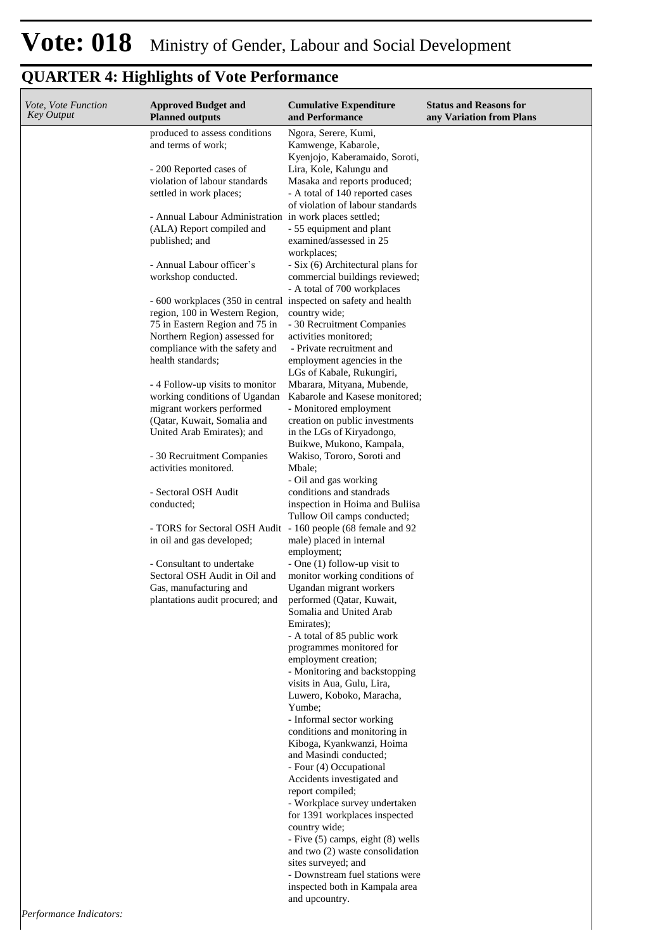| Vote, Vote Function<br>Key Output | <b>Approved Budget and</b><br><b>Planned outputs</b>                                                                                                                 | <b>Cumulative Expenditure</b><br>and Performance                                                                                                      | <b>Status and Reasons for</b><br>any Variation from Plans |
|-----------------------------------|----------------------------------------------------------------------------------------------------------------------------------------------------------------------|-------------------------------------------------------------------------------------------------------------------------------------------------------|-----------------------------------------------------------|
|                                   | produced to assess conditions<br>and terms of work;                                                                                                                  | Ngora, Serere, Kumi,<br>Kamwenge, Kabarole,<br>Kyenjojo, Kaberamaido, Soroti,                                                                         |                                                           |
|                                   | - 200 Reported cases of<br>violation of labour standards<br>settled in work places;                                                                                  | Lira, Kole, Kalungu and<br>Masaka and reports produced;<br>- A total of 140 reported cases<br>of violation of labour standards                        |                                                           |
|                                   | - Annual Labour Administration in work places settled;<br>(ALA) Report compiled and<br>published; and                                                                | - 55 equipment and plant<br>examined/assessed in 25                                                                                                   |                                                           |
|                                   | - Annual Labour officer's<br>workshop conducted.                                                                                                                     | workplaces;<br>- Six (6) Architectural plans for<br>commercial buildings reviewed;<br>- A total of 700 workplaces                                     |                                                           |
|                                   | - 600 workplaces (350 in central inspected on safety and health<br>region, 100 in Western Region,<br>75 in Eastern Region and 75 in<br>Northern Region) assessed for | country wide;<br>- 30 Recruitment Companies<br>activities monitored:                                                                                  |                                                           |
|                                   | compliance with the safety and<br>health standards;                                                                                                                  | - Private recruitment and<br>employment agencies in the<br>LGs of Kabale, Rukungiri,                                                                  |                                                           |
|                                   | - 4 Follow-up visits to monitor<br>working conditions of Ugandan<br>migrant workers performed<br>(Qatar, Kuwait, Somalia and<br>United Arab Emirates); and           | Mbarara, Mityana, Mubende,<br>Kabarole and Kasese monitored;<br>- Monitored employment<br>creation on public investments<br>in the LGs of Kiryadongo, |                                                           |
|                                   | - 30 Recruitment Companies<br>activities monitored.                                                                                                                  | Buikwe, Mukono, Kampala,<br>Wakiso, Tororo, Soroti and<br>Mbale;<br>- Oil and gas working                                                             |                                                           |
|                                   | - Sectoral OSH Audit<br>conducted;                                                                                                                                   | conditions and standrads<br>inspection in Hoima and Buliisa<br>Tullow Oil camps conducted;                                                            |                                                           |
|                                   | - TORS for Sectoral OSH Audit - 160 people (68 female and 92<br>in oil and gas developed;<br>- Consultant to undertake                                               | male) placed in internal<br>employment;<br>- One (1) follow-up visit to                                                                               |                                                           |
|                                   | Sectoral OSH Audit in Oil and<br>Gas, manufacturing and<br>plantations audit procured; and                                                                           | monitor working conditions of<br>Ugandan migrant workers<br>performed (Qatar, Kuwait,<br>Somalia and United Arab<br>Emirates);                        |                                                           |
|                                   |                                                                                                                                                                      | - A total of 85 public work<br>programmes monitored for<br>employment creation;<br>- Monitoring and backstopping                                      |                                                           |
|                                   |                                                                                                                                                                      | visits in Aua, Gulu, Lira,<br>Luwero, Koboko, Maracha,<br>Yumbe;<br>- Informal sector working                                                         |                                                           |
|                                   |                                                                                                                                                                      | conditions and monitoring in<br>Kiboga, Kyankwanzi, Hoima<br>and Masindi conducted;<br>- Four (4) Occupational                                        |                                                           |
|                                   |                                                                                                                                                                      | Accidents investigated and<br>report compiled;<br>- Workplace survey undertaken<br>for 1391 workplaces inspected                                      |                                                           |
|                                   |                                                                                                                                                                      | country wide;<br>- Five (5) camps, eight (8) wells<br>and two (2) waste consolidation<br>sites surveyed; and                                          |                                                           |
| Dorformanoe Indicators            |                                                                                                                                                                      | - Downstream fuel stations were<br>inspected both in Kampala area<br>and upcountry.                                                                   |                                                           |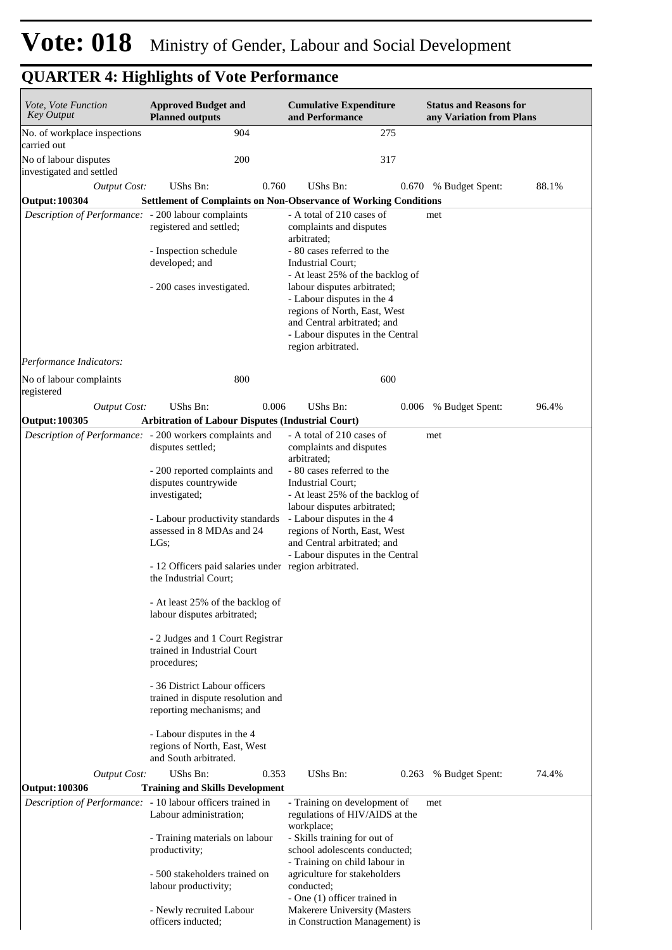| <i>Vote, Vote Function</i><br><b>Key Output</b>                                | <b>Approved Budget and</b><br><b>Planned outputs</b>                                                                                                                                                                                                                                                                                                                                                                                                                                                                                                                     | <b>Cumulative Expenditure</b><br>and Performance                                                                                                                                                                                                                                                                                                 | <b>Status and Reasons for</b><br>any Variation from Plans |
|--------------------------------------------------------------------------------|--------------------------------------------------------------------------------------------------------------------------------------------------------------------------------------------------------------------------------------------------------------------------------------------------------------------------------------------------------------------------------------------------------------------------------------------------------------------------------------------------------------------------------------------------------------------------|--------------------------------------------------------------------------------------------------------------------------------------------------------------------------------------------------------------------------------------------------------------------------------------------------------------------------------------------------|-----------------------------------------------------------|
| No. of workplace inspections<br>carried out                                    | 904                                                                                                                                                                                                                                                                                                                                                                                                                                                                                                                                                                      | 275                                                                                                                                                                                                                                                                                                                                              |                                                           |
| No of labour disputes<br>investigated and settled                              | 200                                                                                                                                                                                                                                                                                                                                                                                                                                                                                                                                                                      | 317                                                                                                                                                                                                                                                                                                                                              |                                                           |
| <b>Output Cost:</b>                                                            | UShs Bn:<br>0.760                                                                                                                                                                                                                                                                                                                                                                                                                                                                                                                                                        | UShs Bn:                                                                                                                                                                                                                                                                                                                                         | 88.1%<br>0.670 % Budget Spent:                            |
| <b>Output: 100304</b>                                                          | <b>Settlement of Complaints on Non-Observance of Working Conditions</b>                                                                                                                                                                                                                                                                                                                                                                                                                                                                                                  |                                                                                                                                                                                                                                                                                                                                                  |                                                           |
| Description of Performance: - 200 labour complaints<br>Performance Indicators: | registered and settled;<br>- Inspection schedule<br>developed; and<br>- 200 cases investigated.                                                                                                                                                                                                                                                                                                                                                                                                                                                                          | - A total of 210 cases of<br>complaints and disputes<br>arbitrated;<br>- 80 cases referred to the<br>Industrial Court;<br>- At least 25% of the backlog of<br>labour disputes arbitrated;<br>- Labour disputes in the 4<br>regions of North, East, West<br>and Central arbitrated; and<br>- Labour disputes in the Central<br>region arbitrated. | met                                                       |
| No of labour complaints                                                        | 800                                                                                                                                                                                                                                                                                                                                                                                                                                                                                                                                                                      | 600                                                                                                                                                                                                                                                                                                                                              |                                                           |
| registered                                                                     |                                                                                                                                                                                                                                                                                                                                                                                                                                                                                                                                                                          |                                                                                                                                                                                                                                                                                                                                                  |                                                           |
| <b>Output Cost:</b>                                                            | UShs Bn:<br>0.006                                                                                                                                                                                                                                                                                                                                                                                                                                                                                                                                                        | UShs Bn:<br>0.006                                                                                                                                                                                                                                                                                                                                | % Budget Spent:<br>96.4%                                  |
| <b>Output: 100305</b>                                                          | <b>Arbitration of Labour Disputes (Industrial Court)</b>                                                                                                                                                                                                                                                                                                                                                                                                                                                                                                                 |                                                                                                                                                                                                                                                                                                                                                  |                                                           |
|                                                                                | Description of Performance: - 200 workers complaints and<br>disputes settled;<br>- 200 reported complaints and<br>disputes countrywide<br>investigated;<br>- Labour productivity standards<br>assessed in 8 MDAs and 24<br>LGs;<br>- 12 Officers paid salaries under region arbitrated.<br>the Industrial Court;<br>- At least 25% of the backlog of<br>labour disputes arbitrated;<br>- 2 Judges and 1 Court Registrar<br>trained in Industrial Court<br>procedures;<br>- 36 District Labour officers<br>trained in dispute resolution and<br>reporting mechanisms; and | - A total of 210 cases of<br>complaints and disputes<br>arbitrated;<br>- 80 cases referred to the<br>Industrial Court;<br>- At least 25% of the backlog of<br>labour disputes arbitrated;<br>- Labour disputes in the 4<br>regions of North, East, West<br>and Central arbitrated; and<br>- Labour disputes in the Central                       | met                                                       |
|                                                                                | - Labour disputes in the 4<br>regions of North, East, West<br>and South arbitrated.                                                                                                                                                                                                                                                                                                                                                                                                                                                                                      |                                                                                                                                                                                                                                                                                                                                                  |                                                           |
| <b>Output Cost:</b>                                                            | UShs Bn:<br>0.353                                                                                                                                                                                                                                                                                                                                                                                                                                                                                                                                                        | UShs Bn:<br>0.263                                                                                                                                                                                                                                                                                                                                | 74.4%<br>% Budget Spent:                                  |
| <b>Output: 100306</b>                                                          | <b>Training and Skills Development</b><br>Description of Performance: - 10 labour officers trained in                                                                                                                                                                                                                                                                                                                                                                                                                                                                    |                                                                                                                                                                                                                                                                                                                                                  |                                                           |
|                                                                                | Labour administration;<br>- Training materials on labour                                                                                                                                                                                                                                                                                                                                                                                                                                                                                                                 | - Training on development of<br>regulations of HIV/AIDS at the<br>workplace;<br>- Skills training for out of                                                                                                                                                                                                                                     | met                                                       |
|                                                                                | productivity;<br>- 500 stakeholders trained on                                                                                                                                                                                                                                                                                                                                                                                                                                                                                                                           | school adolescents conducted;<br>- Training on child labour in<br>agriculture for stakeholders                                                                                                                                                                                                                                                   |                                                           |
|                                                                                | labour productivity;<br>- Newly recruited Labour                                                                                                                                                                                                                                                                                                                                                                                                                                                                                                                         | conducted;<br>- One (1) officer trained in<br>Makerere University (Masters                                                                                                                                                                                                                                                                       |                                                           |
|                                                                                | officers inducted;                                                                                                                                                                                                                                                                                                                                                                                                                                                                                                                                                       | in Construction Management) is                                                                                                                                                                                                                                                                                                                   |                                                           |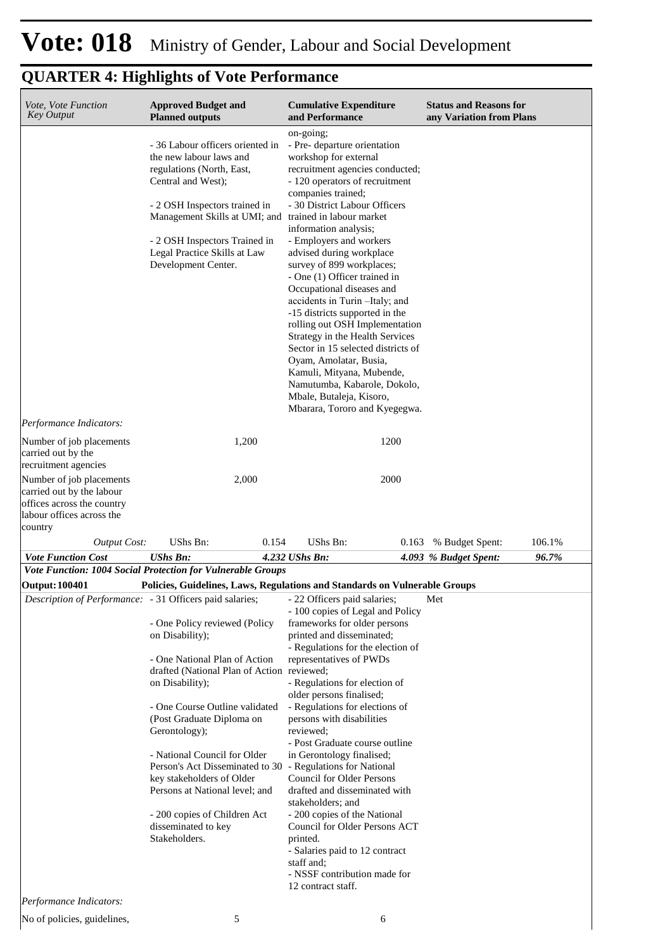| Vote, Vote Function<br><b>Key Output</b>                                                                                                 | <b>Approved Budget and</b><br><b>Planned outputs</b>                                                                                                                                                      | <b>Cumulative Expenditure</b><br>and Performance                                                                                                                                                                                                                                                                                                                                                                                                                        | <b>Status and Reasons for</b><br>any Variation from Plans |
|------------------------------------------------------------------------------------------------------------------------------------------|-----------------------------------------------------------------------------------------------------------------------------------------------------------------------------------------------------------|-------------------------------------------------------------------------------------------------------------------------------------------------------------------------------------------------------------------------------------------------------------------------------------------------------------------------------------------------------------------------------------------------------------------------------------------------------------------------|-----------------------------------------------------------|
|                                                                                                                                          | - 36 Labour officers oriented in<br>the new labour laws and<br>regulations (North, East,<br>Central and West);<br>- 2 OSH Inspectors trained in<br>Management Skills at UMI; and trained in labour market | on-going;<br>- Pre- departure orientation<br>workshop for external<br>recruitment agencies conducted;<br>- 120 operators of recruitment<br>companies trained;<br>- 30 District Labour Officers                                                                                                                                                                                                                                                                          |                                                           |
|                                                                                                                                          | - 2 OSH Inspectors Trained in<br>Legal Practice Skills at Law<br>Development Center.                                                                                                                      | information analysis;<br>- Employers and workers<br>advised during workplace<br>survey of 899 workplaces;<br>- One (1) Officer trained in<br>Occupational diseases and<br>accidents in Turin-Italy; and<br>-15 districts supported in the<br>rolling out OSH Implementation<br>Strategy in the Health Services<br>Sector in 15 selected districts of<br>Oyam, Amolatar, Busia,<br>Kamuli, Mityana, Mubende,<br>Namutumba, Kabarole, Dokolo,<br>Mbale, Butaleja, Kisoro, |                                                           |
| Performance Indicators:                                                                                                                  |                                                                                                                                                                                                           | Mbarara, Tororo and Kyegegwa.                                                                                                                                                                                                                                                                                                                                                                                                                                           |                                                           |
| Number of job placements<br>carried out by the                                                                                           | 1,200                                                                                                                                                                                                     | 1200                                                                                                                                                                                                                                                                                                                                                                                                                                                                    |                                                           |
| recruitment agencies<br>Number of job placements<br>carried out by the labour<br>offices across the country<br>labour offices across the | 2,000                                                                                                                                                                                                     | 2000                                                                                                                                                                                                                                                                                                                                                                                                                                                                    |                                                           |
| country<br><b>Output Cost:</b>                                                                                                           | UShs Bn:<br>0.154                                                                                                                                                                                         | UShs Bn:<br>0.163                                                                                                                                                                                                                                                                                                                                                                                                                                                       | % Budget Spent:<br>106.1%                                 |
| <b>Vote Function Cost</b>                                                                                                                | <b>UShs Bn:</b>                                                                                                                                                                                           | 4.232 UShs Bn:                                                                                                                                                                                                                                                                                                                                                                                                                                                          | 96.7%<br>4.093 % Budget Spent:                            |
|                                                                                                                                          | Vote Function: 1004 Social Protection for Vulnerable Groups                                                                                                                                               |                                                                                                                                                                                                                                                                                                                                                                                                                                                                         |                                                           |
| Output: 100401                                                                                                                           | Policies, Guidelines, Laws, Regulations and Standards on Vulnerable Groups<br><i>Description of Performance:</i> - 31 Officers paid salaries; - 22 Officers paid salaries;                                |                                                                                                                                                                                                                                                                                                                                                                                                                                                                         | Met                                                       |
|                                                                                                                                          | - One Policy reviewed (Policy<br>on Disability);                                                                                                                                                          | - 100 copies of Legal and Policy<br>frameworks for older persons<br>printed and disseminated;                                                                                                                                                                                                                                                                                                                                                                           |                                                           |
|                                                                                                                                          | - One National Plan of Action<br>drafted (National Plan of Action reviewed;<br>on Disability);                                                                                                            | - Regulations for the election of<br>representatives of PWDs<br>- Regulations for election of<br>older persons finalised;                                                                                                                                                                                                                                                                                                                                               |                                                           |
|                                                                                                                                          | - One Course Outline validated<br>(Post Graduate Diploma on<br>Gerontology);                                                                                                                              | - Regulations for elections of<br>persons with disabilities<br>reviewed:<br>- Post Graduate course outline                                                                                                                                                                                                                                                                                                                                                              |                                                           |
|                                                                                                                                          | - National Council for Older<br>Person's Act Disseminated to 30 - Regulations for National<br>key stakeholders of Older<br>Persons at National level; and                                                 | in Gerontology finalised;<br>Council for Older Persons<br>drafted and disseminated with<br>stakeholders; and                                                                                                                                                                                                                                                                                                                                                            |                                                           |
|                                                                                                                                          | - 200 copies of Children Act<br>disseminated to key<br>Stakeholders.                                                                                                                                      | - 200 copies of the National<br>Council for Older Persons ACT<br>printed.<br>- Salaries paid to 12 contract<br>staff and:<br>- NSSF contribution made for<br>12 contract staff.                                                                                                                                                                                                                                                                                         |                                                           |
| Performance Indicators:                                                                                                                  |                                                                                                                                                                                                           |                                                                                                                                                                                                                                                                                                                                                                                                                                                                         |                                                           |
| No of policies, guidelines,                                                                                                              | 5                                                                                                                                                                                                         | 6                                                                                                                                                                                                                                                                                                                                                                                                                                                                       |                                                           |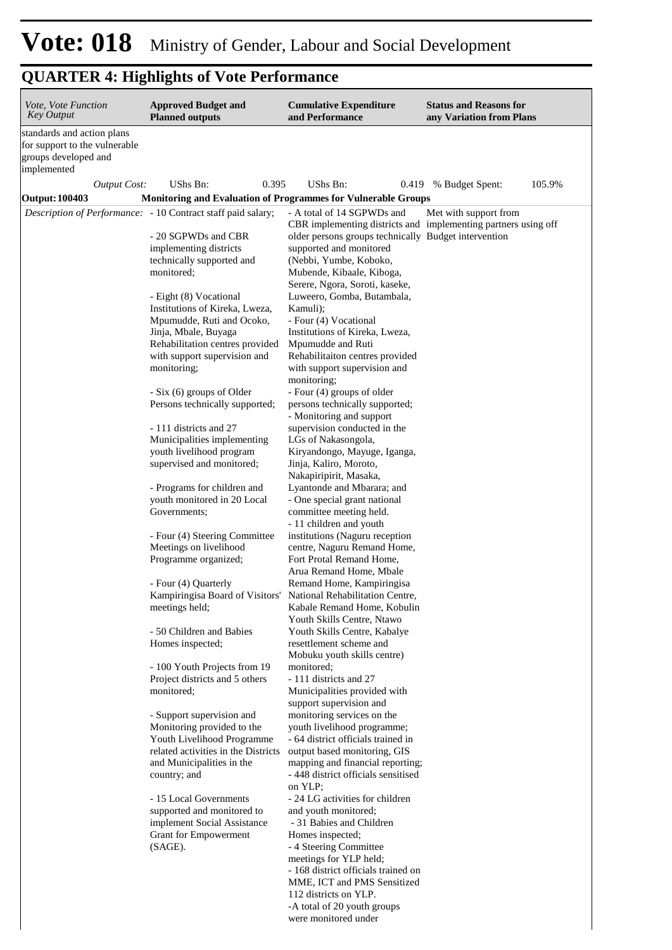| <i>Vote, Vote Function</i><br><b>Key Output</b>             | <b>Approved Budget and</b><br><b>Planned outputs</b>                 | <b>Cumulative Expenditure</b><br>and Performance                                | <b>Status and Reasons for</b><br>any Variation from Plans                               |
|-------------------------------------------------------------|----------------------------------------------------------------------|---------------------------------------------------------------------------------|-----------------------------------------------------------------------------------------|
| standards and action plans<br>for support to the vulnerable |                                                                      |                                                                                 |                                                                                         |
| groups developed and<br>implemented                         |                                                                      |                                                                                 |                                                                                         |
| <b>Output Cost:</b>                                         | UShs Bn:<br>0.395                                                    | <b>UShs Bn:</b>                                                                 | 105.9%<br>0.419 % Budget Spent:                                                         |
| <b>Output: 100403</b>                                       | <b>Monitoring and Evaluation of Programmes for Vulnerable Groups</b> |                                                                                 |                                                                                         |
|                                                             | Description of Performance: - 10 Contract staff paid salary;         | - A total of 14 SGPWDs and                                                      | Met with support from<br>CBR implementing districts and implementing partners using off |
|                                                             | - 20 SGPWDs and CBR<br>implementing districts                        | older persons groups technically Budget intervention<br>supported and monitored |                                                                                         |
|                                                             | technically supported and                                            | (Nebbi, Yumbe, Koboko,                                                          |                                                                                         |
|                                                             | monitored;                                                           | Mubende, Kibaale, Kiboga,<br>Serere, Ngora, Soroti, kaseke,                     |                                                                                         |
|                                                             | - Eight (8) Vocational                                               | Luweero, Gomba, Butambala,                                                      |                                                                                         |
|                                                             | Institutions of Kireka, Lweza,                                       | Kamuli);                                                                        |                                                                                         |
|                                                             | Mpumudde, Ruti and Ocoko,                                            | - Four (4) Vocational                                                           |                                                                                         |
|                                                             | Jinja, Mbale, Buyaga<br>Rehabilitation centres provided              | Institutions of Kireka, Lweza,<br>Mpumudde and Ruti                             |                                                                                         |
|                                                             | with support supervision and                                         | Rehabilitaiton centres provided                                                 |                                                                                         |
|                                                             | monitoring;                                                          | with support supervision and                                                    |                                                                                         |
|                                                             |                                                                      | monitoring;                                                                     |                                                                                         |
|                                                             | - Six (6) groups of Older<br>Persons technically supported;          | - Four (4) groups of older<br>persons technically supported;                    |                                                                                         |
|                                                             |                                                                      | - Monitoring and support                                                        |                                                                                         |
|                                                             | - 111 districts and 27                                               | supervision conducted in the                                                    |                                                                                         |
|                                                             | Municipalities implementing                                          | LGs of Nakasongola,                                                             |                                                                                         |
|                                                             | youth livelihood program<br>supervised and monitored;                | Kiryandongo, Mayuge, Iganga,<br>Jinja, Kaliro, Moroto,                          |                                                                                         |
|                                                             | - Programs for children and                                          | Nakapiripirit, Masaka,<br>Lyantonde and Mbarara; and                            |                                                                                         |
|                                                             | youth monitored in 20 Local<br>Governments;                          | - One special grant national<br>committee meeting held.                         |                                                                                         |
|                                                             |                                                                      | - 11 children and youth                                                         |                                                                                         |
|                                                             | - Four (4) Steering Committee                                        | institutions (Naguru reception                                                  |                                                                                         |
|                                                             | Meetings on livelihood                                               | centre, Naguru Remand Home,<br>Fort Protal Remand Home,                         |                                                                                         |
|                                                             | Programme organized;                                                 | Arua Remand Home, Mbale                                                         |                                                                                         |
|                                                             | - Four (4) Quarterly                                                 | Remand Home, Kampiringisa                                                       |                                                                                         |
|                                                             | Kampiringisa Board of Visitors'                                      | National Rehabilitation Centre,                                                 |                                                                                         |
|                                                             | meetings held;                                                       | Kabale Remand Home, Kobulin                                                     |                                                                                         |
|                                                             | - 50 Children and Babies                                             | Youth Skills Centre, Ntawo<br>Youth Skills Centre, Kabalye                      |                                                                                         |
|                                                             | Homes inspected;                                                     | resettlement scheme and                                                         |                                                                                         |
|                                                             |                                                                      | Mobuku youth skills centre)                                                     |                                                                                         |
|                                                             | - 100 Youth Projects from 19                                         | monitored:<br>- 111 districts and 27                                            |                                                                                         |
|                                                             | Project districts and 5 others<br>monitored;                         | Municipalities provided with                                                    |                                                                                         |
|                                                             |                                                                      | support supervision and                                                         |                                                                                         |
|                                                             | - Support supervision and                                            | monitoring services on the                                                      |                                                                                         |
|                                                             | Monitoring provided to the<br>Youth Livelihood Programme             | youth livelihood programme;<br>- 64 district officials trained in               |                                                                                         |
|                                                             | related activities in the Districts                                  | output based monitoring, GIS                                                    |                                                                                         |
|                                                             | and Municipalities in the                                            | mapping and financial reporting;                                                |                                                                                         |
|                                                             | country; and                                                         | - 448 district officials sensitised<br>on YLP;                                  |                                                                                         |
|                                                             | - 15 Local Governments                                               | - 24 LG activities for children                                                 |                                                                                         |
|                                                             | supported and monitored to                                           | and youth monitored;                                                            |                                                                                         |
|                                                             | implement Social Assistance<br>Grant for Empowerment                 | - 31 Babies and Children<br>Homes inspected;                                    |                                                                                         |
|                                                             | (SAGE).                                                              | - 4 Steering Committee                                                          |                                                                                         |
|                                                             |                                                                      | meetings for YLP held;                                                          |                                                                                         |
|                                                             |                                                                      | - 168 district officials trained on                                             |                                                                                         |
|                                                             |                                                                      | MME, ICT and PMS Sensitized<br>112 districts on YLP.                            |                                                                                         |
|                                                             |                                                                      | -A total of 20 youth groups                                                     |                                                                                         |
|                                                             |                                                                      | were monitored under                                                            |                                                                                         |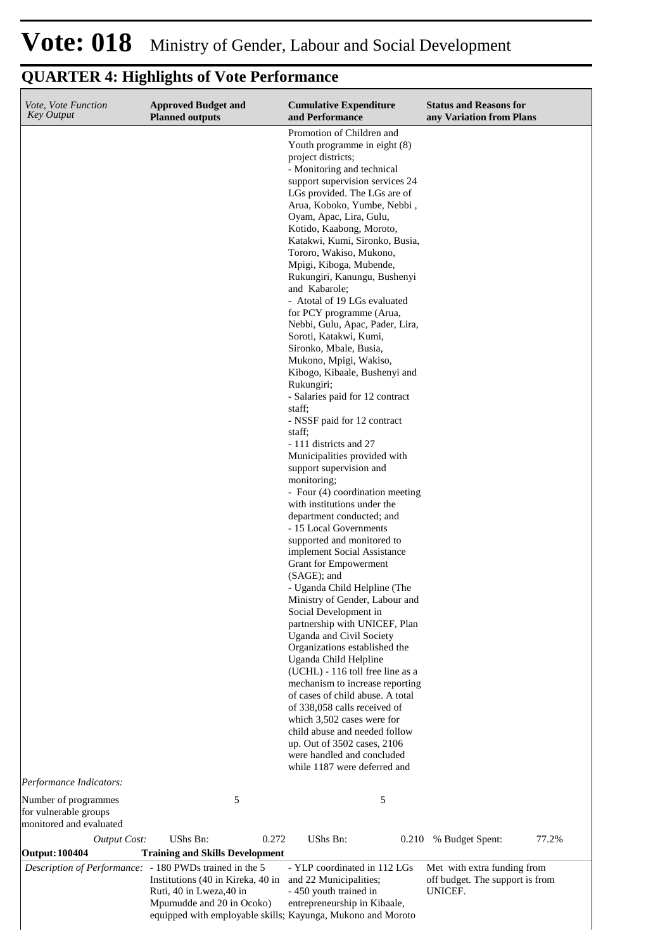| Vote, Vote Function<br><b>Key Output</b>                                         | <b>Approved Budget and</b><br><b>Planned outputs</b>                                     | <b>Cumulative Expenditure</b><br>and Performance                                | <b>Status and Reasons for</b><br>any Variation from Plans |
|----------------------------------------------------------------------------------|------------------------------------------------------------------------------------------|---------------------------------------------------------------------------------|-----------------------------------------------------------|
|                                                                                  |                                                                                          | Promotion of Children and<br>Youth programme in eight (8)<br>project districts; |                                                           |
|                                                                                  |                                                                                          | - Monitoring and technical                                                      |                                                           |
|                                                                                  |                                                                                          | support supervision services 24<br>LGs provided. The LGs are of                 |                                                           |
|                                                                                  |                                                                                          | Arua, Koboko, Yumbe, Nebbi,                                                     |                                                           |
|                                                                                  |                                                                                          | Oyam, Apac, Lira, Gulu,<br>Kotido, Kaabong, Moroto,                             |                                                           |
|                                                                                  |                                                                                          | Katakwi, Kumi, Sironko, Busia,                                                  |                                                           |
|                                                                                  |                                                                                          | Tororo, Wakiso, Mukono,                                                         |                                                           |
|                                                                                  |                                                                                          | Mpigi, Kiboga, Mubende,<br>Rukungiri, Kanungu, Bushenyi                         |                                                           |
|                                                                                  |                                                                                          | and Kabarole;                                                                   |                                                           |
|                                                                                  |                                                                                          | - Atotal of 19 LGs evaluated<br>for PCY programme (Arua,                        |                                                           |
|                                                                                  |                                                                                          | Nebbi, Gulu, Apac, Pader, Lira,                                                 |                                                           |
|                                                                                  |                                                                                          | Soroti, Katakwi, Kumi,                                                          |                                                           |
|                                                                                  |                                                                                          | Sironko, Mbale, Busia,<br>Mukono, Mpigi, Wakiso,                                |                                                           |
|                                                                                  |                                                                                          | Kibogo, Kibaale, Bushenyi and                                                   |                                                           |
|                                                                                  |                                                                                          | Rukungiri;<br>- Salaries paid for 12 contract                                   |                                                           |
|                                                                                  |                                                                                          | staff:                                                                          |                                                           |
|                                                                                  |                                                                                          | - NSSF paid for 12 contract                                                     |                                                           |
|                                                                                  |                                                                                          | staff;<br>- 111 districts and 27                                                |                                                           |
|                                                                                  |                                                                                          | Municipalities provided with                                                    |                                                           |
|                                                                                  |                                                                                          | support supervision and<br>monitoring;                                          |                                                           |
|                                                                                  |                                                                                          | - Four (4) coordination meeting                                                 |                                                           |
|                                                                                  |                                                                                          | with institutions under the                                                     |                                                           |
|                                                                                  |                                                                                          | department conducted; and<br>- 15 Local Governments                             |                                                           |
|                                                                                  |                                                                                          | supported and monitored to                                                      |                                                           |
|                                                                                  |                                                                                          | implement Social Assistance<br>Grant for Empowerment                            |                                                           |
|                                                                                  |                                                                                          | (SAGE); and                                                                     |                                                           |
|                                                                                  |                                                                                          | - Uganda Child Helpline (The                                                    |                                                           |
|                                                                                  |                                                                                          | Ministry of Gender, Labour and<br>Social Development in                         |                                                           |
|                                                                                  |                                                                                          | partnership with UNICEF, Plan                                                   |                                                           |
|                                                                                  |                                                                                          | Uganda and Civil Society<br>Organizations established the                       |                                                           |
|                                                                                  |                                                                                          | Uganda Child Helpline                                                           |                                                           |
|                                                                                  |                                                                                          | (UCHL) - 116 toll free line as a<br>mechanism to increase reporting             |                                                           |
|                                                                                  |                                                                                          | of cases of child abuse. A total                                                |                                                           |
|                                                                                  |                                                                                          | of 338,058 calls received of                                                    |                                                           |
|                                                                                  |                                                                                          | which 3,502 cases were for<br>child abuse and needed follow                     |                                                           |
|                                                                                  |                                                                                          | up. Out of 3502 cases, 2106                                                     |                                                           |
|                                                                                  |                                                                                          | were handled and concluded<br>while 1187 were deferred and                      |                                                           |
| Performance Indicators:                                                          |                                                                                          |                                                                                 |                                                           |
| Number of programmes                                                             | 5                                                                                        | 5                                                                               |                                                           |
| for vulnerable groups<br>monitored and evaluated                                 |                                                                                          |                                                                                 |                                                           |
| <b>Output Cost:</b>                                                              | UShs Bn:<br>0.272                                                                        | UShs Bn:<br>0.210                                                               | 77.2%<br>% Budget Spent:                                  |
| <b>Output: 100404</b><br>Description of Performance: - 180 PWDs trained in the 5 | <b>Training and Skills Development</b>                                                   | - YLP coordinated in 112 LGs                                                    | Met with extra funding from                               |
|                                                                                  | Institutions (40 in Kireka, 40 in<br>Ruti, 40 in Lweza, 40 in                            | and 22 Municipalities;<br>- 450 youth trained in                                | off budget. The support is from<br>UNICEF.                |
|                                                                                  | Mpumudde and 20 in Ocoko)<br>equipped with employable skills; Kayunga, Mukono and Moroto | entrepreneurship in Kibaale,                                                    |                                                           |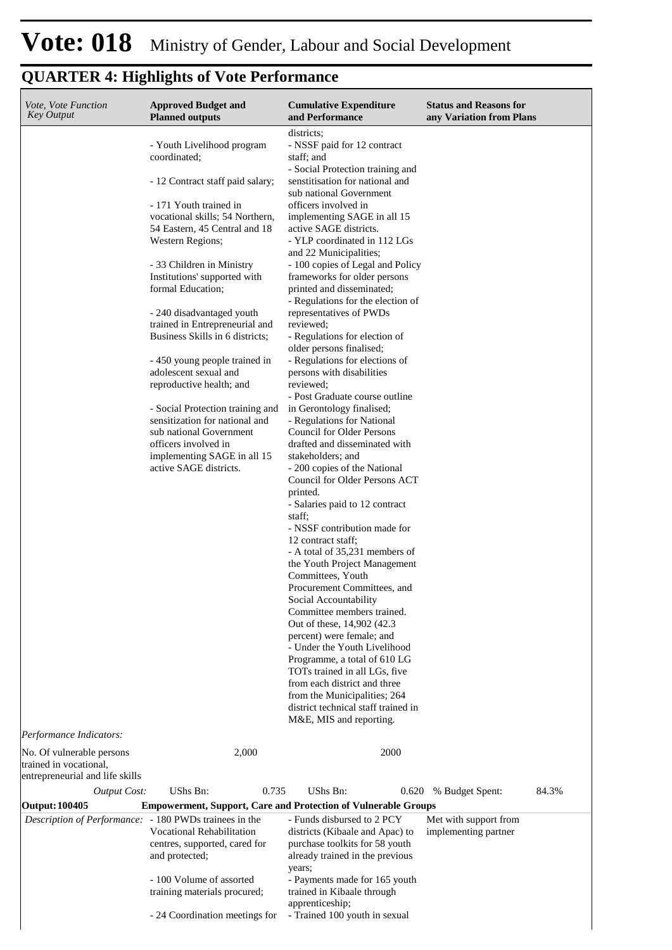| <i>Vote, Vote Function</i><br><b>Key Output</b>                                                                   | <b>Approved Budget and</b><br><b>Planned outputs</b>                                                                                                                                                                                                                                                                                                                                                                                                                                                                                                                                                                                                         | <b>Cumulative Expenditure</b><br>and Performance                                                                                                                                                                                                                                                                                                                                                                                                                                                                                                                                                                                                                                                                                                                                                                                                                                                                                                                                                                                    | <b>Status and Reasons for</b><br>any Variation from Plans |
|-------------------------------------------------------------------------------------------------------------------|--------------------------------------------------------------------------------------------------------------------------------------------------------------------------------------------------------------------------------------------------------------------------------------------------------------------------------------------------------------------------------------------------------------------------------------------------------------------------------------------------------------------------------------------------------------------------------------------------------------------------------------------------------------|-------------------------------------------------------------------------------------------------------------------------------------------------------------------------------------------------------------------------------------------------------------------------------------------------------------------------------------------------------------------------------------------------------------------------------------------------------------------------------------------------------------------------------------------------------------------------------------------------------------------------------------------------------------------------------------------------------------------------------------------------------------------------------------------------------------------------------------------------------------------------------------------------------------------------------------------------------------------------------------------------------------------------------------|-----------------------------------------------------------|
|                                                                                                                   | - Youth Livelihood program<br>coordinated;<br>- 12 Contract staff paid salary;<br>- 171 Youth trained in<br>vocational skills; 54 Northern,<br>54 Eastern, 45 Central and 18<br>Western Regions;<br>- 33 Children in Ministry<br>Institutions' supported with<br>formal Education;<br>- 240 disadvantaged youth<br>trained in Entrepreneurial and<br>Business Skills in 6 districts:<br>- 450 young people trained in<br>adolescent sexual and<br>reproductive health; and<br>- Social Protection training and<br>sensitization for national and<br>sub national Government<br>officers involved in<br>implementing SAGE in all 15<br>active SAGE districts. | districts;<br>- NSSF paid for 12 contract<br>staff; and<br>- Social Protection training and<br>senstitisation for national and<br>sub national Government<br>officers involved in<br>implementing SAGE in all 15<br>active SAGE districts.<br>- YLP coordinated in 112 LGs<br>and 22 Municipalities;<br>- 100 copies of Legal and Policy<br>frameworks for older persons<br>printed and disseminated;<br>- Regulations for the election of<br>representatives of PWDs<br>reviewed;<br>- Regulations for election of<br>older persons finalised;<br>- Regulations for elections of<br>persons with disabilities<br>reviewed:<br>- Post Graduate course outline<br>in Gerontology finalised;<br>- Regulations for National<br><b>Council for Older Persons</b><br>drafted and disseminated with<br>stakeholders; and<br>- 200 copies of the National<br>Council for Older Persons ACT<br>printed.<br>- Salaries paid to 12 contract<br>staff:<br>- NSSF contribution made for<br>12 contract staff;<br>- A total of 35,231 members of |                                                           |
|                                                                                                                   |                                                                                                                                                                                                                                                                                                                                                                                                                                                                                                                                                                                                                                                              | the Youth Project Management<br>Committees, Youth<br>Procurement Committees, and<br>Social Accountability<br>Committee members trained.<br>Out of these, 14,902 (42.3)<br>percent) were female; and<br>- Under the Youth Livelihood<br>Programme, a total of 610 LG<br>TOTs trained in all LGs, five<br>from each district and three<br>from the Municipalities; 264                                                                                                                                                                                                                                                                                                                                                                                                                                                                                                                                                                                                                                                                |                                                           |
|                                                                                                                   |                                                                                                                                                                                                                                                                                                                                                                                                                                                                                                                                                                                                                                                              | district technical staff trained in<br>M&E, MIS and reporting.                                                                                                                                                                                                                                                                                                                                                                                                                                                                                                                                                                                                                                                                                                                                                                                                                                                                                                                                                                      |                                                           |
| Performance Indicators:<br>No. Of vulnerable persons<br>trained in vocational,<br>entrepreneurial and life skills | 2,000                                                                                                                                                                                                                                                                                                                                                                                                                                                                                                                                                                                                                                                        | 2000                                                                                                                                                                                                                                                                                                                                                                                                                                                                                                                                                                                                                                                                                                                                                                                                                                                                                                                                                                                                                                |                                                           |
| Output Cost:                                                                                                      | UShs Bn:<br>0.735                                                                                                                                                                                                                                                                                                                                                                                                                                                                                                                                                                                                                                            | UShs Bn:<br>0.620                                                                                                                                                                                                                                                                                                                                                                                                                                                                                                                                                                                                                                                                                                                                                                                                                                                                                                                                                                                                                   | 84.3%<br>% Budget Spent:                                  |
| <b>Output: 100405</b>                                                                                             |                                                                                                                                                                                                                                                                                                                                                                                                                                                                                                                                                                                                                                                              | <b>Empowerment, Support, Care and Protection of Vulnerable Groups</b>                                                                                                                                                                                                                                                                                                                                                                                                                                                                                                                                                                                                                                                                                                                                                                                                                                                                                                                                                               |                                                           |
| Description of Performance: - 180 PWDs trainees in the                                                            | <b>Vocational Rehabilitation</b><br>centres, supported, cared for<br>and protected;                                                                                                                                                                                                                                                                                                                                                                                                                                                                                                                                                                          | - Funds disbursed to 2 PCY<br>districts (Kibaale and Apac) to<br>purchase toolkits for 58 youth<br>already trained in the previous<br>years;                                                                                                                                                                                                                                                                                                                                                                                                                                                                                                                                                                                                                                                                                                                                                                                                                                                                                        | Met with support from<br>implementing partner             |
|                                                                                                                   | - 100 Volume of assorted<br>training materials procured;                                                                                                                                                                                                                                                                                                                                                                                                                                                                                                                                                                                                     | - Payments made for 165 youth<br>trained in Kibaale through<br>apprenticeship;                                                                                                                                                                                                                                                                                                                                                                                                                                                                                                                                                                                                                                                                                                                                                                                                                                                                                                                                                      |                                                           |
|                                                                                                                   | - 24 Coordination meetings for                                                                                                                                                                                                                                                                                                                                                                                                                                                                                                                                                                                                                               | - Trained 100 youth in sexual                                                                                                                                                                                                                                                                                                                                                                                                                                                                                                                                                                                                                                                                                                                                                                                                                                                                                                                                                                                                       |                                                           |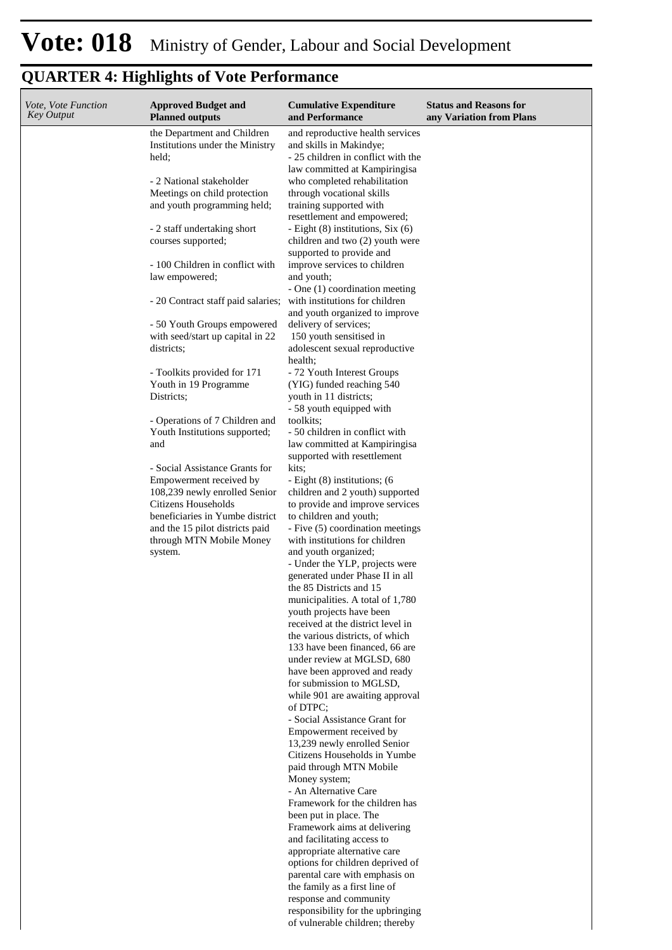| Vote, Vote Function<br>Key Output | <b>Approved Budget and</b><br><b>Planned outputs</b>               | <b>Cumulative Expenditure</b><br>and Performance                | <b>Status and Reasons for</b><br>any Variation from Plans |
|-----------------------------------|--------------------------------------------------------------------|-----------------------------------------------------------------|-----------------------------------------------------------|
|                                   | the Department and Children                                        | and reproductive health services                                |                                                           |
|                                   | Institutions under the Ministry                                    | and skills in Makindye;                                         |                                                           |
|                                   | held;                                                              | - 25 children in conflict with the                              |                                                           |
|                                   |                                                                    | law committed at Kampiringisa                                   |                                                           |
|                                   | - 2 National stakeholder<br>Meetings on child protection           | who completed rehabilitation<br>through vocational skills       |                                                           |
|                                   | and youth programming held;                                        | training supported with                                         |                                                           |
|                                   |                                                                    | resettlement and empowered;                                     |                                                           |
|                                   | - 2 staff undertaking short                                        | - Eight (8) institutions, Six (6)                               |                                                           |
|                                   | courses supported;                                                 | children and two (2) youth were<br>supported to provide and     |                                                           |
|                                   | - 100 Children in conflict with                                    | improve services to children                                    |                                                           |
|                                   | law empowered;                                                     | and youth;                                                      |                                                           |
|                                   |                                                                    | - One (1) coordination meeting                                  |                                                           |
|                                   | - 20 Contract staff paid salaries;                                 | with institutions for children                                  |                                                           |
|                                   | - 50 Youth Groups empowered                                        | and youth organized to improve<br>delivery of services;         |                                                           |
|                                   | with seed/start up capital in 22                                   | 150 youth sensitised in                                         |                                                           |
|                                   | districts;                                                         | adolescent sexual reproductive                                  |                                                           |
|                                   | - Toolkits provided for 171                                        | health;<br>- 72 Youth Interest Groups                           |                                                           |
|                                   | Youth in 19 Programme                                              | (YIG) funded reaching 540                                       |                                                           |
|                                   | Districts;                                                         | youth in 11 districts;                                          |                                                           |
|                                   |                                                                    | - 58 youth equipped with                                        |                                                           |
|                                   | - Operations of 7 Children and                                     | toolkits;                                                       |                                                           |
|                                   | Youth Institutions supported;                                      | - 50 children in conflict with                                  |                                                           |
|                                   | and                                                                | law committed at Kampiringisa<br>supported with resettlement    |                                                           |
|                                   | - Social Assistance Grants for                                     | kits;                                                           |                                                           |
|                                   | Empowerment received by                                            | - Eight (8) institutions; (6)                                   |                                                           |
|                                   | 108,239 newly enrolled Senior                                      | children and 2 youth) supported                                 |                                                           |
|                                   | Citizens Households                                                | to provide and improve services                                 |                                                           |
|                                   | beneficiaries in Yumbe district<br>and the 15 pilot districts paid | to children and youth;<br>- Five (5) coordination meetings      |                                                           |
|                                   | through MTN Mobile Money                                           | with institutions for children                                  |                                                           |
|                                   | system.                                                            | and youth organized;                                            |                                                           |
|                                   |                                                                    | - Under the YLP, projects were                                  |                                                           |
|                                   |                                                                    | generated under Phase II in all                                 |                                                           |
|                                   |                                                                    | the 85 Districts and 15<br>municipalities. A total of 1,780     |                                                           |
|                                   |                                                                    | youth projects have been                                        |                                                           |
|                                   |                                                                    | received at the district level in                               |                                                           |
|                                   |                                                                    | the various districts, of which                                 |                                                           |
|                                   |                                                                    | 133 have been financed, 66 are                                  |                                                           |
|                                   |                                                                    | under review at MGLSD, 680                                      |                                                           |
|                                   |                                                                    | have been approved and ready<br>for submission to MGLSD,        |                                                           |
|                                   |                                                                    | while 901 are awaiting approval                                 |                                                           |
|                                   |                                                                    | of DTPC:                                                        |                                                           |
|                                   |                                                                    | - Social Assistance Grant for<br>Empowerment received by        |                                                           |
|                                   |                                                                    | 13,239 newly enrolled Senior                                    |                                                           |
|                                   |                                                                    | Citizens Households in Yumbe                                    |                                                           |
|                                   |                                                                    | paid through MTN Mobile                                         |                                                           |
|                                   |                                                                    | Money system;                                                   |                                                           |
|                                   |                                                                    | - An Alternative Care<br>Framework for the children has         |                                                           |
|                                   |                                                                    | been put in place. The                                          |                                                           |
|                                   |                                                                    | Framework aims at delivering                                    |                                                           |
|                                   |                                                                    | and facilitating access to                                      |                                                           |
|                                   |                                                                    | appropriate alternative care                                    |                                                           |
|                                   |                                                                    | options for children deprived of                                |                                                           |
|                                   |                                                                    | parental care with emphasis on<br>the family as a first line of |                                                           |
|                                   |                                                                    | response and community                                          |                                                           |
|                                   |                                                                    | responsibility for the upbringing                               |                                                           |
|                                   |                                                                    | of vulnerable children; thereby                                 |                                                           |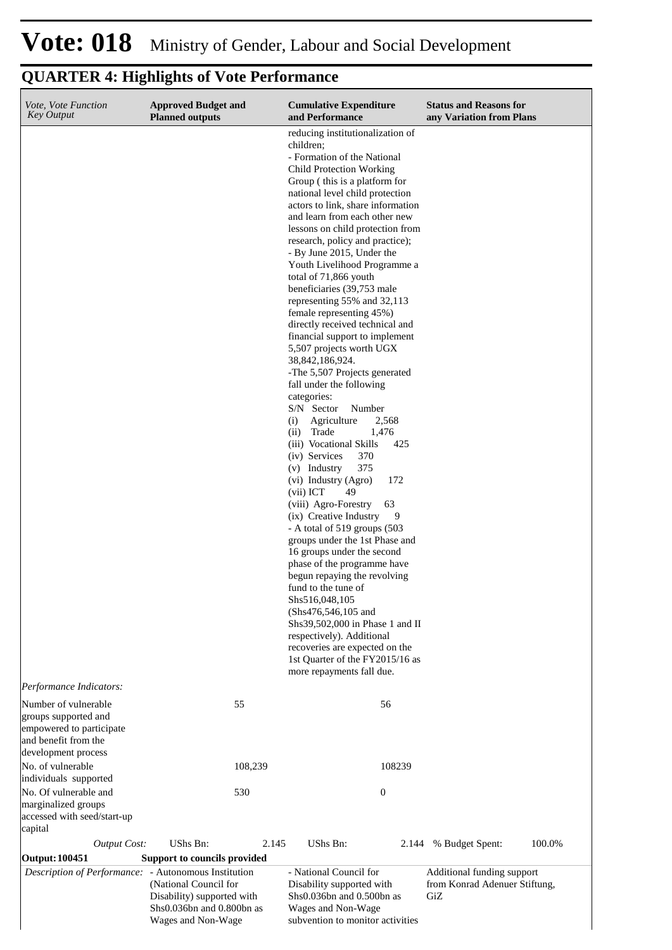| Vote, Vote Function<br><b>Key Output</b>                                                                                    | <b>Approved Budget and</b><br><b>Planned outputs</b>                                                   | <b>Cumulative Expenditure</b><br>and Performance                                                                                                                                                                                                                                                                                                                                                                                                                                                                                                                                                                                                                                                                                                                                                                                                                                                                                                                                                                                                                                                                                                                                                                                                                                                                                                                                                  | <b>Status and Reasons for</b><br>any Variation from Plans          |
|-----------------------------------------------------------------------------------------------------------------------------|--------------------------------------------------------------------------------------------------------|---------------------------------------------------------------------------------------------------------------------------------------------------------------------------------------------------------------------------------------------------------------------------------------------------------------------------------------------------------------------------------------------------------------------------------------------------------------------------------------------------------------------------------------------------------------------------------------------------------------------------------------------------------------------------------------------------------------------------------------------------------------------------------------------------------------------------------------------------------------------------------------------------------------------------------------------------------------------------------------------------------------------------------------------------------------------------------------------------------------------------------------------------------------------------------------------------------------------------------------------------------------------------------------------------------------------------------------------------------------------------------------------------|--------------------------------------------------------------------|
|                                                                                                                             |                                                                                                        | reducing institutionalization of<br>children;<br>- Formation of the National<br><b>Child Protection Working</b><br>Group (this is a platform for<br>national level child protection<br>actors to link, share information<br>and learn from each other new<br>lessons on child protection from<br>research, policy and practice);<br>- By June 2015, Under the<br>Youth Livelihood Programme a<br>total of 71,866 youth<br>beneficiaries (39,753 male<br>representing 55% and 32,113<br>female representing 45%)<br>directly received technical and<br>financial support to implement<br>5,507 projects worth UGX<br>38, 842, 186, 924.<br>-The 5,507 Projects generated<br>fall under the following<br>categories:<br>S/N Sector<br>Number<br>Agriculture<br>(i)<br>2,568<br>(ii) Trade<br>1,476<br>(iii) Vocational Skills<br>425<br>(iv) Services<br>370<br>(v) Industry<br>375<br>(vi) Industry (Agro)<br>172<br>(vii) ICT<br>49<br>(viii) Agro-Forestry<br>63<br>(ix) Creative Industry<br>9<br>- A total of 519 groups (503<br>groups under the 1st Phase and<br>16 groups under the second<br>phase of the programme have<br>begun repaying the revolving<br>fund to the tune of<br>Shs516,048,105<br>(Shs476,546,105 and<br>Shs39,502,000 in Phase 1 and II<br>respectively). Additional<br>recoveries are expected on the<br>1st Quarter of the FY2015/16 as<br>more repayments fall due. |                                                                    |
| Performance Indicators:<br>Number of vulnerable<br>groups supported and<br>empowered to participate<br>and benefit from the | 55                                                                                                     | 56                                                                                                                                                                                                                                                                                                                                                                                                                                                                                                                                                                                                                                                                                                                                                                                                                                                                                                                                                                                                                                                                                                                                                                                                                                                                                                                                                                                                |                                                                    |
| development process<br>No. of vulnerable                                                                                    | 108,239                                                                                                | 108239                                                                                                                                                                                                                                                                                                                                                                                                                                                                                                                                                                                                                                                                                                                                                                                                                                                                                                                                                                                                                                                                                                                                                                                                                                                                                                                                                                                            |                                                                    |
| individuals supported<br>No. Of vulnerable and<br>marginalized groups<br>accessed with seed/start-up                        | 530                                                                                                    | $\boldsymbol{0}$                                                                                                                                                                                                                                                                                                                                                                                                                                                                                                                                                                                                                                                                                                                                                                                                                                                                                                                                                                                                                                                                                                                                                                                                                                                                                                                                                                                  |                                                                    |
| capital<br><b>Output Cost:</b>                                                                                              | UShs Bn:<br>2.145                                                                                      | UShs Bn:<br>2.144                                                                                                                                                                                                                                                                                                                                                                                                                                                                                                                                                                                                                                                                                                                                                                                                                                                                                                                                                                                                                                                                                                                                                                                                                                                                                                                                                                                 | % Budget Spent:<br>100.0%                                          |
| <b>Output: 100451</b>                                                                                                       | Support to councils provided                                                                           |                                                                                                                                                                                                                                                                                                                                                                                                                                                                                                                                                                                                                                                                                                                                                                                                                                                                                                                                                                                                                                                                                                                                                                                                                                                                                                                                                                                                   |                                                                    |
| Description of Performance: - Autonomous Institution                                                                        | (National Council for<br>Disability) supported with<br>Shs0.036bn and 0.800bn as<br>Wages and Non-Wage | - National Council for<br>Disability supported with<br>$Shs0.036bn$ and $0.500bn$ as<br>Wages and Non-Wage<br>subvention to monitor activities                                                                                                                                                                                                                                                                                                                                                                                                                                                                                                                                                                                                                                                                                                                                                                                                                                                                                                                                                                                                                                                                                                                                                                                                                                                    | Additional funding support<br>from Konrad Adenuer Stiftung,<br>GiZ |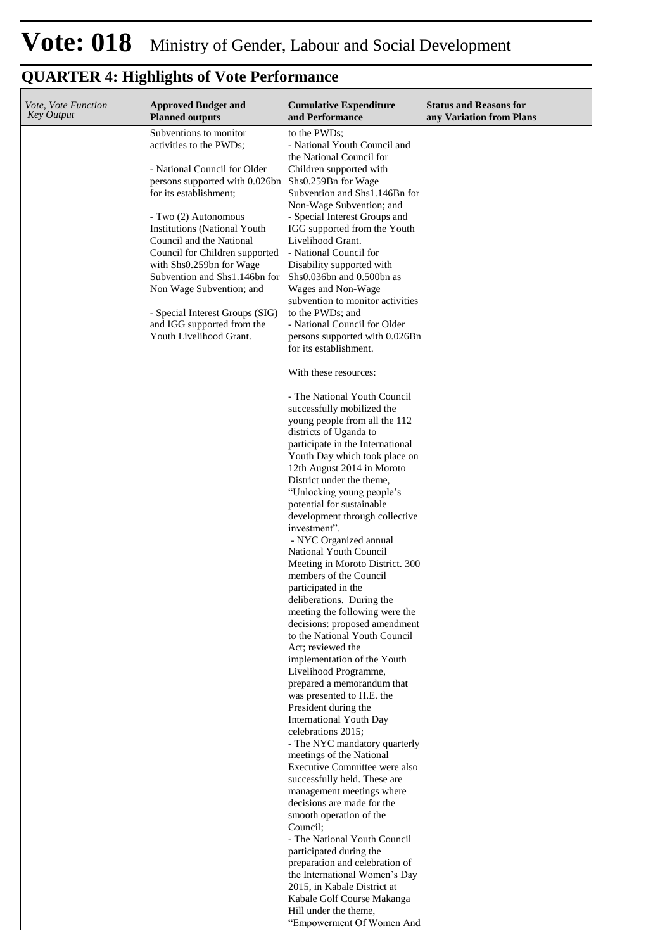| Vote, Vote Function<br><b>Key Output</b> | <b>Approved Budget and</b><br><b>Planned outputs</b>          | <b>Cumulative Expenditure</b><br>and Performance               | <b>Status and Reasons for</b><br>any Variation from Plans |
|------------------------------------------|---------------------------------------------------------------|----------------------------------------------------------------|-----------------------------------------------------------|
|                                          | Subventions to monitor<br>activities to the PWDs;             | to the PWDs;<br>- National Youth Council and                   |                                                           |
|                                          | - National Council for Older                                  | the National Council for<br>Children supported with            |                                                           |
|                                          | persons supported with 0.026bn                                | Shs0.259Bn for Wage                                            |                                                           |
|                                          | for its establishment;                                        | Subvention and Shs1.146Bn for<br>Non-Wage Subvention; and      |                                                           |
|                                          | - Two (2) Autonomous<br><b>Institutions (National Youth</b>   | - Special Interest Groups and<br>IGG supported from the Youth  |                                                           |
|                                          | Council and the National                                      | Livelihood Grant.                                              |                                                           |
|                                          | Council for Children supported<br>with Shs0.259bn for Wage    | - National Council for<br>Disability supported with            |                                                           |
|                                          | Subvention and Shs1.146bn for<br>Non Wage Subvention; and     | Shs0.036bn and 0.500bn as<br>Wages and Non-Wage                |                                                           |
|                                          |                                                               | subvention to monitor activities                               |                                                           |
|                                          | - Special Interest Groups (SIG)<br>and IGG supported from the | to the PWDs; and<br>- National Council for Older               |                                                           |
|                                          | Youth Livelihood Grant.                                       | persons supported with 0.026Bn<br>for its establishment.       |                                                           |
|                                          |                                                               | With these resources:                                          |                                                           |
|                                          |                                                               | - The National Youth Council<br>successfully mobilized the     |                                                           |
|                                          |                                                               | young people from all the 112                                  |                                                           |
|                                          |                                                               | districts of Uganda to<br>participate in the International     |                                                           |
|                                          |                                                               | Youth Day which took place on                                  |                                                           |
|                                          |                                                               | 12th August 2014 in Moroto<br>District under the theme,        |                                                           |
|                                          |                                                               | "Unlocking young people's<br>potential for sustainable         |                                                           |
|                                          |                                                               | development through collective                                 |                                                           |
|                                          |                                                               | investment".<br>- NYC Organized annual                         |                                                           |
|                                          |                                                               | National Youth Council                                         |                                                           |
|                                          |                                                               | Meeting in Moroto District. 300<br>members of the Council      |                                                           |
|                                          |                                                               | participated in the<br>deliberations. During the               |                                                           |
|                                          |                                                               | meeting the following were the                                 |                                                           |
|                                          |                                                               | decisions: proposed amendment<br>to the National Youth Council |                                                           |
|                                          |                                                               | Act: reviewed the<br>implementation of the Youth               |                                                           |
|                                          |                                                               | Livelihood Programme,                                          |                                                           |
|                                          |                                                               | prepared a memorandum that<br>was presented to H.E. the        |                                                           |
|                                          |                                                               | President during the                                           |                                                           |
|                                          |                                                               | <b>International Youth Day</b><br>celebrations 2015;           |                                                           |
|                                          |                                                               | - The NYC mandatory quarterly<br>meetings of the National      |                                                           |
|                                          |                                                               | Executive Committee were also                                  |                                                           |
|                                          |                                                               | successfully held. These are<br>management meetings where      |                                                           |
|                                          |                                                               | decisions are made for the                                     |                                                           |
|                                          |                                                               | smooth operation of the<br>Council;                            |                                                           |
|                                          |                                                               | - The National Youth Council<br>participated during the        |                                                           |
|                                          |                                                               | preparation and celebration of                                 |                                                           |
|                                          |                                                               | the International Women's Day<br>2015, in Kabale District at   |                                                           |
|                                          |                                                               | Kabale Golf Course Makanga                                     |                                                           |
|                                          |                                                               | Hill under the theme,<br>"Empowerment Of Women And             |                                                           |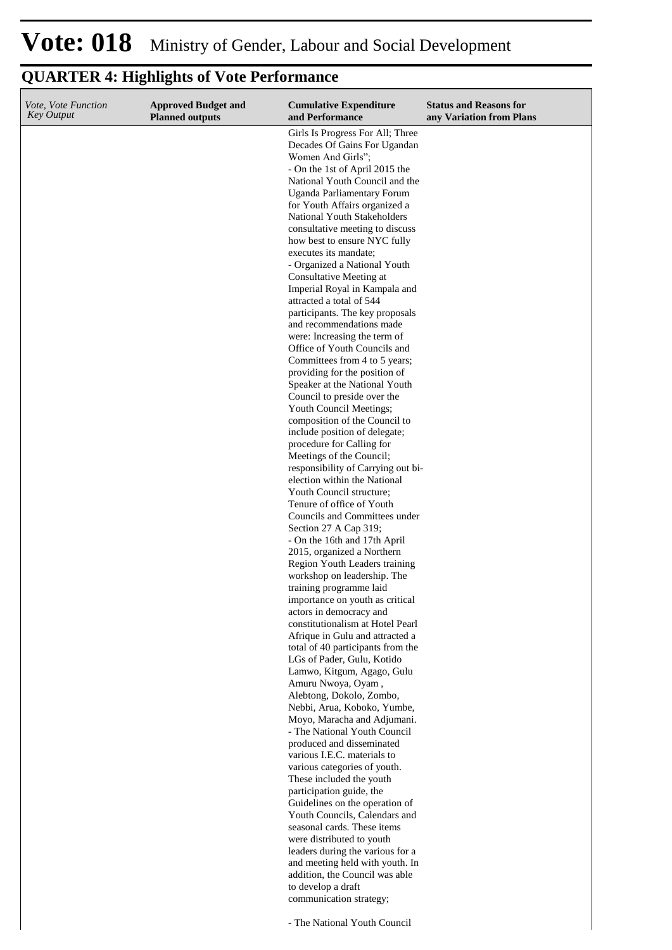| Vote, Vote Function<br><b>Key Output</b> | <b>Approved Budget and</b><br><b>Planned outputs</b> | <b>Cumulative Expenditure</b><br>and Performance                                      | <b>Status and Reasons for</b><br>any Variation from Plans |
|------------------------------------------|------------------------------------------------------|---------------------------------------------------------------------------------------|-----------------------------------------------------------|
|                                          |                                                      | Girls Is Progress For All; Three<br>Decades Of Gains For Ugandan<br>Women And Girls"; |                                                           |
|                                          |                                                      | - On the 1st of April 2015 the                                                        |                                                           |
|                                          |                                                      | National Youth Council and the<br>Uganda Parliamentary Forum                          |                                                           |
|                                          |                                                      | for Youth Affairs organized a                                                         |                                                           |
|                                          |                                                      | National Youth Stakeholders                                                           |                                                           |
|                                          |                                                      | consultative meeting to discuss<br>how best to ensure NYC fully                       |                                                           |
|                                          |                                                      | executes its mandate;                                                                 |                                                           |
|                                          |                                                      | - Organized a National Youth                                                          |                                                           |
|                                          |                                                      | Consultative Meeting at<br>Imperial Royal in Kampala and                              |                                                           |
|                                          |                                                      | attracted a total of 544                                                              |                                                           |
|                                          |                                                      | participants. The key proposals                                                       |                                                           |
|                                          |                                                      | and recommendations made<br>were: Increasing the term of                              |                                                           |
|                                          |                                                      | Office of Youth Councils and                                                          |                                                           |
|                                          |                                                      | Committees from 4 to 5 years;                                                         |                                                           |
|                                          |                                                      | providing for the position of<br>Speaker at the National Youth                        |                                                           |
|                                          |                                                      | Council to preside over the                                                           |                                                           |
|                                          |                                                      | Youth Council Meetings;<br>composition of the Council to                              |                                                           |
|                                          |                                                      | include position of delegate;                                                         |                                                           |
|                                          |                                                      | procedure for Calling for                                                             |                                                           |
|                                          |                                                      | Meetings of the Council;<br>responsibility of Carrying out bi-                        |                                                           |
|                                          |                                                      | election within the National                                                          |                                                           |
|                                          |                                                      | Youth Council structure;                                                              |                                                           |
|                                          |                                                      | Tenure of office of Youth<br>Councils and Committees under                            |                                                           |
|                                          |                                                      | Section 27 A Cap 319;                                                                 |                                                           |
|                                          |                                                      | - On the 16th and 17th April<br>2015, organized a Northern                            |                                                           |
|                                          |                                                      | Region Youth Leaders training                                                         |                                                           |
|                                          |                                                      | workshop on leadership. The                                                           |                                                           |
|                                          |                                                      | training programme laid<br>importance on youth as critical                            |                                                           |
|                                          |                                                      | actors in democracy and                                                               |                                                           |
|                                          |                                                      | constitutionalism at Hotel Pearl                                                      |                                                           |
|                                          |                                                      | Afrique in Gulu and attracted a<br>total of 40 participants from the                  |                                                           |
|                                          |                                                      | LGs of Pader, Gulu, Kotido                                                            |                                                           |
|                                          |                                                      | Lamwo, Kitgum, Agago, Gulu<br>Amuru Nwoya, Oyam,                                      |                                                           |
|                                          |                                                      | Alebtong, Dokolo, Zombo,                                                              |                                                           |
|                                          |                                                      | Nebbi, Arua, Koboko, Yumbe,                                                           |                                                           |
|                                          |                                                      | Moyo, Maracha and Adjumani.<br>- The National Youth Council                           |                                                           |
|                                          |                                                      | produced and disseminated                                                             |                                                           |
|                                          |                                                      | various I.E.C. materials to<br>various categories of youth.                           |                                                           |
|                                          |                                                      | These included the youth                                                              |                                                           |
|                                          |                                                      | participation guide, the                                                              |                                                           |
|                                          |                                                      | Guidelines on the operation of<br>Youth Councils, Calendars and                       |                                                           |
|                                          |                                                      | seasonal cards. These items                                                           |                                                           |
|                                          |                                                      | were distributed to youth<br>leaders during the various for a                         |                                                           |
|                                          |                                                      | and meeting held with youth. In                                                       |                                                           |
|                                          |                                                      | addition, the Council was able                                                        |                                                           |
|                                          |                                                      | to develop a draft<br>communication strategy;                                         |                                                           |
|                                          |                                                      |                                                                                       |                                                           |
|                                          |                                                      | - The National Youth Council                                                          |                                                           |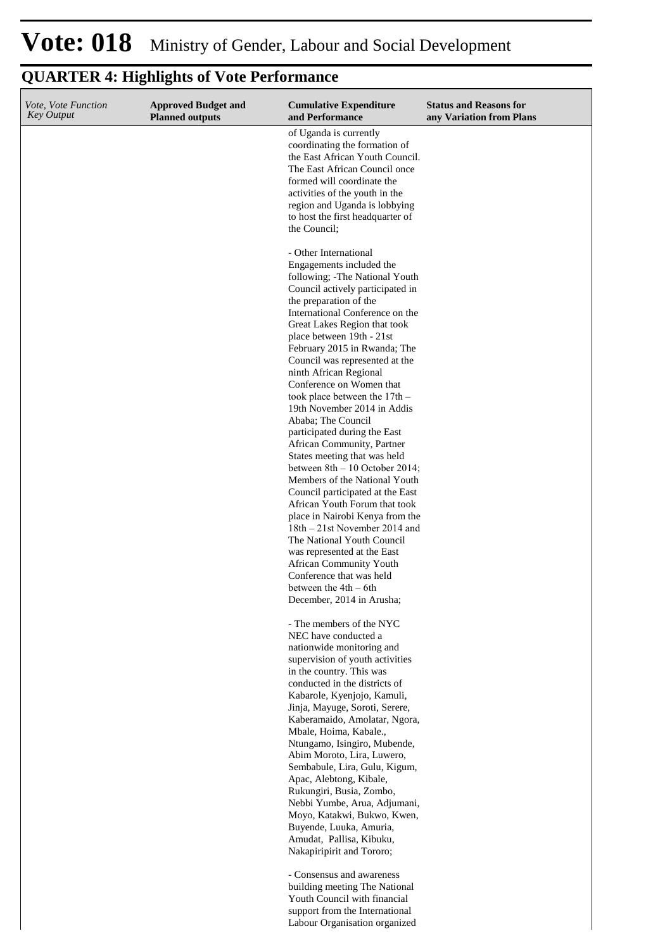#### **Cumulative Expenditure and Performance Approved Budget and Planned outputs Status and Reasons for any Variation from Plans** *Vote, Vote Function Key Output* of Uganda is currently coordinating the formation of the East African Youth Council. The East African Council once formed will coordinate the activities of the youth in the region and Uganda is lobbying to host the first headquarter of the Council; - Other International Engagements included the following; -The National Youth Council actively participated in the preparation of the International Conference on the Great Lakes Region that took place between 19th - 21st February 2015 in Rwanda; The Council was represented at the ninth African Regional Conference on Women that took place between the 17th – 19th November 2014 in Addis Ababa; The Council participated during the East African Community, Partner States meeting that was held between 8th – 10 October 2014; Members of the National Youth Council participated at the East African Youth Forum that took place in Nairobi Kenya from the 18th – 21st November 2014 and The National Youth Council was represented at the East African Community Youth Conference that was held between the 4th – 6th December, 2014 in Arusha; - The members of the NYC NEC have conducted a nationwide monitoring and supervision of youth activities in the country. This was conducted in the districts of Kabarole, Kyenjojo, Kamuli, Jinja, Mayuge, Soroti, Serere, Kaberamaido, Amolatar, Ngora, Mbale, Hoima, Kabale., Ntungamo, Isingiro, Mubende, Abim Moroto, Lira, Luwero, Sembabule, Lira, Gulu, Kigum, Apac, Alebtong, Kibale, Rukungiri, Busia, Zombo, Nebbi Yumbe, Arua, Adjumani, Moyo, Katakwi, Bukwo, Kwen, Buyende, Luuka, Amuria, Amudat, Pallisa, Kibuku, Nakapiripirit and Tororo; - Consensus and awareness building meeting The National Youth Council with financial support from the International

Labour Organisation organized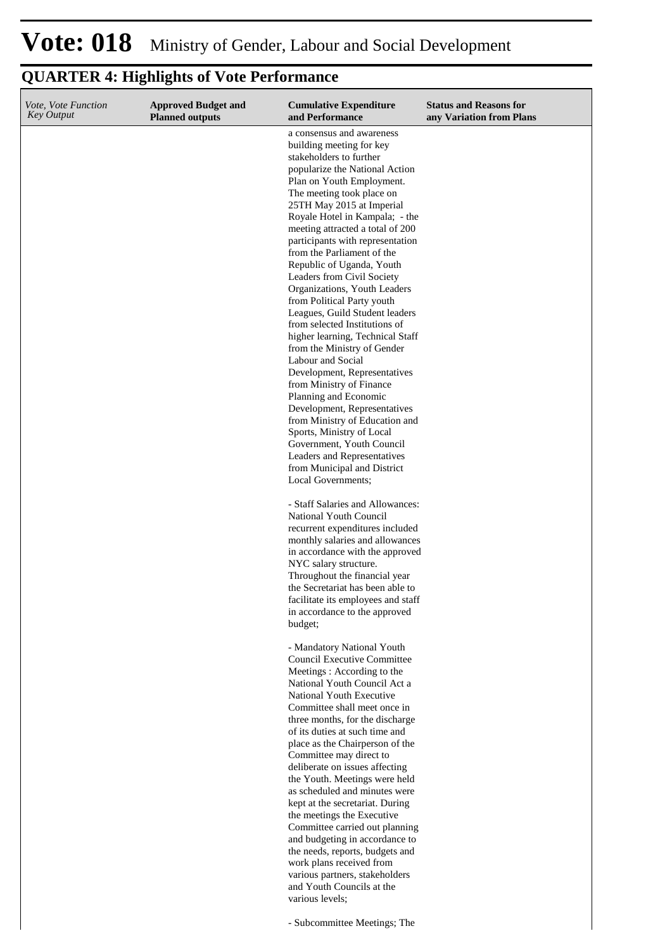| Vote, Vote Function<br><b>Key Output</b> | <b>Approved Budget and</b><br><b>Planned outputs</b> | <b>Cumulative Expenditure</b><br>and Performance                                                                                                                                                                                                                                                                                                                                                                                                                                                                                                                                                                                                                                                                                                                                                                                                                                                                                           | <b>Status and Reasons for</b><br>any Variation from Plans |
|------------------------------------------|------------------------------------------------------|--------------------------------------------------------------------------------------------------------------------------------------------------------------------------------------------------------------------------------------------------------------------------------------------------------------------------------------------------------------------------------------------------------------------------------------------------------------------------------------------------------------------------------------------------------------------------------------------------------------------------------------------------------------------------------------------------------------------------------------------------------------------------------------------------------------------------------------------------------------------------------------------------------------------------------------------|-----------------------------------------------------------|
|                                          |                                                      | a consensus and awareness<br>building meeting for key<br>stakeholders to further<br>popularize the National Action<br>Plan on Youth Employment.<br>The meeting took place on<br>25TH May 2015 at Imperial<br>Royale Hotel in Kampala; - the<br>meeting attracted a total of 200<br>participants with representation<br>from the Parliament of the<br>Republic of Uganda, Youth<br>Leaders from Civil Society<br>Organizations, Youth Leaders<br>from Political Party youth<br>Leagues, Guild Student leaders<br>from selected Institutions of<br>higher learning, Technical Staff<br>from the Ministry of Gender<br>Labour and Social<br>Development, Representatives<br>from Ministry of Finance<br>Planning and Economic<br>Development, Representatives<br>from Ministry of Education and<br>Sports, Ministry of Local<br>Government, Youth Council<br>Leaders and Representatives<br>from Municipal and District<br>Local Governments; |                                                           |
|                                          |                                                      | - Staff Salaries and Allowances:<br>National Youth Council<br>recurrent expenditures included<br>monthly salaries and allowances<br>in accordance with the approved<br>NYC salary structure.<br>Throughout the financial year<br>the Secretariat has been able to<br>facilitate its employees and staff<br>in accordance to the approved<br>budget;                                                                                                                                                                                                                                                                                                                                                                                                                                                                                                                                                                                        |                                                           |
|                                          |                                                      | - Mandatory National Youth<br><b>Council Executive Committee</b><br>Meetings: According to the<br>National Youth Council Act a<br>National Youth Executive<br>Committee shall meet once in<br>three months, for the discharge<br>of its duties at such time and<br>place as the Chairperson of the<br>Committee may direct to<br>deliberate on issues affecting<br>the Youth. Meetings were held<br>as scheduled and minutes were<br>kept at the secretariat. During<br>the meetings the Executive<br>Committee carried out planning<br>and budgeting in accordance to<br>the needs, reports, budgets and<br>work plans received from<br>various partners, stakeholders<br>and Youth Councils at the<br>various levels;                                                                                                                                                                                                                    |                                                           |
|                                          |                                                      | - Subcommittee Meetings; The                                                                                                                                                                                                                                                                                                                                                                                                                                                                                                                                                                                                                                                                                                                                                                                                                                                                                                               |                                                           |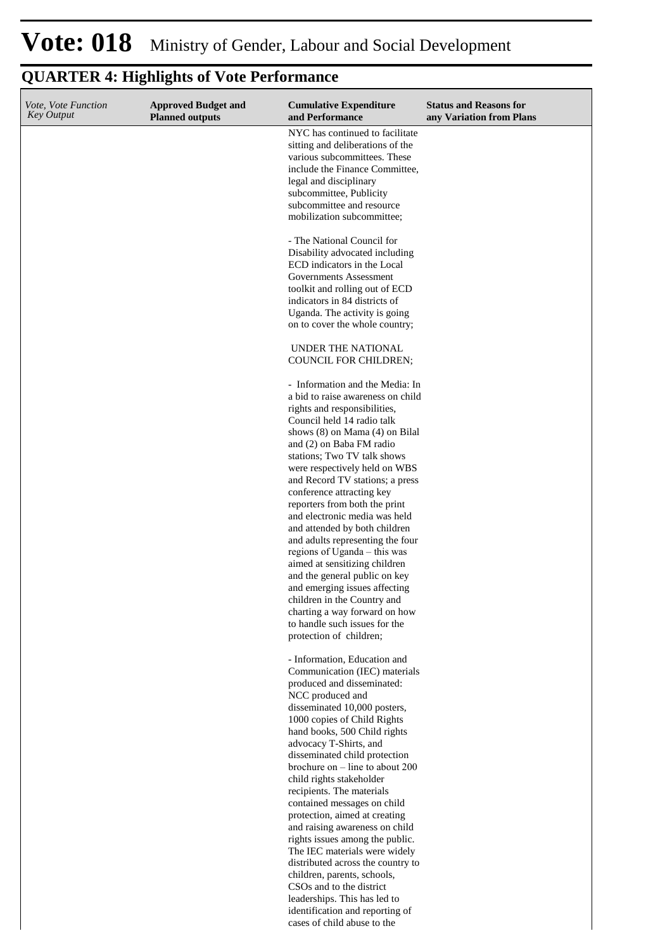| Vote, Vote Function<br><b>Key Output</b> | <b>Approved Budget and</b><br><b>Planned outputs</b> | <b>Cumulative Expenditure</b><br>and Performance                                                                                                                | <b>Status and Reasons for</b><br>any Variation from Plans |
|------------------------------------------|------------------------------------------------------|-----------------------------------------------------------------------------------------------------------------------------------------------------------------|-----------------------------------------------------------|
|                                          |                                                      | NYC has continued to facilitate<br>sitting and deliberations of the<br>various subcommittees. These<br>include the Finance Committee,<br>legal and disciplinary |                                                           |
|                                          |                                                      | subcommittee, Publicity<br>subcommittee and resource<br>mobilization subcommittee;                                                                              |                                                           |
|                                          |                                                      | - The National Council for<br>Disability advocated including<br>ECD indicators in the Local                                                                     |                                                           |
|                                          |                                                      | Governments Assessment<br>toolkit and rolling out of ECD<br>indicators in 84 districts of<br>Uganda. The activity is going                                      |                                                           |
|                                          |                                                      | on to cover the whole country;                                                                                                                                  |                                                           |
|                                          |                                                      | UNDER THE NATIONAL<br>COUNCIL FOR CHILDREN;                                                                                                                     |                                                           |
|                                          |                                                      | - Information and the Media: In<br>a bid to raise awareness on child<br>rights and responsibilities,<br>Council held 14 radio talk                              |                                                           |
|                                          |                                                      | shows (8) on Mama (4) on Bilal<br>and (2) on Baba FM radio<br>stations; Two TV talk shows                                                                       |                                                           |
|                                          |                                                      | were respectively held on WBS<br>and Record TV stations; a press<br>conference attracting key<br>reporters from both the print                                  |                                                           |
|                                          |                                                      | and electronic media was held<br>and attended by both children<br>and adults representing the four                                                              |                                                           |
|                                          |                                                      | regions of Uganda - this was<br>aimed at sensitizing children<br>and the general public on key<br>and emerging issues affecting                                 |                                                           |
|                                          |                                                      | children in the Country and<br>charting a way forward on how<br>to handle such issues for the<br>protection of children;                                        |                                                           |
|                                          |                                                      | - Information, Education and                                                                                                                                    |                                                           |
|                                          |                                                      | Communication (IEC) materials<br>produced and disseminated:<br>NCC produced and                                                                                 |                                                           |
|                                          |                                                      | disseminated 10,000 posters,<br>1000 copies of Child Rights<br>hand books, 500 Child rights                                                                     |                                                           |
|                                          |                                                      | advocacy T-Shirts, and<br>disseminated child protection<br>brochure on $-$ line to about 200<br>child rights stakeholder                                        |                                                           |
|                                          |                                                      | recipients. The materials<br>contained messages on child<br>protection, aimed at creating                                                                       |                                                           |
|                                          |                                                      | and raising awareness on child<br>rights issues among the public.<br>The IEC materials were widely<br>distributed across the country to                         |                                                           |
|                                          |                                                      | children, parents, schools,<br>CSOs and to the district<br>leaderships. This has led to                                                                         |                                                           |
|                                          |                                                      | identification and reporting of<br>cases of child abuse to the                                                                                                  |                                                           |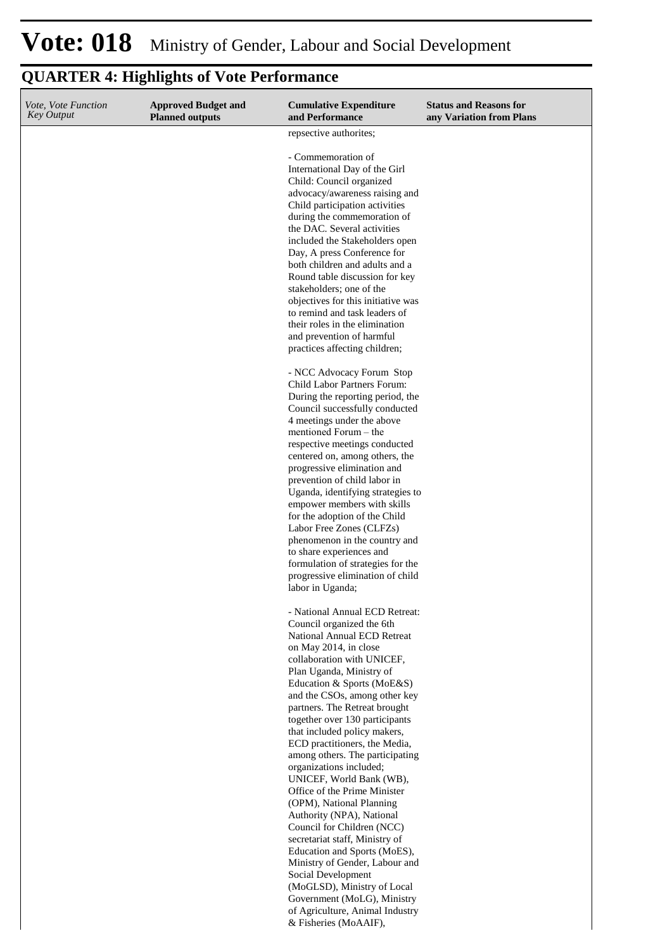# **Vote: 018** Ministry of Gender, Labour and Social Development

#### **QUARTER 4: Highlights of Vote Performance Cumulative Expenditure and Performance Approved Budget and Planned outputs Status and Reasons for any Variation from Plans** *Vote, Vote Function Key Output* repsective authorites; - Commemoration of International Day of the Girl Child: Council organized advocacy/awareness raising and Child participation activities during the commemoration of the DAC. Several activities included the Stakeholders open Day, A press Conference for both children and adults and a Round table discussion for key stakeholders; one of the objectives for this initiative was to remind and task leaders of their roles in the elimination and prevention of harmful practices affecting children; - NCC Advocacy Forum Stop Child Labor Partners Forum: During the reporting period, the Council successfully conducted 4 meetings under the above mentioned Forum – the respective meetings conducted centered on, among others, the progressive elimination and prevention of child labor in Uganda, identifying strategies to empower members with skills for the adoption of the Child Labor Free Zones (CLFZs) phenomenon in the country and to share experiences and formulation of strategies for the progressive elimination of child labor in Uganda; - National Annual ECD Retreat: Council organized the 6th National Annual ECD Retreat on May 2014, in close collaboration with UNICEF, Plan Uganda, Ministry of Education & Sports (MoE&S) and the CSOs, among other key partners. The Retreat brought together over 130 participants that included policy makers, ECD practitioners, the Media, among others. The participating

organizations included; UNICEF, World Bank (WB), Office of the Prime Minister (OPM), National Planning Authority (NPA), National Council for Children (NCC) secretariat staff, Ministry of Education and Sports (MoES), Ministry of Gender, Labour and Social Development (MoGLSD), Ministry of Local Government (MoLG), Ministry of Agriculture, Animal Industry & Fisheries (MoAAIF),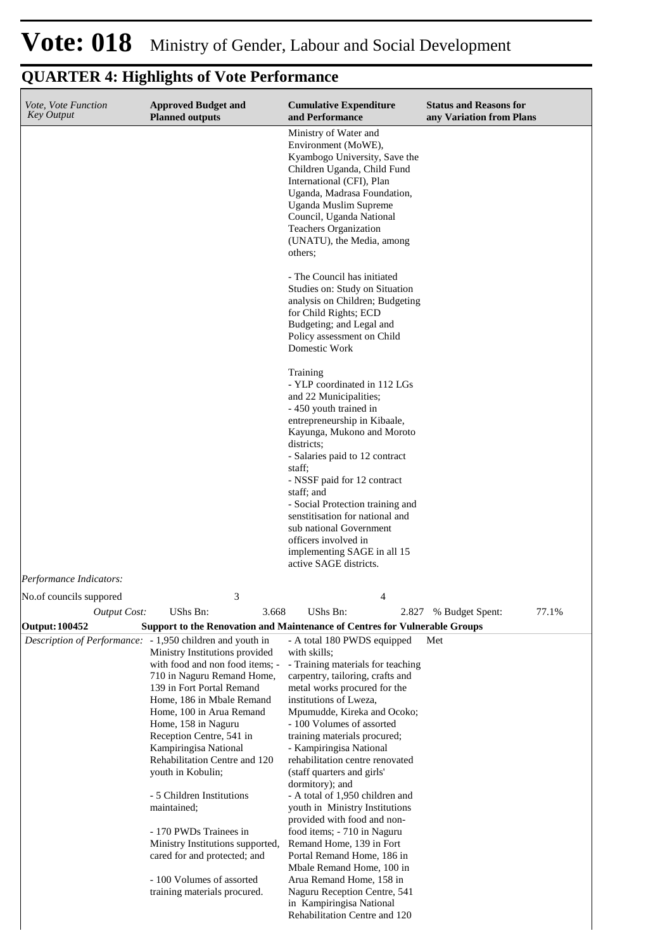#### **Cumulative Expenditure and Performance Approved Budget and Planned outputs Status and Reasons for any Variation from Plans** *Vote, Vote Function Key Output* Ministry of Water and Environment (MoWE), Kyambogo University, Save the Children Uganda, Child Fund International (CFI), Plan Uganda, Madrasa Foundation, Uganda Muslim Supreme Council, Uganda National Teachers Organization (UNATU), the Media, among others; - The Council has initiated Studies on: Study on Situation analysis on Children; Budgeting for Child Rights; ECD Budgeting; and Legal and Policy assessment on Child Domestic Work Training - YLP coordinated in 112 LGs and 22 Municipalities; - 450 youth trained in entrepreneurship in Kibaale, Kayunga, Mukono and Moroto districts<sup>.</sup> - Salaries paid to 12 contract staff; - NSSF paid for 12 contract staff; and - Social Protection training and senstitisation for national and sub national Government officers involved in implementing SAGE in all 15 active SAGE districts. *Output Cost:* UShs Bn: 3.668 UShs Bn: 2.827 % Budget Spent: 77.1% *Performance Indicators:* No.of councils suppored 3 4 **Output: 100452 Support to the Renovation and Maintenance of Centres for Vulnerable Groups** *Description of Performance:* - 1,950 children and youth in Ministry Institutions provided with food and non food items; - 710 in Naguru Remand Home, 139 in Fort Portal Remand Home, 186 in Mbale Remand Home, 100 in Arua Remand Home, 158 in Naguru Reception Centre, 541 in Kampiringisa National Rehabilitation Centre and 120 youth in Kobulin; - 5 Children Institutions maintained; - 170 PWDs Trainees in Ministry Institutions supported, cared for and protected; and - 100 Volumes of assorted training materials procured. - A total 180 PWDS equipped with skills; - Training materials for teaching carpentry, tailoring, crafts and metal works procured for the institutions of Lweza, Mpumudde, Kireka and Ocoko; - 100 Volumes of assorted training materials procured; - Kampiringisa National rehabilitation centre renovated (staff quarters and girls' dormitory); and - A total of 1,950 children and youth in Ministry Institutions provided with food and nonfood items; - 710 in Naguru Remand Home, 139 in Fort Portal Remand Home, 186 in Mbale Remand Home, 100 in Arua Remand Home, 158 in Naguru Reception Centre, 541 in Kampiringisa National Rehabilitation Centre and 120 Met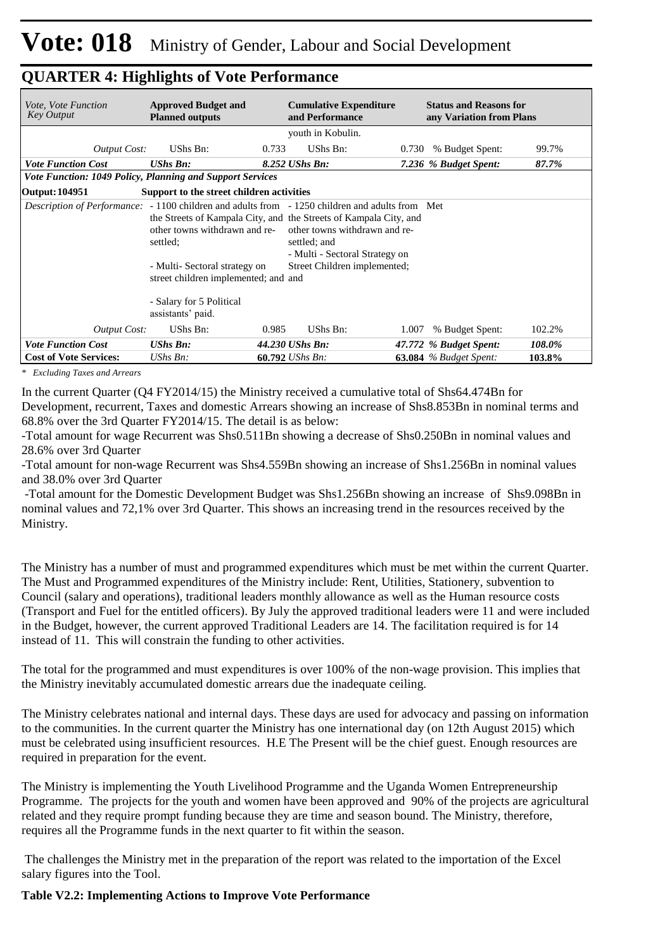| <i>Vote, Vote Function</i><br>Key Output                                                        | <b>Approved Budget and</b><br><b>Planned outputs</b>                                                               |       | <b>Cumulative Expenditure</b><br>and Performance                                                                                                                                     |       | <b>Status and Reasons for</b><br>any Variation from Plans |        |  |  |
|-------------------------------------------------------------------------------------------------|--------------------------------------------------------------------------------------------------------------------|-------|--------------------------------------------------------------------------------------------------------------------------------------------------------------------------------------|-------|-----------------------------------------------------------|--------|--|--|
|                                                                                                 |                                                                                                                    |       | youth in Kobulin.                                                                                                                                                                    |       |                                                           |        |  |  |
| <b>Output Cost:</b>                                                                             | UShs Bn:                                                                                                           | 0.733 | UShs Bn:                                                                                                                                                                             | 0.730 | % Budget Spent:                                           | 99.7%  |  |  |
| <b>Vote Function Cost</b>                                                                       | <b>UShs Bn:</b>                                                                                                    |       | 8.252 UShs Bn:                                                                                                                                                                       |       | 7.236 % Budget Spent:                                     | 87.7%  |  |  |
| Vote Function: 1049 Policy, Planning and Support Services                                       |                                                                                                                    |       |                                                                                                                                                                                      |       |                                                           |        |  |  |
| Output: 104951                                                                                  | Support to the street children activities                                                                          |       |                                                                                                                                                                                      |       |                                                           |        |  |  |
| Description of Performance: - 1100 children and adults from - 1250 children and adults from Met | other towns withdrawn and re-<br>settled:<br>- Multi- Sectoral strategy on<br>street children implemented; and and |       | the Streets of Kampala City, and the Streets of Kampala City, and<br>other towns withdrawn and re-<br>settled; and<br>- Multi - Sectoral Strategy on<br>Street Children implemented; |       |                                                           |        |  |  |
|                                                                                                 | - Salary for 5 Political<br>assistants' paid.                                                                      |       |                                                                                                                                                                                      |       |                                                           |        |  |  |
| <b>Output Cost:</b>                                                                             | UShs Bn:                                                                                                           | 0.985 | UShs Bn:                                                                                                                                                                             | 1.007 | % Budget Spent:                                           | 102.2% |  |  |
| <b>Vote Function Cost</b>                                                                       | <b>UShs Bn:</b>                                                                                                    |       | 44.230 UShs Bn:                                                                                                                                                                      |       | 47.772 % Budget Spent:                                    | 108.0% |  |  |
| <b>Cost of Vote Services:</b>                                                                   | $UShs Bn$ :                                                                                                        |       | $60.792$ UShs Bn:                                                                                                                                                                    |       | $63.084$ % Budget Spent:                                  | 103.8% |  |  |

*\* Excluding Taxes and Arrears*

In the current Quarter (Q4 FY2014/15) the Ministry received a cumulative total of Shs64.474Bn for Development, recurrent, Taxes and domestic Arrears showing an increase of Shs8.853Bn in nominal terms and 68.8% over the 3rd Quarter FY2014/15. The detail is as below:

-Total amount for wage Recurrent was Shs0.511Bn showing a decrease of Shs0.250Bn in nominal values and 28.6% over 3rd Quarter

-Total amount for non-wage Recurrent was Shs4.559Bn showing an increase of Shs1.256Bn in nominal values and 38.0% over 3rd Quarter

 -Total amount for the Domestic Development Budget was Shs1.256Bn showing an increase of Shs9.098Bn in nominal values and 72,1% over 3rd Quarter. This shows an increasing trend in the resources received by the Ministry.

The Ministry has a number of must and programmed expenditures which must be met within the current Quarter. The Must and Programmed expenditures of the Ministry include: Rent, Utilities, Stationery, subvention to Council (salary and operations), traditional leaders monthly allowance as well as the Human resource costs (Transport and Fuel for the entitled officers). By July the approved traditional leaders were 11 and were included in the Budget, however, the current approved Traditional Leaders are 14. The facilitation required is for 14 instead of 11. This will constrain the funding to other activities.

The total for the programmed and must expenditures is over 100% of the non-wage provision. This implies that the Ministry inevitably accumulated domestic arrears due the inadequate ceiling.

The Ministry celebrates national and internal days. These days are used for advocacy and passing on information to the communities. In the current quarter the Ministry has one international day (on 12th August 2015) which must be celebrated using insufficient resources. H.E The Present will be the chief guest. Enough resources are required in preparation for the event.

The Ministry is implementing the Youth Livelihood Programme and the Uganda Women Entrepreneurship Programme. The projects for the youth and women have been approved and 90% of the projects are agricultural related and they require prompt funding because they are time and season bound. The Ministry, therefore, requires all the Programme funds in the next quarter to fit within the season.

 The challenges the Ministry met in the preparation of the report was related to the importation of the Excel salary figures into the Tool.

#### **Table V2.2: Implementing Actions to Improve Vote Performance**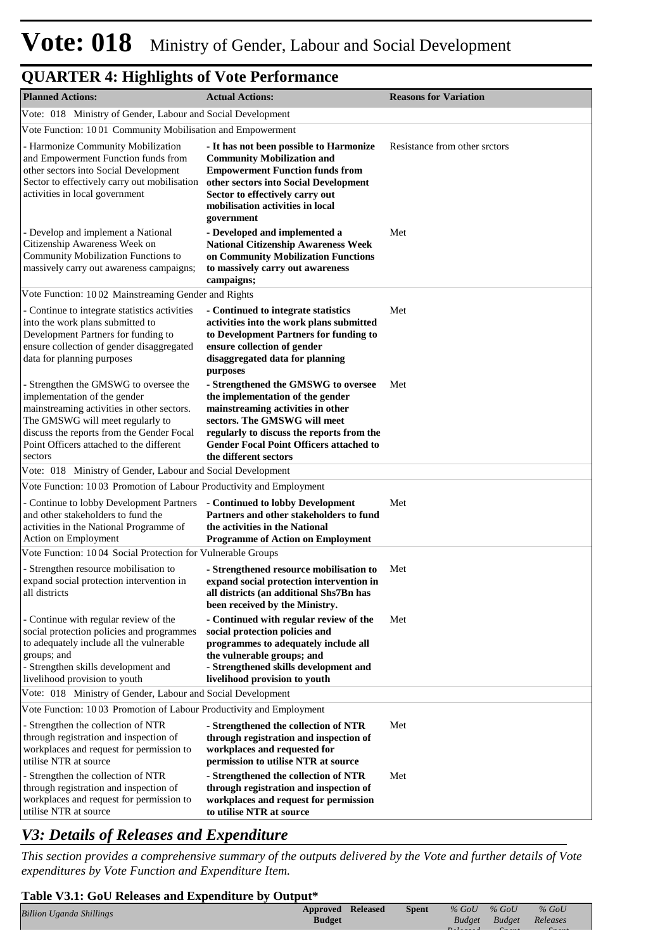| <b>Planned Actions:</b>                                                                                                                                                                                                                                     | <b>Actual Actions:</b>                                                                                                                                                                                                                                               | <b>Reasons for Variation</b>  |
|-------------------------------------------------------------------------------------------------------------------------------------------------------------------------------------------------------------------------------------------------------------|----------------------------------------------------------------------------------------------------------------------------------------------------------------------------------------------------------------------------------------------------------------------|-------------------------------|
| Vote: 018 Ministry of Gender, Labour and Social Development                                                                                                                                                                                                 |                                                                                                                                                                                                                                                                      |                               |
| Vote Function: 1001 Community Mobilisation and Empowerment                                                                                                                                                                                                  |                                                                                                                                                                                                                                                                      |                               |
| - Harmonize Community Mobilization<br>and Empowerment Function funds from<br>other sectors into Social Development<br>Sector to effectively carry out mobilisation<br>activities in local government                                                        | - It has not been possible to Harmonize<br><b>Community Mobilization and</b><br><b>Empowerment Function funds from</b><br>other sectors into Social Development<br>Sector to effectively carry out<br>mobilisation activities in local<br>government                 | Resistance from other srctors |
| - Develop and implement a National<br>Citizenship Awareness Week on<br>Community Mobilization Functions to<br>massively carry out awareness campaigns;                                                                                                      | - Developed and implemented a<br><b>National Citizenship Awareness Week</b><br>on Community Mobilization Functions<br>to massively carry out awareness<br>campaigns;                                                                                                 | Met                           |
| Vote Function: 1002 Mainstreaming Gender and Rights                                                                                                                                                                                                         |                                                                                                                                                                                                                                                                      |                               |
| - Continue to integrate statistics activities<br>into the work plans submitted to<br>Development Partners for funding to<br>ensure collection of gender disaggregated<br>data for planning purposes                                                         | - Continued to integrate statistics<br>activities into the work plans submitted<br>to Development Partners for funding to<br>ensure collection of gender<br>disaggregated data for planning<br>purposes                                                              | Met                           |
| - Strengthen the GMSWG to oversee the<br>implementation of the gender<br>mainstreaming activities in other sectors.<br>The GMSWG will meet regularly to<br>discuss the reports from the Gender Focal<br>Point Officers attached to the different<br>sectors | - Strengthened the GMSWG to oversee<br>the implementation of the gender<br>mainstreaming activities in other<br>sectors. The GMSWG will meet<br>regularly to discuss the reports from the<br><b>Gender Focal Point Officers attached to</b><br>the different sectors | Met                           |
| Vote: 018 Ministry of Gender, Labour and Social Development                                                                                                                                                                                                 |                                                                                                                                                                                                                                                                      |                               |
| Vote Function: 1003 Promotion of Labour Productivity and Employment                                                                                                                                                                                         |                                                                                                                                                                                                                                                                      |                               |
| - Continue to lobby Development Partners<br>and other stakeholders to fund the<br>activities in the National Programme of<br>Action on Employment                                                                                                           | - Continued to lobby Development<br>Partners and other stakeholders to fund<br>the activities in the National<br><b>Programme of Action on Employment</b>                                                                                                            | Met                           |
| Vote Function: 1004 Social Protection for Vulnerable Groups                                                                                                                                                                                                 |                                                                                                                                                                                                                                                                      |                               |
| - Strengthen resource mobilisation to<br>expand social protection intervention in<br>all districts                                                                                                                                                          | - Strengthened resource mobilisation to<br>expand social protection intervention in<br>all districts (an additional Shs7Bn has<br>been received by the Ministry.                                                                                                     | Met                           |
| - Continue with regular review of the<br>social protection policies and programmes<br>to adequately include all the vulnerable<br>groups; and<br>- Strengthen skills development and<br>livelihood provision to youth                                       | - Continued with regular review of the<br>social protection policies and<br>programmes to adequately include all<br>the vulnerable groups; and<br>- Strengthened skills development and<br>livelihood provision to youth                                             | Met                           |
| Vote: 018 Ministry of Gender, Labour and Social Development                                                                                                                                                                                                 |                                                                                                                                                                                                                                                                      |                               |
| Vote Function: 1003 Promotion of Labour Productivity and Employment                                                                                                                                                                                         |                                                                                                                                                                                                                                                                      |                               |
| - Strengthen the collection of NTR<br>through registration and inspection of<br>workplaces and request for permission to<br>utilise NTR at source                                                                                                           | - Strengthened the collection of NTR<br>through registration and inspection of<br>workplaces and requested for<br>permission to utilise NTR at source                                                                                                                | Met                           |
| - Strengthen the collection of NTR<br>through registration and inspection of<br>workplaces and request for permission to<br>utilise NTR at source                                                                                                           | - Strengthened the collection of NTR<br>through registration and inspection of<br>workplaces and request for permission<br>to utilise NTR at source                                                                                                                  | Met                           |

#### *V3: Details of Releases and Expenditure*

*This section provides a comprehensive summary of the outputs delivered by the Vote and further details of Vote expenditures by Vote Function and Expenditure Item.*

#### **Table V3.1: GoU Releases and Expenditure by Output\***

| <b>Billion Uganda Shillings</b> |  | <b>Approved Released</b> | <b>Spent</b> | $\%$ GoU | $\%$ GoU               | $%$ GoU  |  |
|---------------------------------|--|--------------------------|--------------|----------|------------------------|----------|--|
|                                 |  | <b>Budget</b>            |              |          | Budget Budget Releases |          |  |
|                                 |  |                          |              |          |                        | $\sigma$ |  |
|                                 |  |                          |              |          |                        |          |  |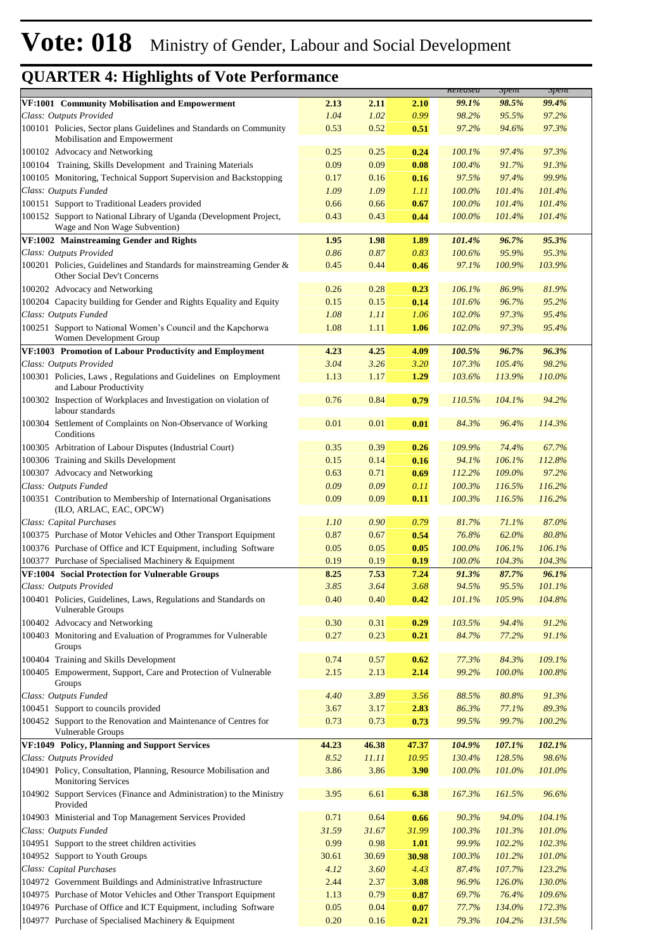*% GoU* 

**Released Spent**

*% GoU* 

|                                                                                                     |       |       |       | <i><b>Released</b></i> | <b>Spent</b> | <b>Spent</b> |
|-----------------------------------------------------------------------------------------------------|-------|-------|-------|------------------------|--------------|--------------|
| VF:1001 Community Mobilisation and Empowerment                                                      | 2.13  | 2.11  | 2.10  | 99.1%                  | 98.5%        | 99.4%        |
| Class: Outputs Provided                                                                             | 1.04  | 1.02  | 0.99  | 98.2%                  | 95.5%        | 97.2%        |
| 100101 Policies, Sector plans Guidelines and Standards on Community<br>Mobilisation and Empowerment | 0.53  | 0.52  | 0.51  | 97.2%                  | 94.6%        | 97.3%        |
| 100102 Advocacy and Networking                                                                      | 0.25  | 0.25  | 0.24  | 100.1%                 | 97.4%        | 97.3%        |
| 100104 Training, Skills Development and Training Materials                                          | 0.09  | 0.09  | 0.08  | 100.4%                 | 91.7%        | 91.3%        |
| 100105 Monitoring, Technical Support Supervision and Backstopping                                   | 0.17  | 0.16  | 0.16  | 97.5%                  | 97.4%        | 99.9%        |
| Class: Outputs Funded                                                                               | 1.09  | 1.09  | 1.11  | 100.0%                 | 101.4%       | 101.4%       |
| 100151 Support to Traditional Leaders provided                                                      | 0.66  | 0.66  | 0.67  | 100.0%                 | 101.4%       | 101.4%       |
| 100152 Support to National Library of Uganda (Development Project,<br>Wage and Non Wage Subvention) | 0.43  | 0.43  | 0.44  | 100.0%                 | 101.4%       | 101.4%       |
| VF:1002 Mainstreaming Gender and Rights                                                             | 1.95  | 1.98  | 1.89  | 101.4%                 | 96.7%        | 95.3%        |
| Class: Outputs Provided                                                                             | 0.86  | 0.87  | 0.83  | 100.6%                 | 95.9%        | 95.3%        |
| 100201 Policies, Guidelines and Standards for mainstreaming Gender &<br>Other Social Dev't Concerns | 0.45  | 0.44  | 0.46  | 97.1%                  | 100.9%       | 103.9%       |
| 100202 Advocacy and Networking                                                                      | 0.26  | 0.28  | 0.23  | 106.1%                 | 86.9%        | 81.9%        |
| 100204 Capacity building for Gender and Rights Equality and Equity                                  | 0.15  | 0.15  | 0.14  | 101.6%                 | 96.7%        | 95.2%        |
| Class: Outputs Funded                                                                               | 1.08  | 1.11  | 1.06  | 102.0%                 | 97.3%        | 95.4%        |
| 100251 Support to National Women's Council and the Kapchorwa<br>Women Development Group             | 1.08  | 1.11  | 1.06  | 102.0%                 | 97.3%        | 95.4%        |
| VF:1003 Promotion of Labour Productivity and Employment                                             | 4.23  | 4.25  | 4.09  | 100.5%                 | 96.7%        | 96.3%        |
| Class: Outputs Provided                                                                             | 3.04  | 3.26  | 3.20  | 107.3%                 | 105.4%       | 98.2%        |
| 100301 Policies, Laws, Regulations and Guidelines on Employment<br>and Labour Productivity          | 1.13  | 1.17  | 1.29  | 103.6%                 | 113.9%       | 110.0%       |
| 100302 Inspection of Workplaces and Investigation on violation of<br>labour standards               | 0.76  | 0.84  | 0.79  | 110.5%                 | 104.1%       | 94.2%        |
| 100304 Settlement of Complaints on Non-Observance of Working<br>Conditions                          | 0.01  | 0.01  | 0.01  | 84.3%                  | 96.4%        | 114.3%       |
| 100305 Arbitration of Labour Disputes (Industrial Court)                                            | 0.35  | 0.39  | 0.26  | 109.9%                 | 74.4%        | 67.7%        |
| 100306 Training and Skills Development                                                              | 0.15  | 0.14  | 0.16  | 94.1%                  | 106.1%       | 112.8%       |
| 100307 Advocacy and Networking                                                                      | 0.63  | 0.71  | 0.69  | 112.2%                 | 109.0%       | 97.2%        |
| Class: Outputs Funded                                                                               | 0.09  | 0.09  | 0.11  | 100.3%                 | 116.5%       | 116.2%       |
| 100351 Contribution to Membership of International Organisations<br>(ILO, ARLAC, EAC, OPCW)         | 0.09  | 0.09  | 0.11  | 100.3%                 | 116.5%       | 116.2%       |
| Class: Capital Purchases                                                                            | 1.10  | 0.90  | 0.79  | 81.7%                  | 71.1%        | 87.0%        |
| 100375 Purchase of Motor Vehicles and Other Transport Equipment                                     | 0.87  | 0.67  | 0.54  | 76.8%                  | 62.0%        | 80.8%        |
| 100376 Purchase of Office and ICT Equipment, including Software                                     | 0.05  | 0.05  | 0.05  | 100.0%                 | 106.1%       | 106.1%       |
| 100377 Purchase of Specialised Machinery & Equipment                                                | 0.19  | 0.19  | 0.19  | 100.0%                 | 104.3%       | 104.3%       |
| VF:1004 Social Protection for Vulnerable Groups                                                     | 8.25  | 7.53  | 7.24  | 91.3%                  | 87.7%        | 96.1%        |
| Class: Outputs Provided                                                                             | 3.85  | 3.64  | 3.68  | 94.5%                  | 95.5%        | 101.1%       |
| 100401 Policies, Guidelines, Laws, Regulations and Standards on<br>Vulnerable Groups                | 0.40  | 0.40  | 0.42  | 101.1%                 | 105.9%       | 104.8%       |
| 100402 Advocacy and Networking                                                                      | 0.30  | 0.31  | 0.29  | 103.5%                 | 94.4%        | 91.2%        |
| 100403 Monitoring and Evaluation of Programmes for Vulnerable<br>Groups                             | 0.27  | 0.23  | 0.21  | 84.7%                  | 77.2%        | 91.1%        |
| 100404 Training and Skills Development                                                              | 0.74  | 0.57  | 0.62  | 77.3%                  | 84.3%        | 109.1%       |
| 100405 Empowerment, Support, Care and Protection of Vulnerable<br>Groups                            | 2.15  | 2.13  | 2.14  | 99.2%                  | 100.0%       | 100.8%       |
| Class: Outputs Funded                                                                               | 4.40  | 3.89  | 3.56  | 88.5%                  | 80.8%        | 91.3%        |
| 100451 Support to councils provided                                                                 | 3.67  | 3.17  | 2.83  | 86.3%                  | 77.1%        | 89.3%        |
| 100452 Support to the Renovation and Maintenance of Centres for<br>Vulnerable Groups                | 0.73  | 0.73  | 0.73  | 99.5%                  | 99.7%        | 100.2%       |
| VF:1049 Policy, Planning and Support Services                                                       | 44.23 | 46.38 | 47.37 | 104.9%                 | 107.1%       | 102.1%       |
| Class: Outputs Provided                                                                             | 8.52  | 11.11 | 10.95 | 130.4%                 | 128.5%       | 98.6%        |
| 104901 Policy, Consultation, Planning, Resource Mobilisation and<br><b>Monitoring Services</b>      | 3.86  | 3.86  | 3.90  | $100.0\%$              | 101.0%       | 101.0%       |
| 104902 Support Services (Finance and Administration) to the Ministry<br>Provided                    | 3.95  | 6.61  | 6.38  | 167.3%                 | 161.5%       | 96.6%        |
| 104903 Ministerial and Top Management Services Provided                                             | 0.71  | 0.64  | 0.66  | 90.3%                  | 94.0%        | 104.1%       |
| Class: Outputs Funded                                                                               | 31.59 | 31.67 | 31.99 | 100.3%                 | 101.3%       | 101.0%       |
| 104951 Support to the street children activities                                                    | 0.99  | 0.98  | 1.01  | 99.9%                  | 102.2%       | 102.3%       |
| 104952 Support to Youth Groups                                                                      | 30.61 | 30.69 | 30.98 | 100.3%                 | 101.2%       | 101.0%       |
| Class: Capital Purchases                                                                            | 4.12  | 3.60  | 4.43  | 87.4%                  | 107.7%       | 123.2%       |
| 104972 Government Buildings and Administrative Infrastructure                                       | 2.44  | 2.37  | 3.08  | 96.9%                  | 126.0%       | 130.0%       |
| 104975 Purchase of Motor Vehicles and Other Transport Equipment                                     | 1.13  | 0.79  | 0.87  | 69.7%                  | 76.4%        | 109.6%       |
| 104976 Purchase of Office and ICT Equipment, including Software                                     | 0.05  | 0.04  | 0.07  | 77.7%                  | 134.0%       | 172.3%       |
| 104977 Purchase of Specialised Machinery & Equipment                                                | 0.20  | 0.16  | 0.21  | 79.3%                  | 104.2%       | 131.5%       |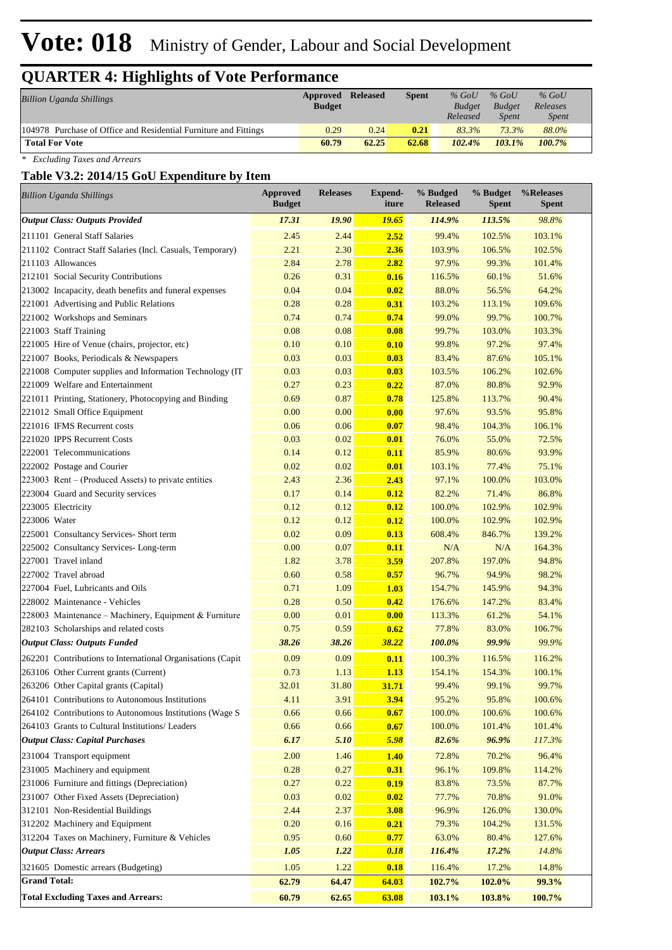# **Vote: 018** Ministry of Gender, Labour and Social Development

# **QUARTER 4: Highlights of Vote Performance**

| Billion Uganda Shillings                                         | Approved<br><b>Budget</b> | <b>Released</b> | <b>Spent</b> | $%$ GoU<br><b>Budget</b><br>Released | $%$ GoU<br><b>Budget</b><br><i>Spent</i> | $%$ GoU<br>Releases<br><i>Spent</i> |  |
|------------------------------------------------------------------|---------------------------|-----------------|--------------|--------------------------------------|------------------------------------------|-------------------------------------|--|
| 104978 Purchase of Office and Residential Furniture and Fittings | 0.29                      | 0.24            | 0.21         | 83.3%                                | 73.3%                                    | 88.0%                               |  |
| <b>Total For Vote</b>                                            | 60.79                     | 62.25           | 62.68        | 102.4%                               | $103.1\%$                                | 100.7%                              |  |

*\* Excluding Taxes and Arrears*

#### **Table V3.2: 2014/15 GoU Expenditure by Item**

| <b>Billion Uganda Shillings</b>                             | <b>Approved</b><br><b>Budget</b> | <b>Releases</b> | Expend-<br>iture | % Budged<br><b>Released</b> | % Budget<br>Spent | %Releases<br><b>Spent</b> |
|-------------------------------------------------------------|----------------------------------|-----------------|------------------|-----------------------------|-------------------|---------------------------|
| <b>Output Class: Outputs Provided</b>                       | 17.31                            | 19.90           | <u> 19.65</u>    | 114.9%                      | 113.5%            | 98.8%                     |
| 211101 General Staff Salaries                               | 2.45                             | 2.44            | 2.52             | 99.4%                       | 102.5%            | 103.1%                    |
| 211102 Contract Staff Salaries (Incl. Casuals, Temporary)   | 2.21                             | 2.30            | 2.36             | 103.9%                      | 106.5%            | 102.5%                    |
| 211103 Allowances                                           | 2.84                             | 2.78            | 2.82             | 97.9%                       | 99.3%             | 101.4%                    |
| 212101 Social Security Contributions                        | 0.26                             | 0.31            | 0.16             | 116.5%                      | 60.1%             | 51.6%                     |
| 213002 Incapacity, death benefits and funeral expenses      | 0.04                             | 0.04            | 0.02             | 88.0%                       | 56.5%             | 64.2%                     |
| 221001 Advertising and Public Relations                     | 0.28                             | 0.28            | 0.31             | 103.2%                      | 113.1%            | 109.6%                    |
| 221002 Workshops and Seminars                               | 0.74                             | 0.74            | 0.74             | 99.0%                       | 99.7%             | 100.7%                    |
| 221003 Staff Training                                       | 0.08                             | 0.08            | 0.08             | 99.7%                       | 103.0%            | 103.3%                    |
| 221005 Hire of Venue (chairs, projector, etc)               | 0.10                             | 0.10            | 0.10             | 99.8%                       | 97.2%             | 97.4%                     |
| 221007 Books, Periodicals & Newspapers                      | 0.03                             | 0.03            | 0.03             | 83.4%                       | 87.6%             | 105.1%                    |
| 221008 Computer supplies and Information Technology (IT     | 0.03                             | 0.03            | 0.03             | 103.5%                      | 106.2%            | 102.6%                    |
| 221009 Welfare and Entertainment                            | 0.27                             | 0.23            | 0.22             | 87.0%                       | 80.8%             | 92.9%                     |
| 221011 Printing, Stationery, Photocopying and Binding       | 0.69                             | 0.87            | 0.78             | 125.8%                      | 113.7%            | 90.4%                     |
| 221012 Small Office Equipment                               | 0.00                             | 0.00            | 0.00             | 97.6%                       | 93.5%             | 95.8%                     |
| 221016 IFMS Recurrent costs                                 | 0.06                             | 0.06            | 0.07             | 98.4%                       | 104.3%            | 106.1%                    |
| 221020 IPPS Recurrent Costs                                 | 0.03                             | 0.02            | 0.01             | 76.0%                       | 55.0%             | 72.5%                     |
| 222001 Telecommunications                                   | 0.14                             | 0.12            | 0.11             | 85.9%                       | 80.6%             | 93.9%                     |
| 222002 Postage and Courier                                  | 0.02                             | 0.02            | 0.01             | 103.1%                      | 77.4%             | 75.1%                     |
| $223003$ Rent – (Produced Assets) to private entities       | 2.43                             | 2.36            | 2.43             | 97.1%                       | 100.0%            | 103.0%                    |
| 223004 Guard and Security services                          | 0.17                             | 0.14            | 0.12             | 82.2%                       | 71.4%             | 86.8%                     |
| 223005 Electricity                                          | 0.12                             | 0.12            | 0.12             | 100.0%                      | 102.9%            | 102.9%                    |
| 223006 Water                                                | 0.12                             | 0.12            | 0.12             | 100.0%                      | 102.9%            | 102.9%                    |
| 225001 Consultancy Services- Short term                     | 0.02                             | 0.09            | 0.13             | 608.4%                      | 846.7%            | 139.2%                    |
| 225002 Consultancy Services-Long-term                       | 0.00                             | 0.07            | 0.11             | N/A                         | N/A               | 164.3%                    |
| 227001 Travel inland                                        | 1.82                             | 3.78            | 3.59             | 207.8%                      | 197.0%            | 94.8%                     |
| 227002 Travel abroad                                        | 0.60                             | 0.58            | 0.57             | 96.7%                       | 94.9%             | 98.2%                     |
| 227004 Fuel, Lubricants and Oils                            | 0.71                             | 1.09            | 1.03             | 154.7%                      | 145.9%            | 94.3%                     |
| 228002 Maintenance - Vehicles                               | 0.28                             | 0.50            | 0.42             | 176.6%                      | 147.2%            | 83.4%                     |
| 228003 Maintenance – Machinery, Equipment & Furniture       | 0.00                             | 0.01            | 0.00             | 113.3%                      | 61.2%             | 54.1%                     |
| 282103 Scholarships and related costs                       | 0.75                             | 0.59            | 0.62             | 77.8%                       | 83.0%             | 106.7%                    |
| <b>Output Class: Outputs Funded</b>                         | 38.26                            | 38.26           | 38.22            | 100.0%                      | 99.9%             | 99.9%                     |
| 262201 Contributions to International Organisations (Capit) | 0.09                             | 0.09            | 0.11             | 100.3%                      | 116.5%            | 116.2%                    |
| 263106 Other Current grants (Current)                       | 0.73                             | 1.13            | 1.13             | 154.1%                      | 154.3%            | 100.1%                    |
| 263206 Other Capital grants (Capital)                       | 32.01                            | 31.80           | 31.71            | 99.4%                       | 99.1%             | 99.7%                     |
| 264101 Contributions to Autonomous Institutions             | 4.11                             | 3.91            | 3.94             | 95.2%                       | 95.8%             | 100.6%                    |
| 264102 Contributions to Autonomous Institutions (Wage S     | 0.66                             | 0.66            | 0.67             | 100.0%                      | 100.6%            | 100.6%                    |
| 264103 Grants to Cultural Institutions/ Leaders             | 0.66                             | 0.66            | 0.67             | 100.0%                      | 101.4%            | 101.4%                    |
| <b>Output Class: Capital Purchases</b>                      | 6.17                             | 5.10            | 5.98             | 82.6%                       | 96.9%             | 117.3%                    |
| 231004 Transport equipment                                  | 2.00                             | 1.46            | 1.40             | 72.8%                       | 70.2%             | 96.4%                     |
| 231005 Machinery and equipment                              | 0.28                             | 0.27            | 0.31             | 96.1%                       | 109.8%            | 114.2%                    |
| 231006 Furniture and fittings (Depreciation)                | 0.27                             | 0.22            | 0.19             | 83.8%                       | 73.5%             | 87.7%                     |
| 231007 Other Fixed Assets (Depreciation)                    | 0.03                             | 0.02            | 0.02             | 77.7%                       | 70.8%             | 91.0%                     |
| 312101 Non-Residential Buildings                            | 2.44                             | 2.37            | 3.08             | 96.9%                       | 126.0%            | 130.0%                    |
| 312202 Machinery and Equipment                              | 0.20                             | 0.16            | 0.21             | 79.3%                       | 104.2%            | 131.5%                    |
| 312204 Taxes on Machinery, Furniture & Vehicles             | 0.95                             | 0.60            | 0.77             | 63.0%                       | 80.4%             | 127.6%                    |
| <b>Output Class: Arrears</b>                                | 1.05                             | 1.22            | 0.18             | 116.4%                      | 17.2%             | 14.8%                     |
|                                                             |                                  |                 |                  |                             |                   |                           |
| 321605 Domestic arrears (Budgeting)                         | 1.05                             | 1.22            | 0.18             | 116.4%                      | 17.2%             | 14.8%                     |
| <b>Grand Total:</b>                                         | 62.79                            | 64.47           | 64.03            | 102.7%                      | 102.0%            | 99.3%                     |
| <b>Total Excluding Taxes and Arrears:</b>                   | 60.79                            | 62.65           | 63.08            | 103.1%                      | 103.8%            | 100.7%                    |